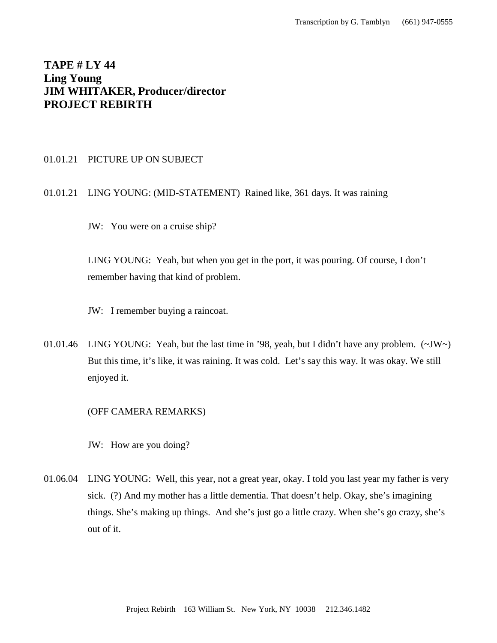# **TAPE # LY 44 Ling Young JIM WHITAKER, Producer/director PROJECT REBIRTH**

#### 01.01.21 PICTURE UP ON SUBJECT

## 01.01.21 LING YOUNG: (MID-STATEMENT) Rained like, 361 days. It was raining

JW: You were on a cruise ship?

LING YOUNG: Yeah, but when you get in the port, it was pouring. Of course, I don't remember having that kind of problem.

JW: I remember buying a raincoat.

01.01.46 LING YOUNG: Yeah, but the last time in '98, yeah, but I didn't have any problem. (~JW~) But this time, it's like, it was raining. It was cold. Let's say this way. It was okay. We still enjoyed it.

## (OFF CAMERA REMARKS)

JW: How are you doing?

01.06.04 LING YOUNG: Well, this year, not a great year, okay. I told you last year my father is very sick. (?) And my mother has a little dementia. That doesn't help. Okay, she's imagining things. She's making up things. And she's just go a little crazy. When she's go crazy, she's out of it.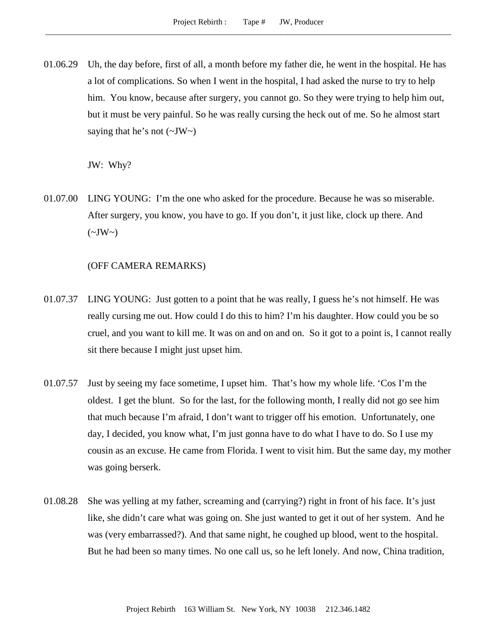01.06.29 Uh, the day before, first of all, a month before my father die, he went in the hospital. He has a lot of complications. So when I went in the hospital, I had asked the nurse to try to help him. You know, because after surgery, you cannot go. So they were trying to help him out, but it must be very painful. So he was really cursing the heck out of me. So he almost start saying that he's not  $(\sim JW \sim)$ 

JW: Why?

01.07.00 LING YOUNG: I'm the one who asked for the procedure. Because he was so miserable. After surgery, you know, you have to go. If you don't, it just like, clock up there. And  $(\sim JW \sim)$ 

(OFF CAMERA REMARKS)

- 01.07.37 LING YOUNG: Just gotten to a point that he was really, I guess he's not himself. He was really cursing me out. How could I do this to him? I'm his daughter. How could you be so cruel, and you want to kill me. It was on and on and on. So it got to a point is, I cannot really sit there because I might just upset him.
- 01.07.57 Just by seeing my face sometime, I upset him. That's how my whole life. 'Cos I'm the oldest. I get the blunt. So for the last, for the following month, I really did not go see him that much because I'm afraid, I don't want to trigger off his emotion. Unfortunately, one day, I decided, you know what, I'm just gonna have to do what I have to do. So I use my cousin as an excuse. He came from Florida. I went to visit him. But the same day, my mother was going berserk.
- 01.08.28 She was yelling at my father, screaming and (carrying?) right in front of his face. It's just like, she didn't care what was going on. She just wanted to get it out of her system. And he was (very embarrassed?). And that same night, he coughed up blood, went to the hospital. But he had been so many times. No one call us, so he left lonely. And now, China tradition,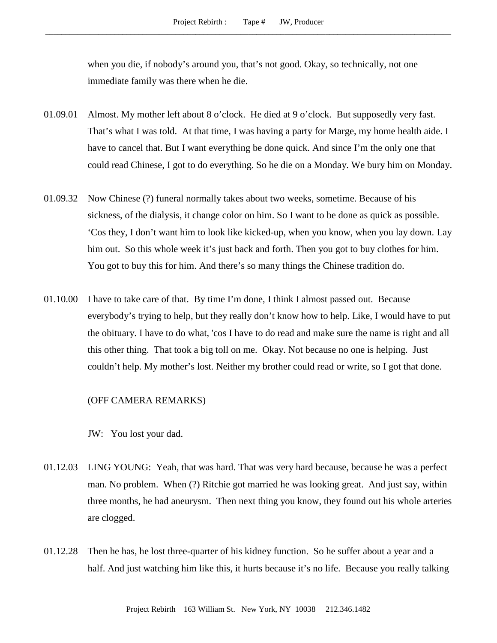when you die, if nobody's around you, that's not good. Okay, so technically, not one immediate family was there when he die.

- 01.09.01 Almost. My mother left about 8 o'clock. He died at 9 o'clock. But supposedly very fast. That's what I was told. At that time, I was having a party for Marge, my home health aide. I have to cancel that. But I want everything be done quick. And since I'm the only one that could read Chinese, I got to do everything. So he die on a Monday. We bury him on Monday.
- 01.09.32 Now Chinese (?) funeral normally takes about two weeks, sometime. Because of his sickness, of the dialysis, it change color on him. So I want to be done as quick as possible. 'Cos they, I don't want him to look like kicked-up, when you know, when you lay down. Lay him out. So this whole week it's just back and forth. Then you got to buy clothes for him. You got to buy this for him. And there's so many things the Chinese tradition do.
- 01.10.00 I have to take care of that. By time I'm done, I think I almost passed out. Because everybody's trying to help, but they really don't know how to help. Like, I would have to put the obituary. I have to do what, 'cos I have to do read and make sure the name is right and all this other thing. That took a big toll on me. Okay. Not because no one is helping. Just couldn't help. My mother's lost. Neither my brother could read or write, so I got that done.

#### (OFF CAMERA REMARKS)

JW: You lost your dad.

- 01.12.03 LING YOUNG: Yeah, that was hard. That was very hard because, because he was a perfect man. No problem. When (?) Ritchie got married he was looking great. And just say, within three months, he had aneurysm. Then next thing you know, they found out his whole arteries are clogged.
- 01.12.28 Then he has, he lost three-quarter of his kidney function. So he suffer about a year and a half. And just watching him like this, it hurts because it's no life. Because you really talking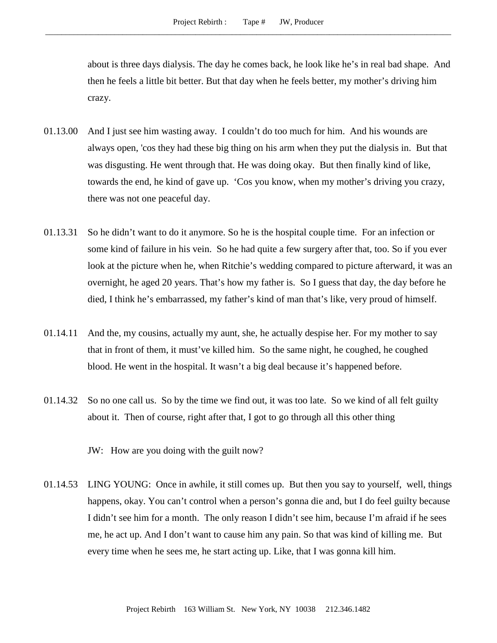about is three days dialysis. The day he comes back, he look like he's in real bad shape. And then he feels a little bit better. But that day when he feels better, my mother's driving him crazy.

- 01.13.00 And I just see him wasting away. I couldn't do too much for him. And his wounds are always open, 'cos they had these big thing on his arm when they put the dialysis in. But that was disgusting. He went through that. He was doing okay. But then finally kind of like, towards the end, he kind of gave up. 'Cos you know, when my mother's driving you crazy, there was not one peaceful day.
- 01.13.31 So he didn't want to do it anymore. So he is the hospital couple time. For an infection or some kind of failure in his vein. So he had quite a few surgery after that, too. So if you ever look at the picture when he, when Ritchie's wedding compared to picture afterward, it was an overnight, he aged 20 years. That's how my father is. So I guess that day, the day before he died, I think he's embarrassed, my father's kind of man that's like, very proud of himself.
- 01.14.11 And the, my cousins, actually my aunt, she, he actually despise her. For my mother to say that in front of them, it must've killed him. So the same night, he coughed, he coughed blood. He went in the hospital. It wasn't a big deal because it's happened before.
- 01.14.32 So no one call us. So by the time we find out, it was too late. So we kind of all felt guilty about it. Then of course, right after that, I got to go through all this other thing

JW: How are you doing with the guilt now?

01.14.53 LING YOUNG: Once in awhile, it still comes up. But then you say to yourself, well, things happens, okay. You can't control when a person's gonna die and, but I do feel guilty because I didn't see him for a month. The only reason I didn't see him, because I'm afraid if he sees me, he act up. And I don't want to cause him any pain. So that was kind of killing me. But every time when he sees me, he start acting up. Like, that I was gonna kill him.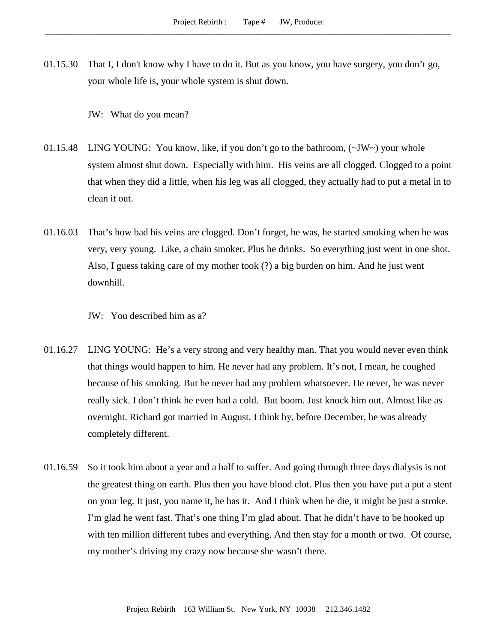01.15.30 That I, I don't know why I have to do it. But as you know, you have surgery, you don't go, your whole life is, your whole system is shut down.

JW: What do you mean?

- 01.15.48 LING YOUNG: You know, like, if you don't go to the bathroom,  $(\sim JW \sim)$  your whole system almost shut down. Especially with him. His veins are all clogged. Clogged to a point that when they did a little, when his leg was all clogged, they actually had to put a metal in to clean it out.
- 01.16.03 That's how bad his veins are clogged. Don't forget, he was, he started smoking when he was very, very young. Like, a chain smoker. Plus he drinks. So everything just went in one shot. Also, I guess taking care of my mother took (?) a big burden on him. And he just went downhill.
	- JW: You described him as a?
- 01.16.27 LING YOUNG: He's a very strong and very healthy man. That you would never even think that things would happen to him. He never had any problem. It's not, I mean, he coughed because of his smoking. But he never had any problem whatsoever. He never, he was never really sick. I don't think he even had a cold. But boom. Just knock him out. Almost like as overnight. Richard got married in August. I think by, before December, he was already completely different.
- 01.16.59 So it took him about a year and a half to suffer. And going through three days dialysis is not the greatest thing on earth. Plus then you have blood clot. Plus then you have put a put a stent on your leg. It just, you name it, he has it. And I think when he die, it might be just a stroke. I'm glad he went fast. That's one thing I'm glad about. That he didn't have to be hooked up with ten million different tubes and everything. And then stay for a month or two. Of course, my mother's driving my crazy now because she wasn't there.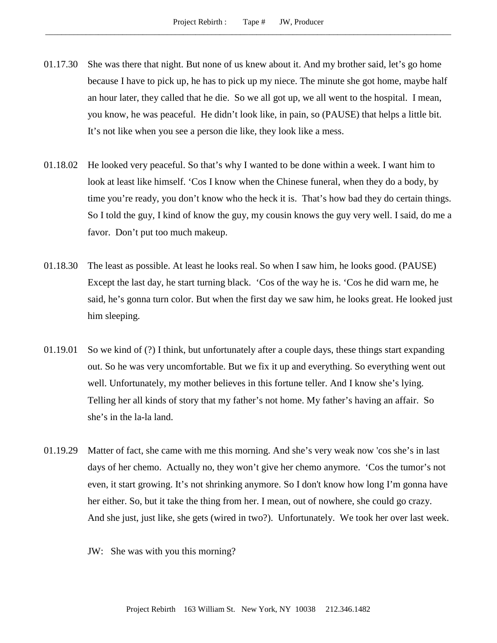- 01.17.30 She was there that night. But none of us knew about it. And my brother said, let's go home because I have to pick up, he has to pick up my niece. The minute she got home, maybe half an hour later, they called that he die. So we all got up, we all went to the hospital. I mean, you know, he was peaceful. He didn't look like, in pain, so (PAUSE) that helps a little bit. It's not like when you see a person die like, they look like a mess.
- 01.18.02 He looked very peaceful. So that's why I wanted to be done within a week. I want him to look at least like himself. 'Cos I know when the Chinese funeral, when they do a body, by time you're ready, you don't know who the heck it is. That's how bad they do certain things. So I told the guy, I kind of know the guy, my cousin knows the guy very well. I said, do me a favor. Don't put too much makeup.
- 01.18.30 The least as possible. At least he looks real. So when I saw him, he looks good. (PAUSE) Except the last day, he start turning black. 'Cos of the way he is. 'Cos he did warn me, he said, he's gonna turn color. But when the first day we saw him, he looks great. He looked just him sleeping.
- 01.19.01 So we kind of (?) I think, but unfortunately after a couple days, these things start expanding out. So he was very uncomfortable. But we fix it up and everything. So everything went out well. Unfortunately, my mother believes in this fortune teller. And I know she's lying. Telling her all kinds of story that my father's not home. My father's having an affair. So she's in the la-la land.
- 01.19.29 Matter of fact, she came with me this morning. And she's very weak now 'cos she's in last days of her chemo. Actually no, they won't give her chemo anymore. 'Cos the tumor's not even, it start growing. It's not shrinking anymore. So I don't know how long I'm gonna have her either. So, but it take the thing from her. I mean, out of nowhere, she could go crazy. And she just, just like, she gets (wired in two?). Unfortunately. We took her over last week.
	- JW: She was with you this morning?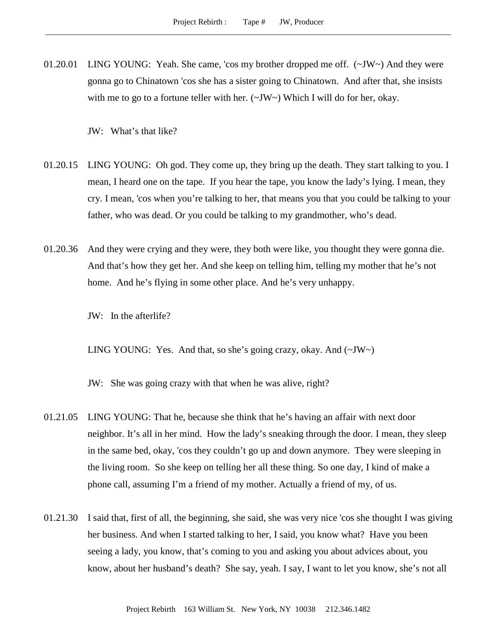01.20.01 LING YOUNG: Yeah. She came, 'cos my brother dropped me off. (~JW~) And they were gonna go to Chinatown 'cos she has a sister going to Chinatown. And after that, she insists with me to go to a fortune teller with her.  $(\sim JW \sim)$  Which I will do for her, okay.

JW: What's that like?

- 01.20.15 LING YOUNG: Oh god. They come up, they bring up the death. They start talking to you. I mean, I heard one on the tape. If you hear the tape, you know the lady's lying. I mean, they cry. I mean, 'cos when you're talking to her, that means you that you could be talking to your father, who was dead. Or you could be talking to my grandmother, who's dead.
- 01.20.36 And they were crying and they were, they both were like, you thought they were gonna die. And that's how they get her. And she keep on telling him, telling my mother that he's not home. And he's flying in some other place. And he's very unhappy.

JW: In the afterlife?

LING YOUNG: Yes. And that, so she's going crazy, okay. And  $(\sim JW \sim)$ 

JW: She was going crazy with that when he was alive, right?

- 01.21.05 LING YOUNG: That he, because she think that he's having an affair with next door neighbor. It's all in her mind. How the lady's sneaking through the door. I mean, they sleep in the same bed, okay, 'cos they couldn't go up and down anymore. They were sleeping in the living room. So she keep on telling her all these thing. So one day, I kind of make a phone call, assuming I'm a friend of my mother. Actually a friend of my, of us.
- 01.21.30 I said that, first of all, the beginning, she said, she was very nice 'cos she thought I was giving her business. And when I started talking to her, I said, you know what? Have you been seeing a lady, you know, that's coming to you and asking you about advices about, you know, about her husband's death? She say, yeah. I say, I want to let you know, she's not all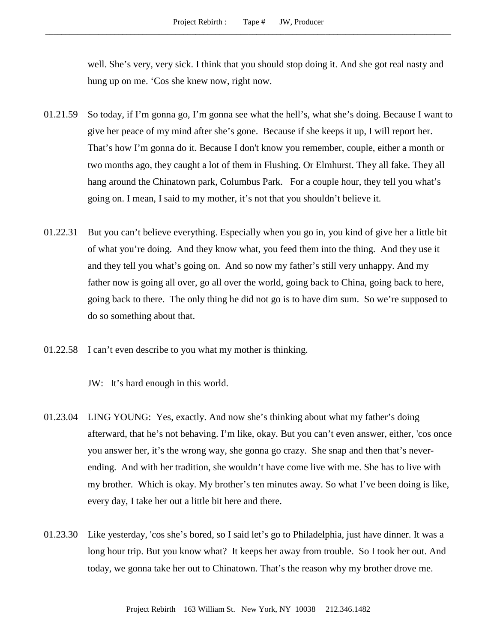well. She's very, very sick. I think that you should stop doing it. And she got real nasty and hung up on me. 'Cos she knew now, right now.

- 01.21.59 So today, if I'm gonna go, I'm gonna see what the hell's, what she's doing. Because I want to give her peace of my mind after she's gone. Because if she keeps it up, I will report her. That's how I'm gonna do it. Because I don't know you remember, couple, either a month or two months ago, they caught a lot of them in Flushing. Or Elmhurst. They all fake. They all hang around the Chinatown park, Columbus Park. For a couple hour, they tell you what's going on. I mean, I said to my mother, it's not that you shouldn't believe it.
- 01.22.31 But you can't believe everything. Especially when you go in, you kind of give her a little bit of what you're doing. And they know what, you feed them into the thing. And they use it and they tell you what's going on. And so now my father's still very unhappy. And my father now is going all over, go all over the world, going back to China, going back to here, going back to there. The only thing he did not go is to have dim sum. So we're supposed to do so something about that.
- 01.22.58 I can't even describe to you what my mother is thinking.

JW: It's hard enough in this world.

- 01.23.04 LING YOUNG: Yes, exactly. And now she's thinking about what my father's doing afterward, that he's not behaving. I'm like, okay. But you can't even answer, either, 'cos once you answer her, it's the wrong way, she gonna go crazy. She snap and then that's neverending. And with her tradition, she wouldn't have come live with me. She has to live with my brother. Which is okay. My brother's ten minutes away. So what I've been doing is like, every day, I take her out a little bit here and there.
- 01.23.30 Like yesterday, 'cos she's bored, so I said let's go to Philadelphia, just have dinner. It was a long hour trip. But you know what? It keeps her away from trouble. So I took her out. And today, we gonna take her out to Chinatown. That's the reason why my brother drove me.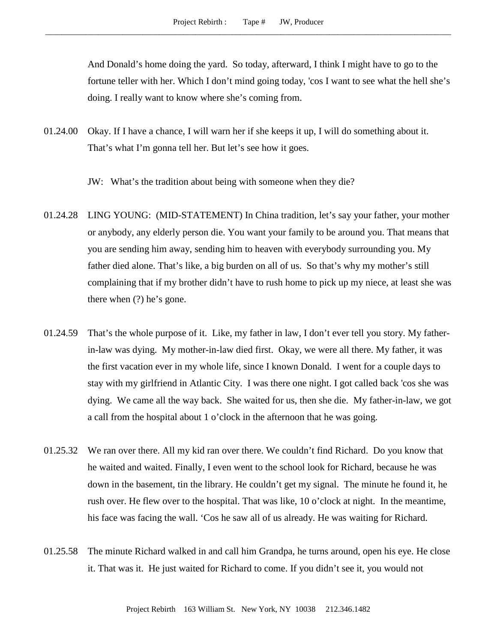And Donald's home doing the yard. So today, afterward, I think I might have to go to the fortune teller with her. Which I don't mind going today, 'cos I want to see what the hell she's doing. I really want to know where she's coming from.

- 01.24.00 Okay. If I have a chance, I will warn her if she keeps it up, I will do something about it. That's what I'm gonna tell her. But let's see how it goes.
	- JW: What's the tradition about being with someone when they die?
- 01.24.28 LING YOUNG: (MID-STATEMENT) In China tradition, let's say your father, your mother or anybody, any elderly person die. You want your family to be around you. That means that you are sending him away, sending him to heaven with everybody surrounding you. My father died alone. That's like, a big burden on all of us. So that's why my mother's still complaining that if my brother didn't have to rush home to pick up my niece, at least she was there when (?) he's gone.
- 01.24.59 That's the whole purpose of it. Like, my father in law, I don't ever tell you story. My fatherin-law was dying. My mother-in-law died first. Okay, we were all there. My father, it was the first vacation ever in my whole life, since I known Donald. I went for a couple days to stay with my girlfriend in Atlantic City. I was there one night. I got called back 'cos she was dying. We came all the way back. She waited for us, then she die. My father-in-law, we got a call from the hospital about 1 o'clock in the afternoon that he was going.
- 01.25.32 We ran over there. All my kid ran over there. We couldn't find Richard. Do you know that he waited and waited. Finally, I even went to the school look for Richard, because he was down in the basement, tin the library. He couldn't get my signal. The minute he found it, he rush over. He flew over to the hospital. That was like, 10 o'clock at night. In the meantime, his face was facing the wall. 'Cos he saw all of us already. He was waiting for Richard.
- 01.25.58 The minute Richard walked in and call him Grandpa, he turns around, open his eye. He close it. That was it. He just waited for Richard to come. If you didn't see it, you would not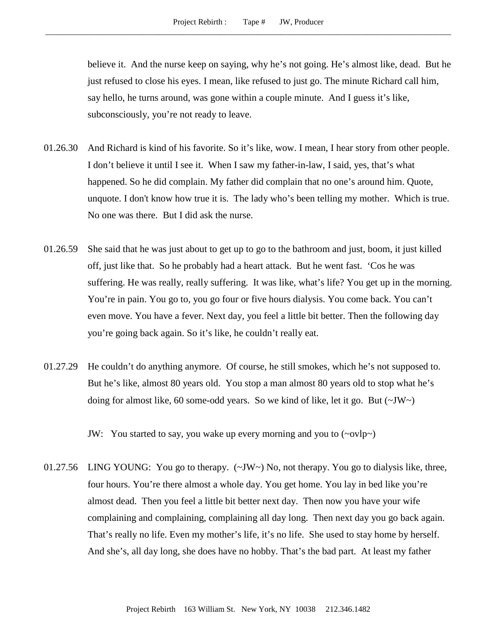believe it. And the nurse keep on saying, why he's not going. He's almost like, dead. But he just refused to close his eyes. I mean, like refused to just go. The minute Richard call him, say hello, he turns around, was gone within a couple minute. And I guess it's like, subconsciously, you're not ready to leave.

- 01.26.30 And Richard is kind of his favorite. So it's like, wow. I mean, I hear story from other people. I don't believe it until I see it. When I saw my father-in-law, I said, yes, that's what happened. So he did complain. My father did complain that no one's around him. Quote, unquote. I don't know how true it is. The lady who's been telling my mother. Which is true. No one was there. But I did ask the nurse.
- 01.26.59 She said that he was just about to get up to go to the bathroom and just, boom, it just killed off, just like that. So he probably had a heart attack. But he went fast. 'Cos he was suffering. He was really, really suffering. It was like, what's life? You get up in the morning. You're in pain. You go to, you go four or five hours dialysis. You come back. You can't even move. You have a fever. Next day, you feel a little bit better. Then the following day you're going back again. So it's like, he couldn't really eat.
- 01.27.29 He couldn't do anything anymore. Of course, he still smokes, which he's not supposed to. But he's like, almost 80 years old. You stop a man almost 80 years old to stop what he's doing for almost like, 60 some-odd years. So we kind of like, let it go. But  $(\sim JW \sim)$

JW: You started to say, you wake up every morning and you to (~ovlp~)

01.27.56 LING YOUNG: You go to therapy.  $(\sim JW \sim)$  No, not therapy. You go to dialysis like, three, four hours. You're there almost a whole day. You get home. You lay in bed like you're almost dead. Then you feel a little bit better next day. Then now you have your wife complaining and complaining, complaining all day long. Then next day you go back again. That's really no life. Even my mother's life, it's no life. She used to stay home by herself. And she's, all day long, she does have no hobby. That's the bad part. At least my father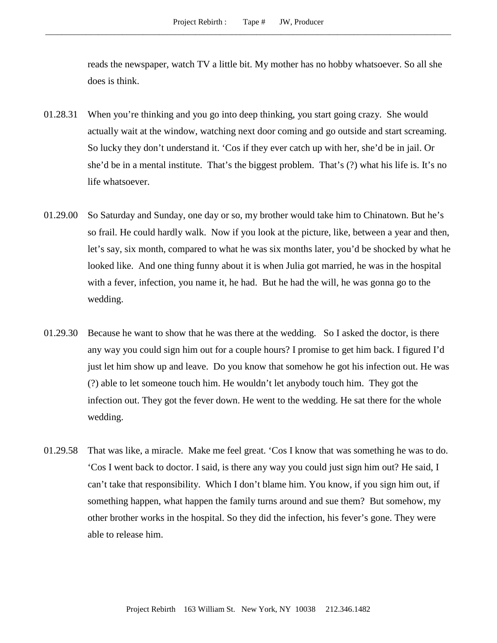reads the newspaper, watch TV a little bit. My mother has no hobby whatsoever. So all she does is think.

- 01.28.31 When you're thinking and you go into deep thinking, you start going crazy. She would actually wait at the window, watching next door coming and go outside and start screaming. So lucky they don't understand it. 'Cos if they ever catch up with her, she'd be in jail. Or she'd be in a mental institute. That's the biggest problem. That's (?) what his life is. It's no life whatsoever.
- 01.29.00 So Saturday and Sunday, one day or so, my brother would take him to Chinatown. But he's so frail. He could hardly walk. Now if you look at the picture, like, between a year and then, let's say, six month, compared to what he was six months later, you'd be shocked by what he looked like. And one thing funny about it is when Julia got married, he was in the hospital with a fever, infection, you name it, he had. But he had the will, he was gonna go to the wedding.
- 01.29.30 Because he want to show that he was there at the wedding. So I asked the doctor, is there any way you could sign him out for a couple hours? I promise to get him back. I figured I'd just let him show up and leave. Do you know that somehow he got his infection out. He was (?) able to let someone touch him. He wouldn't let anybody touch him. They got the infection out. They got the fever down. He went to the wedding. He sat there for the whole wedding.
- 01.29.58 That was like, a miracle. Make me feel great. 'Cos I know that was something he was to do. 'Cos I went back to doctor. I said, is there any way you could just sign him out? He said, I can't take that responsibility. Which I don't blame him. You know, if you sign him out, if something happen, what happen the family turns around and sue them? But somehow, my other brother works in the hospital. So they did the infection, his fever's gone. They were able to release him.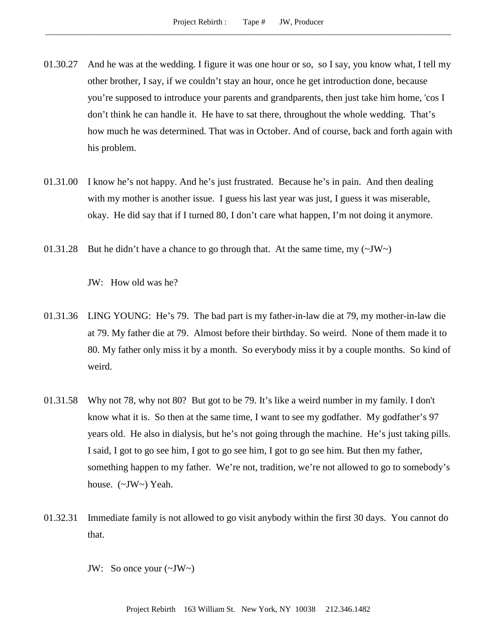- 01.30.27 And he was at the wedding. I figure it was one hour or so, so I say, you know what, I tell my other brother, I say, if we couldn't stay an hour, once he get introduction done, because you're supposed to introduce your parents and grandparents, then just take him home, 'cos I don't think he can handle it. He have to sat there, throughout the whole wedding. That's how much he was determined. That was in October. And of course, back and forth again with his problem.
- 01.31.00 I know he's not happy. And he's just frustrated. Because he's in pain. And then dealing with my mother is another issue. I guess his last year was just, I guess it was miserable, okay. He did say that if I turned 80, I don't care what happen, I'm not doing it anymore.
- 01.31.28 But he didn't have a chance to go through that. At the same time, my  $(\sim JW)$

JW: How old was he?

- 01.31.36 LING YOUNG: He's 79. The bad part is my father-in-law die at 79, my mother-in-law die at 79. My father die at 79. Almost before their birthday. So weird. None of them made it to 80. My father only miss it by a month. So everybody miss it by a couple months. So kind of weird.
- 01.31.58 Why not 78, why not 80? But got to be 79. It's like a weird number in my family. I don't know what it is. So then at the same time, I want to see my godfather. My godfather's 97 years old. He also in dialysis, but he's not going through the machine. He's just taking pills. I said, I got to go see him, I got to go see him, I got to go see him. But then my father, something happen to my father. We're not, tradition, we're not allowed to go to somebody's house. (~JW~) Yeah.
- 01.32.31 Immediate family is not allowed to go visit anybody within the first 30 days. You cannot do that.
	- JW: So once your  $(\sim JW \sim)$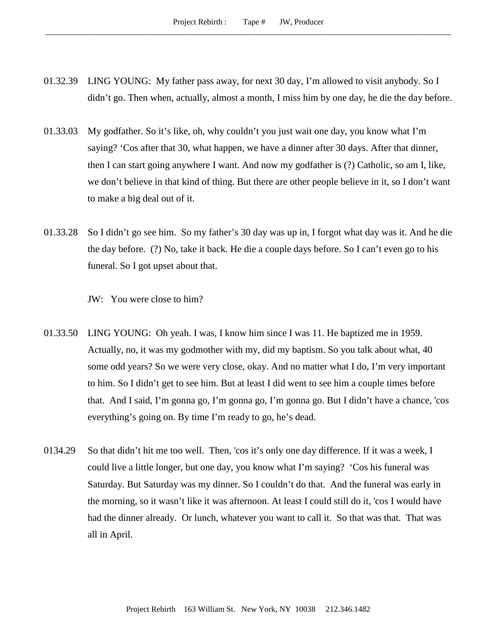- 01.32.39 LING YOUNG: My father pass away, for next 30 day, I'm allowed to visit anybody. So I didn't go. Then when, actually, almost a month, I miss him by one day, he die the day before.
- 01.33.03 My godfather. So it's like, oh, why couldn't you just wait one day, you know what I'm saying? 'Cos after that 30, what happen, we have a dinner after 30 days. After that dinner, then I can start going anywhere I want. And now my godfather is (?) Catholic, so am I, like, we don't believe in that kind of thing. But there are other people believe in it, so I don't want to make a big deal out of it.
- 01.33.28 So I didn't go see him. So my father's 30 day was up in, I forgot what day was it. And he die the day before. (?) No, take it back. He die a couple days before. So I can't even go to his funeral. So I got upset about that.

JW: You were close to him?

- 01.33.50 LING YOUNG: Oh yeah. I was, I know him since I was 11. He baptized me in 1959. Actually, no, it was my godmother with my, did my baptism. So you talk about what, 40 some odd years? So we were very close, okay. And no matter what I do, I'm very important to him. So I didn't get to see him. But at least I did went to see him a couple times before that. And I said, I'm gonna go, I'm gonna go, I'm gonna go. But I didn't have a chance, 'cos everything's going on. By time I'm ready to go, he's dead.
- 0134.29 So that didn't hit me too well. Then, 'cos it's only one day difference. If it was a week, I could live a little longer, but one day, you know what I'm saying? 'Cos his funeral was Saturday. But Saturday was my dinner. So I couldn't do that. And the funeral was early in the morning, so it wasn't like it was afternoon. At least I could still do it, 'cos I would have had the dinner already. Or lunch, whatever you want to call it. So that was that. That was all in April.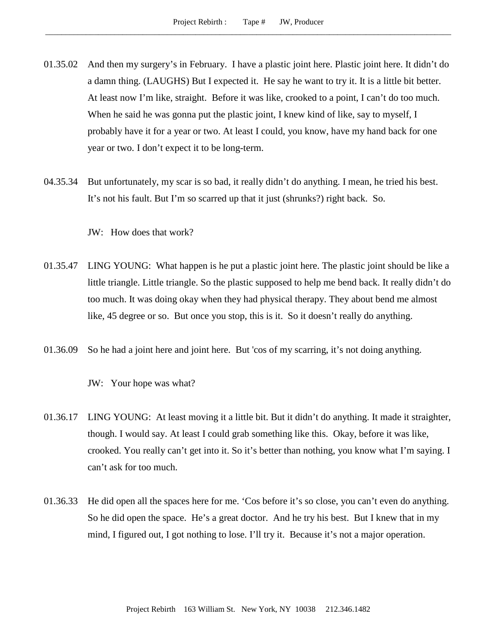- 01.35.02 And then my surgery's in February. I have a plastic joint here. Plastic joint here. It didn't do a damn thing. (LAUGHS) But I expected it. He say he want to try it. It is a little bit better. At least now I'm like, straight. Before it was like, crooked to a point, I can't do too much. When he said he was gonna put the plastic joint, I knew kind of like, say to myself, I probably have it for a year or two. At least I could, you know, have my hand back for one year or two. I don't expect it to be long-term.
- 04.35.34 But unfortunately, my scar is so bad, it really didn't do anything. I mean, he tried his best. It's not his fault. But I'm so scarred up that it just (shrunks?) right back. So.

JW: How does that work?

- 01.35.47 LING YOUNG: What happen is he put a plastic joint here. The plastic joint should be like a little triangle. Little triangle. So the plastic supposed to help me bend back. It really didn't do too much. It was doing okay when they had physical therapy. They about bend me almost like, 45 degree or so. But once you stop, this is it. So it doesn't really do anything.
- 01.36.09 So he had a joint here and joint here. But 'cos of my scarring, it's not doing anything.

JW: Your hope was what?

- 01.36.17 LING YOUNG: At least moving it a little bit. But it didn't do anything. It made it straighter, though. I would say. At least I could grab something like this. Okay, before it was like, crooked. You really can't get into it. So it's better than nothing, you know what I'm saying. I can't ask for too much.
- 01.36.33 He did open all the spaces here for me. 'Cos before it's so close, you can't even do anything. So he did open the space. He's a great doctor. And he try his best. But I knew that in my mind, I figured out, I got nothing to lose. I'll try it. Because it's not a major operation.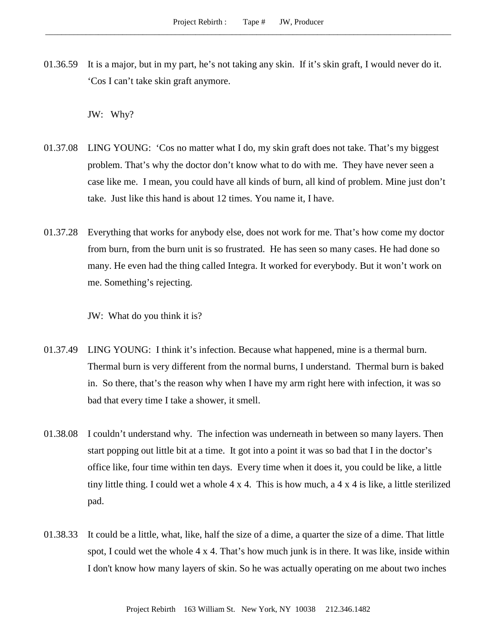01.36.59 It is a major, but in my part, he's not taking any skin. If it's skin graft, I would never do it. 'Cos I can't take skin graft anymore.

JW: Why?

- 01.37.08 LING YOUNG: 'Cos no matter what I do, my skin graft does not take. That's my biggest problem. That's why the doctor don't know what to do with me. They have never seen a case like me. I mean, you could have all kinds of burn, all kind of problem. Mine just don't take. Just like this hand is about 12 times. You name it, I have.
- 01.37.28 Everything that works for anybody else, does not work for me. That's how come my doctor from burn, from the burn unit is so frustrated. He has seen so many cases. He had done so many. He even had the thing called Integra. It worked for everybody. But it won't work on me. Something's rejecting.

JW: What do you think it is?

- 01.37.49 LING YOUNG: I think it's infection. Because what happened, mine is a thermal burn. Thermal burn is very different from the normal burns, I understand. Thermal burn is baked in. So there, that's the reason why when I have my arm right here with infection, it was so bad that every time I take a shower, it smell.
- 01.38.08 I couldn't understand why. The infection was underneath in between so many layers. Then start popping out little bit at a time. It got into a point it was so bad that I in the doctor's office like, four time within ten days. Every time when it does it, you could be like, a little tiny little thing. I could wet a whole  $4 \times 4$ . This is how much, a  $4 \times 4$  is like, a little sterilized pad.
- 01.38.33 It could be a little, what, like, half the size of a dime, a quarter the size of a dime. That little spot, I could wet the whole 4 x 4. That's how much junk is in there. It was like, inside within I don't know how many layers of skin. So he was actually operating on me about two inches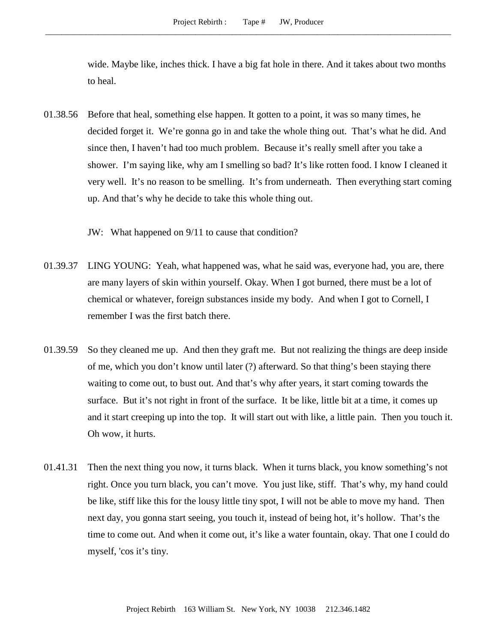wide. Maybe like, inches thick. I have a big fat hole in there. And it takes about two months to heal.

01.38.56 Before that heal, something else happen. It gotten to a point, it was so many times, he decided forget it. We're gonna go in and take the whole thing out. That's what he did. And since then, I haven't had too much problem. Because it's really smell after you take a shower. I'm saying like, why am I smelling so bad? It's like rotten food. I know I cleaned it very well. It's no reason to be smelling. It's from underneath. Then everything start coming up. And that's why he decide to take this whole thing out.

JW: What happened on 9/11 to cause that condition?

- 01.39.37 LING YOUNG: Yeah, what happened was, what he said was, everyone had, you are, there are many layers of skin within yourself. Okay. When I got burned, there must be a lot of chemical or whatever, foreign substances inside my body. And when I got to Cornell, I remember I was the first batch there.
- 01.39.59 So they cleaned me up. And then they graft me. But not realizing the things are deep inside of me, which you don't know until later (?) afterward. So that thing's been staying there waiting to come out, to bust out. And that's why after years, it start coming towards the surface. But it's not right in front of the surface. It be like, little bit at a time, it comes up and it start creeping up into the top. It will start out with like, a little pain. Then you touch it. Oh wow, it hurts.
- 01.41.31 Then the next thing you now, it turns black. When it turns black, you know something's not right. Once you turn black, you can't move. You just like, stiff. That's why, my hand could be like, stiff like this for the lousy little tiny spot, I will not be able to move my hand. Then next day, you gonna start seeing, you touch it, instead of being hot, it's hollow. That's the time to come out. And when it come out, it's like a water fountain, okay. That one I could do myself, 'cos it's tiny.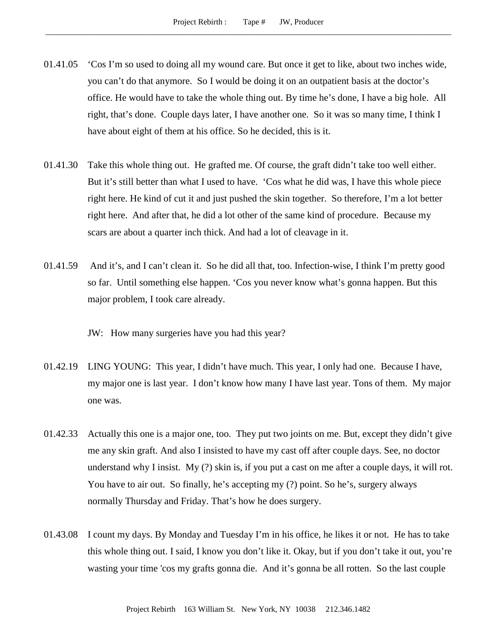- 01.41.05 'Cos I'm so used to doing all my wound care. But once it get to like, about two inches wide, you can't do that anymore. So I would be doing it on an outpatient basis at the doctor's office. He would have to take the whole thing out. By time he's done, I have a big hole. All right, that's done. Couple days later, I have another one. So it was so many time, I think I have about eight of them at his office. So he decided, this is it.
- 01.41.30 Take this whole thing out. He grafted me. Of course, the graft didn't take too well either. But it's still better than what I used to have. 'Cos what he did was, I have this whole piece right here. He kind of cut it and just pushed the skin together. So therefore, I'm a lot better right here. And after that, he did a lot other of the same kind of procedure. Because my scars are about a quarter inch thick. And had a lot of cleavage in it.
- 01.41.59 And it's, and I can't clean it. So he did all that, too. Infection-wise, I think I'm pretty good so far. Until something else happen. 'Cos you never know what's gonna happen. But this major problem, I took care already.

JW: How many surgeries have you had this year?

- 01.42.19 LING YOUNG: This year, I didn't have much. This year, I only had one. Because I have, my major one is last year. I don't know how many I have last year. Tons of them. My major one was.
- 01.42.33 Actually this one is a major one, too. They put two joints on me. But, except they didn't give me any skin graft. And also I insisted to have my cast off after couple days. See, no doctor understand why I insist. My (?) skin is, if you put a cast on me after a couple days, it will rot. You have to air out. So finally, he's accepting my (?) point. So he's, surgery always normally Thursday and Friday. That's how he does surgery.
- 01.43.08 I count my days. By Monday and Tuesday I'm in his office, he likes it or not. He has to take this whole thing out. I said, I know you don't like it. Okay, but if you don't take it out, you're wasting your time 'cos my grafts gonna die. And it's gonna be all rotten. So the last couple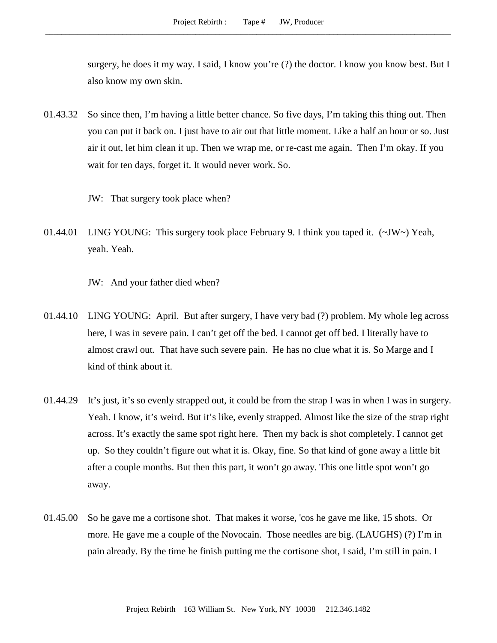surgery, he does it my way. I said, I know you're (?) the doctor. I know you know best. But I also know my own skin.

- 01.43.32 So since then, I'm having a little better chance. So five days, I'm taking this thing out. Then you can put it back on. I just have to air out that little moment. Like a half an hour or so. Just air it out, let him clean it up. Then we wrap me, or re-cast me again. Then I'm okay. If you wait for ten days, forget it. It would never work. So.
	- JW: That surgery took place when?
- 01.44.01 LING YOUNG: This surgery took place February 9. I think you taped it. (~JW~) Yeah, yeah. Yeah.
	- JW: And your father died when?
- 01.44.10 LING YOUNG: April. But after surgery, I have very bad (?) problem. My whole leg across here, I was in severe pain. I can't get off the bed. I cannot get off bed. I literally have to almost crawl out. That have such severe pain. He has no clue what it is. So Marge and I kind of think about it.
- 01.44.29 It's just, it's so evenly strapped out, it could be from the strap I was in when I was in surgery. Yeah. I know, it's weird. But it's like, evenly strapped. Almost like the size of the strap right across. It's exactly the same spot right here. Then my back is shot completely. I cannot get up. So they couldn't figure out what it is. Okay, fine. So that kind of gone away a little bit after a couple months. But then this part, it won't go away. This one little spot won't go away.
- 01.45.00 So he gave me a cortisone shot. That makes it worse, 'cos he gave me like, 15 shots. Or more. He gave me a couple of the Novocain. Those needles are big. (LAUGHS) (?) I'm in pain already. By the time he finish putting me the cortisone shot, I said, I'm still in pain. I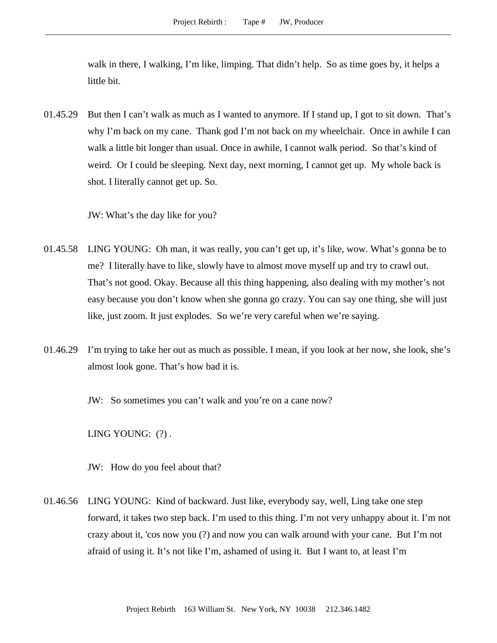walk in there, I walking, I'm like, limping. That didn't help. So as time goes by, it helps a little bit.

01.45.29 But then I can't walk as much as I wanted to anymore. If I stand up, I got to sit down. That's why I'm back on my cane. Thank god I'm not back on my wheelchair. Once in awhile I can walk a little bit longer than usual. Once in awhile, I cannot walk period. So that's kind of weird. Or I could be sleeping. Next day, next morning, I cannot get up. My whole back is shot. I literally cannot get up. So.

JW: What's the day like for you?

- 01.45.58 LING YOUNG: Oh man, it was really, you can't get up, it's like, wow. What's gonna be to me? I literally have to like, slowly have to almost move myself up and try to crawl out. That's not good. Okay. Because all this thing happening, also dealing with my mother's not easy because you don't know when she gonna go crazy. You can say one thing, she will just like, just zoom. It just explodes. So we're very careful when we're saying.
- 01.46.29 I'm trying to take her out as much as possible. I mean, if you look at her now, she look, she's almost look gone. That's how bad it is.
	- JW: So sometimes you can't walk and you're on a cane now?

LING YOUNG: (?) .

JW: How do you feel about that?

01.46.56 LING YOUNG: Kind of backward. Just like, everybody say, well, Ling take one step forward, it takes two step back. I'm used to this thing. I'm not very unhappy about it. I'm not crazy about it, 'cos now you (?) and now you can walk around with your cane. But I'm not afraid of using it. It's not like I'm, ashamed of using it. But I want to, at least I'm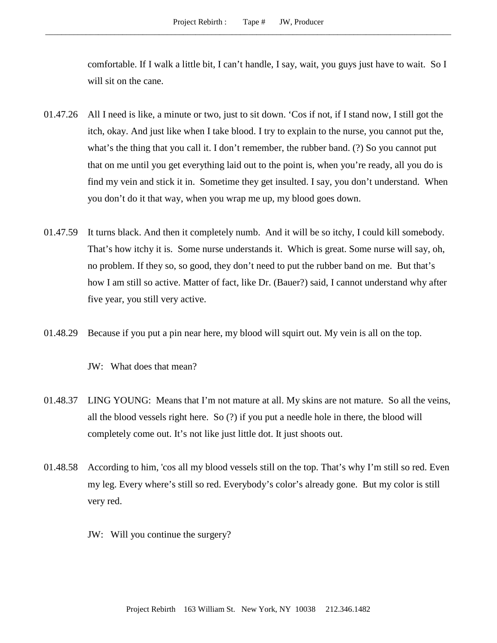comfortable. If I walk a little bit, I can't handle, I say, wait, you guys just have to wait. So I will sit on the cane.

- 01.47.26 All I need is like, a minute or two, just to sit down. 'Cos if not, if I stand now, I still got the itch, okay. And just like when I take blood. I try to explain to the nurse, you cannot put the, what's the thing that you call it. I don't remember, the rubber band. (?) So you cannot put that on me until you get everything laid out to the point is, when you're ready, all you do is find my vein and stick it in. Sometime they get insulted. I say, you don't understand. When you don't do it that way, when you wrap me up, my blood goes down.
- 01.47.59 It turns black. And then it completely numb. And it will be so itchy, I could kill somebody. That's how itchy it is. Some nurse understands it. Which is great. Some nurse will say, oh, no problem. If they so, so good, they don't need to put the rubber band on me. But that's how I am still so active. Matter of fact, like Dr. (Bauer?) said, I cannot understand why after five year, you still very active.
- 01.48.29 Because if you put a pin near here, my blood will squirt out. My vein is all on the top.

JW: What does that mean?

- 01.48.37 LING YOUNG: Means that I'm not mature at all. My skins are not mature. So all the veins, all the blood vessels right here. So (?) if you put a needle hole in there, the blood will completely come out. It's not like just little dot. It just shoots out.
- 01.48.58 According to him, 'cos all my blood vessels still on the top. That's why I'm still so red. Even my leg. Every where's still so red. Everybody's color's already gone. But my color is still very red.
	- JW: Will you continue the surgery?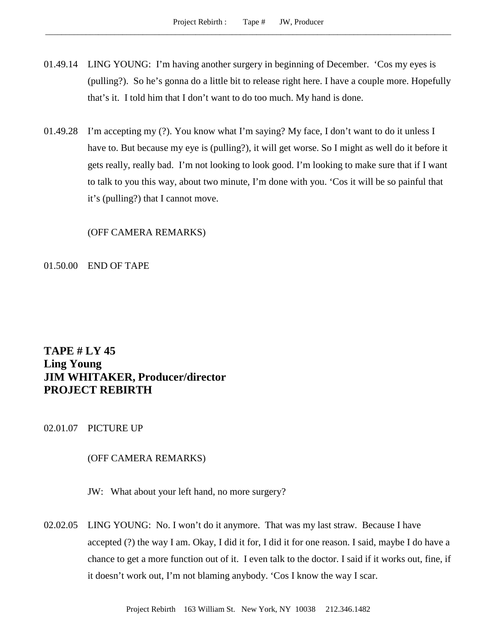- 01.49.14 LING YOUNG: I'm having another surgery in beginning of December. 'Cos my eyes is (pulling?). So he's gonna do a little bit to release right here. I have a couple more. Hopefully that's it. I told him that I don't want to do too much. My hand is done.
- 01.49.28 I'm accepting my (?). You know what I'm saying? My face, I don't want to do it unless I have to. But because my eye is (pulling?), it will get worse. So I might as well do it before it gets really, really bad. I'm not looking to look good. I'm looking to make sure that if I want to talk to you this way, about two minute, I'm done with you. 'Cos it will be so painful that it's (pulling?) that I cannot move.

(OFF CAMERA REMARKS)

01.50.00 END OF TAPE

# **TAPE # LY 45 Ling Young JIM WHITAKER, Producer/director PROJECT REBIRTH**

02.01.07 PICTURE UP

### (OFF CAMERA REMARKS)

- JW: What about your left hand, no more surgery?
- 02.02.05 LING YOUNG: No. I won't do it anymore. That was my last straw. Because I have accepted (?) the way I am. Okay, I did it for, I did it for one reason. I said, maybe I do have a chance to get a more function out of it. I even talk to the doctor. I said if it works out, fine, if it doesn't work out, I'm not blaming anybody. 'Cos I know the way I scar.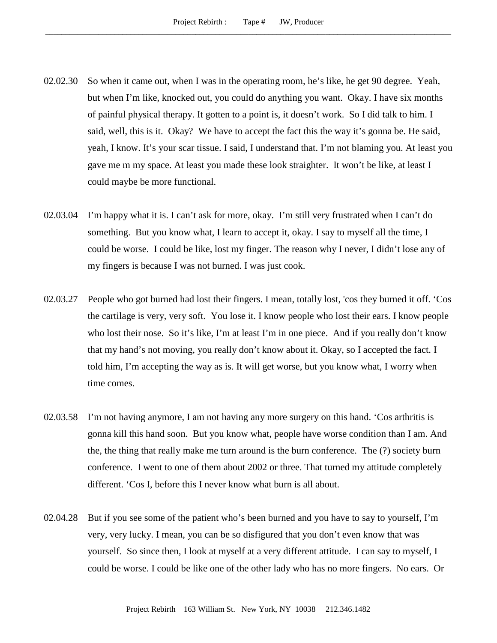- 02.02.30 So when it came out, when I was in the operating room, he's like, he get 90 degree. Yeah, but when I'm like, knocked out, you could do anything you want. Okay. I have six months of painful physical therapy. It gotten to a point is, it doesn't work. So I did talk to him. I said, well, this is it. Okay? We have to accept the fact this the way it's gonna be. He said, yeah, I know. It's your scar tissue. I said, I understand that. I'm not blaming you. At least you gave me m my space. At least you made these look straighter. It won't be like, at least I could maybe be more functional.
- 02.03.04 I'm happy what it is. I can't ask for more, okay. I'm still very frustrated when I can't do something. But you know what, I learn to accept it, okay. I say to myself all the time, I could be worse. I could be like, lost my finger. The reason why I never, I didn't lose any of my fingers is because I was not burned. I was just cook.
- 02.03.27 People who got burned had lost their fingers. I mean, totally lost, 'cos they burned it off. 'Cos the cartilage is very, very soft. You lose it. I know people who lost their ears. I know people who lost their nose. So it's like, I'm at least I'm in one piece. And if you really don't know that my hand's not moving, you really don't know about it. Okay, so I accepted the fact. I told him, I'm accepting the way as is. It will get worse, but you know what, I worry when time comes.
- 02.03.58 I'm not having anymore, I am not having any more surgery on this hand. 'Cos arthritis is gonna kill this hand soon. But you know what, people have worse condition than I am. And the, the thing that really make me turn around is the burn conference. The (?) society burn conference. I went to one of them about 2002 or three. That turned my attitude completely different. 'Cos I, before this I never know what burn is all about.
- 02.04.28 But if you see some of the patient who's been burned and you have to say to yourself, I'm very, very lucky. I mean, you can be so disfigured that you don't even know that was yourself. So since then, I look at myself at a very different attitude. I can say to myself, I could be worse. I could be like one of the other lady who has no more fingers. No ears. Or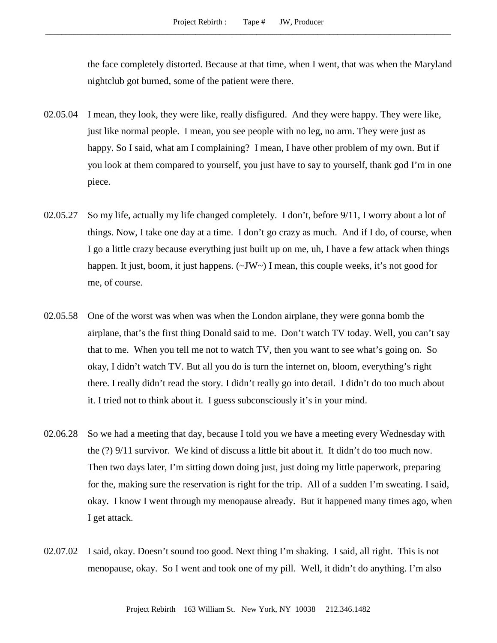the face completely distorted. Because at that time, when I went, that was when the Maryland nightclub got burned, some of the patient were there.

- 02.05.04 I mean, they look, they were like, really disfigured. And they were happy. They were like, just like normal people. I mean, you see people with no leg, no arm. They were just as happy. So I said, what am I complaining? I mean, I have other problem of my own. But if you look at them compared to yourself, you just have to say to yourself, thank god I'm in one piece.
- 02.05.27 So my life, actually my life changed completely. I don't, before 9/11, I worry about a lot of things. Now, I take one day at a time. I don't go crazy as much. And if I do, of course, when I go a little crazy because everything just built up on me, uh, I have a few attack when things happen. It just, boom, it just happens.  $(\sim JW \sim)$  I mean, this couple weeks, it's not good for me, of course.
- 02.05.58 One of the worst was when was when the London airplane, they were gonna bomb the airplane, that's the first thing Donald said to me. Don't watch TV today. Well, you can't say that to me. When you tell me not to watch TV, then you want to see what's going on. So okay, I didn't watch TV. But all you do is turn the internet on, bloom, everything's right there. I really didn't read the story. I didn't really go into detail. I didn't do too much about it. I tried not to think about it. I guess subconsciously it's in your mind.
- 02.06.28 So we had a meeting that day, because I told you we have a meeting every Wednesday with the (?) 9/11 survivor. We kind of discuss a little bit about it. It didn't do too much now. Then two days later, I'm sitting down doing just, just doing my little paperwork, preparing for the, making sure the reservation is right for the trip. All of a sudden I'm sweating. I said, okay. I know I went through my menopause already. But it happened many times ago, when I get attack.
- 02.07.02 I said, okay. Doesn't sound too good. Next thing I'm shaking. I said, all right. This is not menopause, okay. So I went and took one of my pill. Well, it didn't do anything. I'm also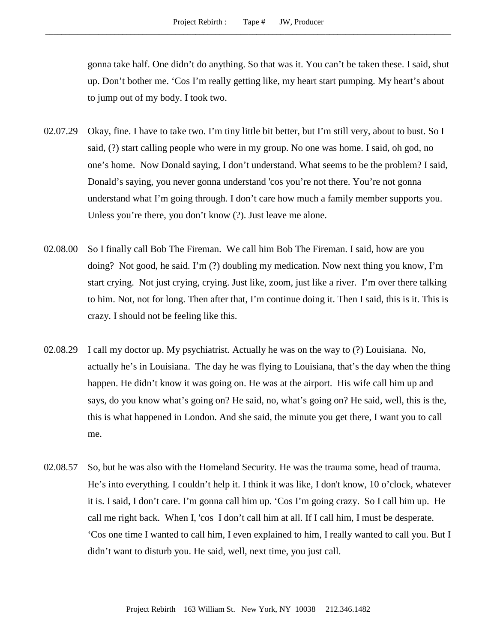gonna take half. One didn't do anything. So that was it. You can't be taken these. I said, shut up. Don't bother me. 'Cos I'm really getting like, my heart start pumping. My heart's about to jump out of my body. I took two.

- 02.07.29 Okay, fine. I have to take two. I'm tiny little bit better, but I'm still very, about to bust. So I said, (?) start calling people who were in my group. No one was home. I said, oh god, no one's home. Now Donald saying, I don't understand. What seems to be the problem? I said, Donald's saying, you never gonna understand 'cos you're not there. You're not gonna understand what I'm going through. I don't care how much a family member supports you. Unless you're there, you don't know (?). Just leave me alone.
- 02.08.00 So I finally call Bob The Fireman. We call him Bob The Fireman. I said, how are you doing? Not good, he said. I'm (?) doubling my medication. Now next thing you know, I'm start crying. Not just crying, crying. Just like, zoom, just like a river. I'm over there talking to him. Not, not for long. Then after that, I'm continue doing it. Then I said, this is it. This is crazy. I should not be feeling like this.
- 02.08.29 I call my doctor up. My psychiatrist. Actually he was on the way to (?) Louisiana. No, actually he's in Louisiana. The day he was flying to Louisiana, that's the day when the thing happen. He didn't know it was going on. He was at the airport. His wife call him up and says, do you know what's going on? He said, no, what's going on? He said, well, this is the, this is what happened in London. And she said, the minute you get there, I want you to call me.
- 02.08.57 So, but he was also with the Homeland Security. He was the trauma some, head of trauma. He's into everything. I couldn't help it. I think it was like, I don't know, 10 o'clock, whatever it is. I said, I don't care. I'm gonna call him up. 'Cos I'm going crazy. So I call him up. He call me right back. When I, 'cos I don't call him at all. If I call him, I must be desperate. 'Cos one time I wanted to call him, I even explained to him, I really wanted to call you. But I didn't want to disturb you. He said, well, next time, you just call.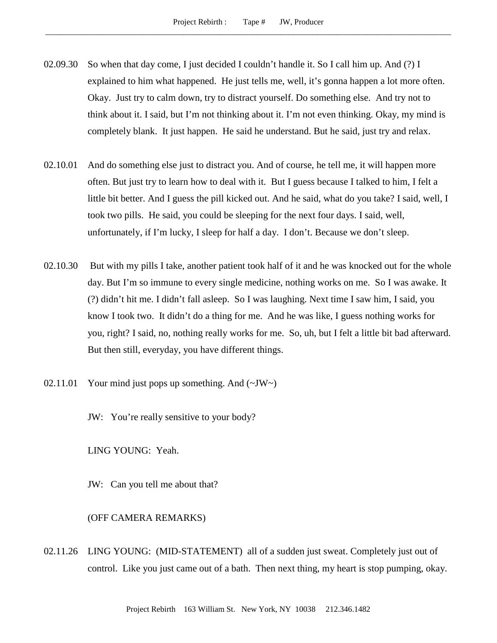- 02.09.30 So when that day come, I just decided I couldn't handle it. So I call him up. And (?) I explained to him what happened. He just tells me, well, it's gonna happen a lot more often. Okay. Just try to calm down, try to distract yourself. Do something else. And try not to think about it. I said, but I'm not thinking about it. I'm not even thinking. Okay, my mind is completely blank. It just happen. He said he understand. But he said, just try and relax.
- 02.10.01 And do something else just to distract you. And of course, he tell me, it will happen more often. But just try to learn how to deal with it. But I guess because I talked to him, I felt a little bit better. And I guess the pill kicked out. And he said, what do you take? I said, well, I took two pills. He said, you could be sleeping for the next four days. I said, well, unfortunately, if I'm lucky, I sleep for half a day. I don't. Because we don't sleep.
- 02.10.30 But with my pills I take, another patient took half of it and he was knocked out for the whole day. But I'm so immune to every single medicine, nothing works on me. So I was awake. It (?) didn't hit me. I didn't fall asleep. So I was laughing. Next time I saw him, I said, you know I took two. It didn't do a thing for me. And he was like, I guess nothing works for you, right? I said, no, nothing really works for me. So, uh, but I felt a little bit bad afterward. But then still, everyday, you have different things.
- 02.11.01 Your mind just pops up something. And  $(\sim JW)$ 
	- JW: You're really sensitive to your body?

LING YOUNG: Yeah.

JW: Can you tell me about that?

## (OFF CAMERA REMARKS)

02.11.26 LING YOUNG: (MID-STATEMENT) all of a sudden just sweat. Completely just out of control. Like you just came out of a bath. Then next thing, my heart is stop pumping, okay.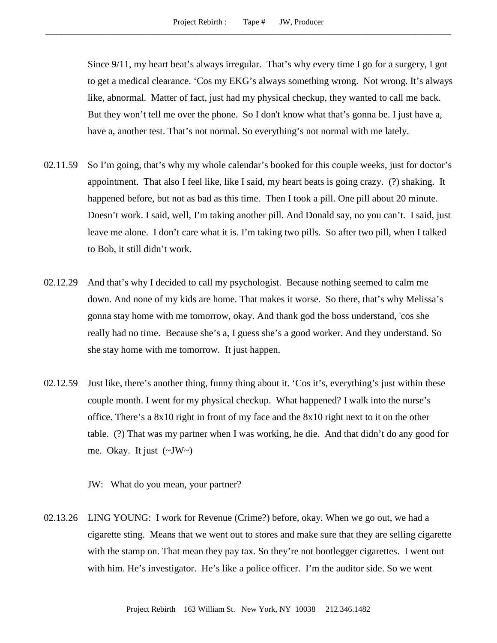Since 9/11, my heart beat's always irregular. That's why every time I go for a surgery, I got to get a medical clearance. 'Cos my EKG's always something wrong. Not wrong. It's always like, abnormal. Matter of fact, just had my physical checkup, they wanted to call me back. But they won't tell me over the phone. So I don't know what that's gonna be. I just have a, have a, another test. That's not normal. So everything's not normal with me lately.

- 02.11.59 So I'm going, that's why my whole calendar's booked for this couple weeks, just for doctor's appointment. That also I feel like, like I said, my heart beats is going crazy. (?) shaking. It happened before, but not as bad as this time. Then I took a pill. One pill about 20 minute. Doesn't work. I said, well, I'm taking another pill. And Donald say, no you can't. I said, just leave me alone. I don't care what it is. I'm taking two pills. So after two pill, when I talked to Bob, it still didn't work.
- 02.12.29 And that's why I decided to call my psychologist. Because nothing seemed to calm me down. And none of my kids are home. That makes it worse. So there, that's why Melissa's gonna stay home with me tomorrow, okay. And thank god the boss understand, 'cos she really had no time. Because she's a, I guess she's a good worker. And they understand. So she stay home with me tomorrow. It just happen.
- 02.12.59 Just like, there's another thing, funny thing about it. 'Cos it's, everything's just within these couple month. I went for my physical checkup. What happened? I walk into the nurse's office. There's a 8x10 right in front of my face and the 8x10 right next to it on the other table. (?) That was my partner when I was working, he die. And that didn't do any good for me. Okay. It just  $(\sim JW \sim)$

JW: What do you mean, your partner?

02.13.26 LING YOUNG: I work for Revenue (Crime?) before, okay. When we go out, we had a cigarette sting. Means that we went out to stores and make sure that they are selling cigarette with the stamp on. That mean they pay tax. So they're not bootlegger cigarettes. I went out with him. He's investigator. He's like a police officer. I'm the auditor side. So we went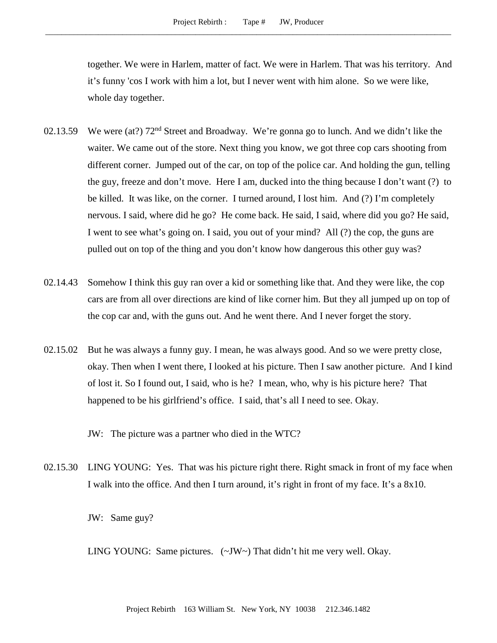together. We were in Harlem, matter of fact. We were in Harlem. That was his territory. And it's funny 'cos I work with him a lot, but I never went with him alone. So we were like, whole day together.

- 02.13.59 We were (at?)  $72<sup>nd</sup>$  Street and Broadway. We're gonna go to lunch. And we didn't like the waiter. We came out of the store. Next thing you know, we got three cop cars shooting from different corner. Jumped out of the car, on top of the police car. And holding the gun, telling the guy, freeze and don't move. Here I am, ducked into the thing because I don't want (?) to be killed. It was like, on the corner. I turned around, I lost him. And (?) I'm completely nervous. I said, where did he go? He come back. He said, I said, where did you go? He said, I went to see what's going on. I said, you out of your mind? All (?) the cop, the guns are pulled out on top of the thing and you don't know how dangerous this other guy was?
- 02.14.43 Somehow I think this guy ran over a kid or something like that. And they were like, the cop cars are from all over directions are kind of like corner him. But they all jumped up on top of the cop car and, with the guns out. And he went there. And I never forget the story.
- 02.15.02 But he was always a funny guy. I mean, he was always good. And so we were pretty close, okay. Then when I went there, I looked at his picture. Then I saw another picture. And I kind of lost it. So I found out, I said, who is he? I mean, who, why is his picture here? That happened to be his girlfriend's office. I said, that's all I need to see. Okay.

JW: The picture was a partner who died in the WTC?

02.15.30 LING YOUNG: Yes. That was his picture right there. Right smack in front of my face when I walk into the office. And then I turn around, it's right in front of my face. It's a 8x10.

JW: Same guy?

LING YOUNG: Same pictures. (~JW~) That didn't hit me very well. Okay.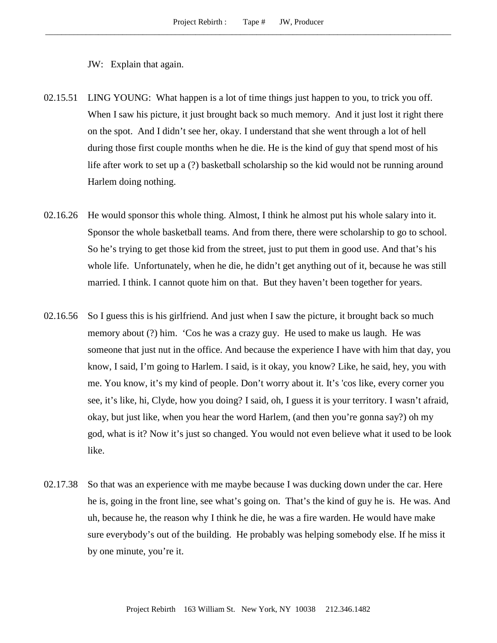## JW: Explain that again.

- 02.15.51 LING YOUNG: What happen is a lot of time things just happen to you, to trick you off. When I saw his picture, it just brought back so much memory. And it just lost it right there on the spot. And I didn't see her, okay. I understand that she went through a lot of hell during those first couple months when he die. He is the kind of guy that spend most of his life after work to set up a (?) basketball scholarship so the kid would not be running around Harlem doing nothing.
- 02.16.26 He would sponsor this whole thing. Almost, I think he almost put his whole salary into it. Sponsor the whole basketball teams. And from there, there were scholarship to go to school. So he's trying to get those kid from the street, just to put them in good use. And that's his whole life. Unfortunately, when he die, he didn't get anything out of it, because he was still married. I think. I cannot quote him on that. But they haven't been together for years.
- 02.16.56 So I guess this is his girlfriend. And just when I saw the picture, it brought back so much memory about (?) him. 'Cos he was a crazy guy. He used to make us laugh. He was someone that just nut in the office. And because the experience I have with him that day, you know, I said, I'm going to Harlem. I said, is it okay, you know? Like, he said, hey, you with me. You know, it's my kind of people. Don't worry about it. It's 'cos like, every corner you see, it's like, hi, Clyde, how you doing? I said, oh, I guess it is your territory. I wasn't afraid, okay, but just like, when you hear the word Harlem, (and then you're gonna say?) oh my god, what is it? Now it's just so changed. You would not even believe what it used to be look like.
- 02.17.38 So that was an experience with me maybe because I was ducking down under the car. Here he is, going in the front line, see what's going on. That's the kind of guy he is. He was. And uh, because he, the reason why I think he die, he was a fire warden. He would have make sure everybody's out of the building. He probably was helping somebody else. If he miss it by one minute, you're it.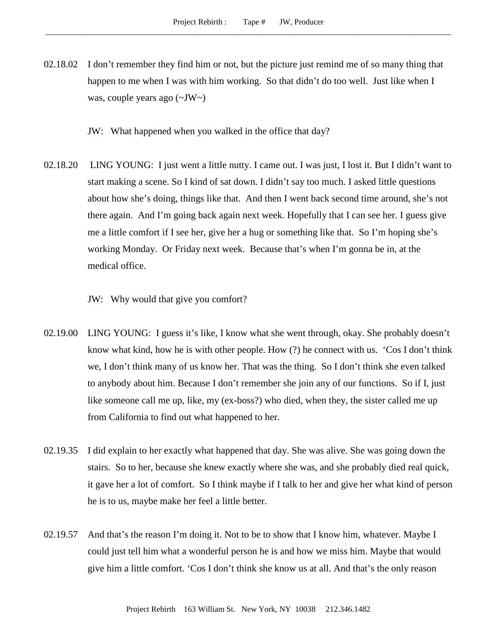- 02.18.02 I don't remember they find him or not, but the picture just remind me of so many thing that happen to me when I was with him working. So that didn't do too well. Just like when I was, couple years ago (~JW~)
	- JW: What happened when you walked in the office that day?
- 02.18.20 LING YOUNG: I just went a little nutty. I came out. I was just, I lost it. But I didn't want to start making a scene. So I kind of sat down. I didn't say too much. I asked little questions about how she's doing, things like that. And then I went back second time around, she's not there again. And I'm going back again next week. Hopefully that I can see her. I guess give me a little comfort if I see her, give her a hug or something like that. So I'm hoping she's working Monday. Or Friday next week. Because that's when I'm gonna be in, at the medical office.

JW: Why would that give you comfort?

- 02.19.00 LING YOUNG: I guess it's like, I know what she went through, okay. She probably doesn't know what kind, how he is with other people. How (?) he connect with us. 'Cos I don't think we, I don't think many of us know her. That was the thing. So I don't think she even talked to anybody about him. Because I don't remember she join any of our functions. So if I, just like someone call me up, like, my (ex-boss?) who died, when they, the sister called me up from California to find out what happened to her.
- 02.19.35 I did explain to her exactly what happened that day. She was alive. She was going down the stairs. So to her, because she knew exactly where she was, and she probably died real quick, it gave her a lot of comfort. So I think maybe if I talk to her and give her what kind of person he is to us, maybe make her feel a little better.
- 02.19.57 And that's the reason I'm doing it. Not to be to show that I know him, whatever. Maybe I could just tell him what a wonderful person he is and how we miss him. Maybe that would give him a little comfort. 'Cos I don't think she know us at all. And that's the only reason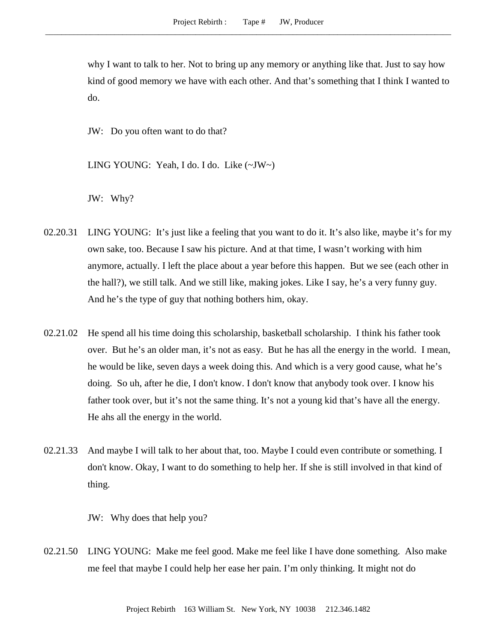why I want to talk to her. Not to bring up any memory or anything like that. Just to say how kind of good memory we have with each other. And that's something that I think I wanted to do.

JW: Do you often want to do that?

LING YOUNG: Yeah, I do. I do. Like (~JW~)

JW: Why?

- 02.20.31 LING YOUNG: It's just like a feeling that you want to do it. It's also like, maybe it's for my own sake, too. Because I saw his picture. And at that time, I wasn't working with him anymore, actually. I left the place about a year before this happen. But we see (each other in the hall?), we still talk. And we still like, making jokes. Like I say, he's a very funny guy. And he's the type of guy that nothing bothers him, okay.
- 02.21.02 He spend all his time doing this scholarship, basketball scholarship. I think his father took over. But he's an older man, it's not as easy. But he has all the energy in the world. I mean, he would be like, seven days a week doing this. And which is a very good cause, what he's doing. So uh, after he die, I don't know. I don't know that anybody took over. I know his father took over, but it's not the same thing. It's not a young kid that's have all the energy. He ahs all the energy in the world.
- 02.21.33 And maybe I will talk to her about that, too. Maybe I could even contribute or something. I don't know. Okay, I want to do something to help her. If she is still involved in that kind of thing.

JW: Why does that help you?

02.21.50 LING YOUNG: Make me feel good. Make me feel like I have done something. Also make me feel that maybe I could help her ease her pain. I'm only thinking. It might not do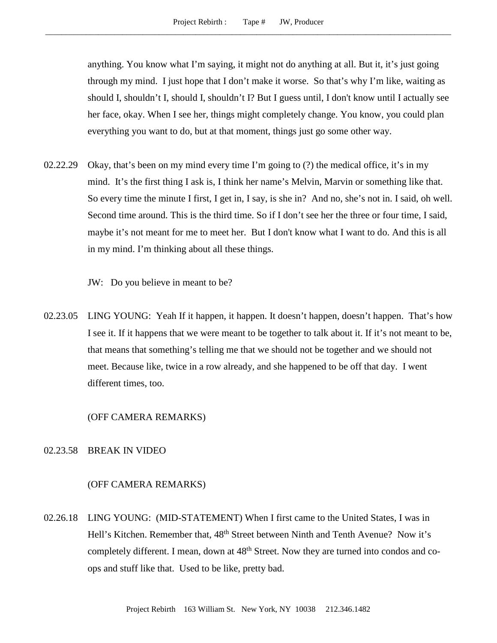anything. You know what I'm saying, it might not do anything at all. But it, it's just going through my mind. I just hope that I don't make it worse. So that's why I'm like, waiting as should I, shouldn't I, should I, shouldn't I? But I guess until, I don't know until I actually see her face, okay. When I see her, things might completely change. You know, you could plan everything you want to do, but at that moment, things just go some other way.

02.22.29 Okay, that's been on my mind every time I'm going to (?) the medical office, it's in my mind. It's the first thing I ask is, I think her name's Melvin, Marvin or something like that. So every time the minute I first, I get in, I say, is she in? And no, she's not in. I said, oh well. Second time around. This is the third time. So if I don't see her the three or four time, I said, maybe it's not meant for me to meet her. But I don't know what I want to do. And this is all in my mind. I'm thinking about all these things.

JW: Do you believe in meant to be?

02.23.05 LING YOUNG: Yeah If it happen, it happen. It doesn't happen, doesn't happen. That's how I see it. If it happens that we were meant to be together to talk about it. If it's not meant to be, that means that something's telling me that we should not be together and we should not meet. Because like, twice in a row already, and she happened to be off that day. I went different times, too.

(OFF CAMERA REMARKS)

## 02.23.58 BREAK IN VIDEO

## (OFF CAMERA REMARKS)

02.26.18 LING YOUNG: (MID-STATEMENT) When I first came to the United States, I was in Hell's Kitchen. Remember that, 48<sup>th</sup> Street between Ninth and Tenth Avenue? Now it's completely different. I mean, down at  $48<sup>th</sup>$  Street. Now they are turned into condos and coops and stuff like that. Used to be like, pretty bad.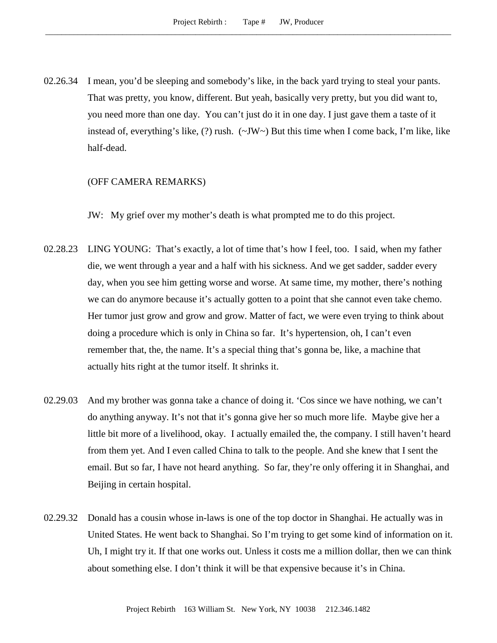02.26.34 I mean, you'd be sleeping and somebody's like, in the back yard trying to steal your pants. That was pretty, you know, different. But yeah, basically very pretty, but you did want to, you need more than one day. You can't just do it in one day. I just gave them a taste of it instead of, everything's like,  $(?)$  rush.  $(\sim JW \sim)$  But this time when I come back, I'm like, like half-dead.

#### (OFF CAMERA REMARKS)

JW: My grief over my mother's death is what prompted me to do this project.

- 02.28.23 LING YOUNG: That's exactly, a lot of time that's how I feel, too. I said, when my father die, we went through a year and a half with his sickness. And we get sadder, sadder every day, when you see him getting worse and worse. At same time, my mother, there's nothing we can do anymore because it's actually gotten to a point that she cannot even take chemo. Her tumor just grow and grow and grow. Matter of fact, we were even trying to think about doing a procedure which is only in China so far. It's hypertension, oh, I can't even remember that, the, the name. It's a special thing that's gonna be, like, a machine that actually hits right at the tumor itself. It shrinks it.
- 02.29.03 And my brother was gonna take a chance of doing it. 'Cos since we have nothing, we can't do anything anyway. It's not that it's gonna give her so much more life. Maybe give her a little bit more of a livelihood, okay. I actually emailed the, the company. I still haven't heard from them yet. And I even called China to talk to the people. And she knew that I sent the email. But so far, I have not heard anything. So far, they're only offering it in Shanghai, and Beijing in certain hospital.
- 02.29.32 Donald has a cousin whose in-laws is one of the top doctor in Shanghai. He actually was in United States. He went back to Shanghai. So I'm trying to get some kind of information on it. Uh, I might try it. If that one works out. Unless it costs me a million dollar, then we can think about something else. I don't think it will be that expensive because it's in China.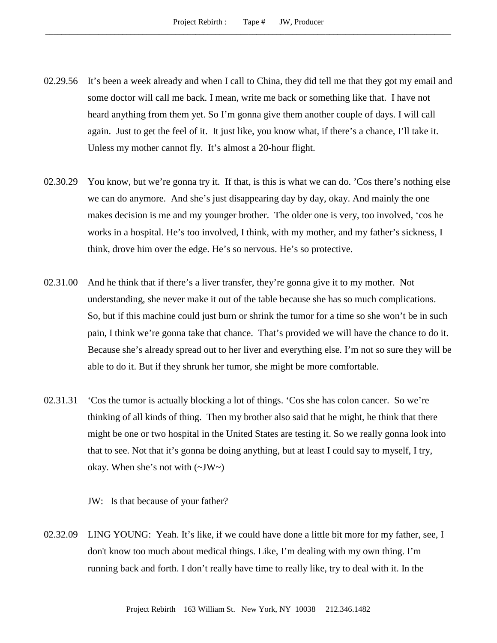- 02.29.56 It's been a week already and when I call to China, they did tell me that they got my email and some doctor will call me back. I mean, write me back or something like that. I have not heard anything from them yet. So I'm gonna give them another couple of days. I will call again. Just to get the feel of it. It just like, you know what, if there's a chance, I'll take it. Unless my mother cannot fly. It's almost a 20-hour flight.
- 02.30.29 You know, but we're gonna try it. If that, is this is what we can do. 'Cos there's nothing else we can do anymore. And she's just disappearing day by day, okay. And mainly the one makes decision is me and my younger brother. The older one is very, too involved, 'cos he works in a hospital. He's too involved, I think, with my mother, and my father's sickness, I think, drove him over the edge. He's so nervous. He's so protective.
- 02.31.00 And he think that if there's a liver transfer, they're gonna give it to my mother. Not understanding, she never make it out of the table because she has so much complications. So, but if this machine could just burn or shrink the tumor for a time so she won't be in such pain, I think we're gonna take that chance. That's provided we will have the chance to do it. Because she's already spread out to her liver and everything else. I'm not so sure they will be able to do it. But if they shrunk her tumor, she might be more comfortable.
- 02.31.31 'Cos the tumor is actually blocking a lot of things. 'Cos she has colon cancer. So we're thinking of all kinds of thing. Then my brother also said that he might, he think that there might be one or two hospital in the United States are testing it. So we really gonna look into that to see. Not that it's gonna be doing anything, but at least I could say to myself, I try, okay. When she's not with  $(\sim JW \sim)$

JW: Is that because of your father?

02.32.09 LING YOUNG: Yeah. It's like, if we could have done a little bit more for my father, see, I don't know too much about medical things. Like, I'm dealing with my own thing. I'm running back and forth. I don't really have time to really like, try to deal with it. In the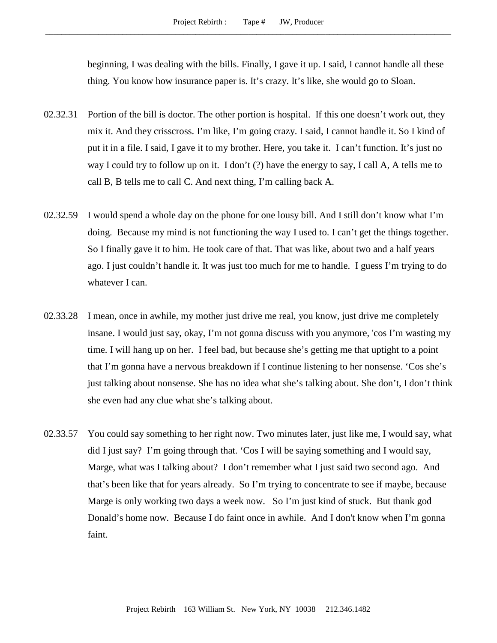beginning, I was dealing with the bills. Finally, I gave it up. I said, I cannot handle all these thing. You know how insurance paper is. It's crazy. It's like, she would go to Sloan.

- 02.32.31 Portion of the bill is doctor. The other portion is hospital. If this one doesn't work out, they mix it. And they crisscross. I'm like, I'm going crazy. I said, I cannot handle it. So I kind of put it in a file. I said, I gave it to my brother. Here, you take it. I can't function. It's just no way I could try to follow up on it. I don't (?) have the energy to say, I call A, A tells me to call B, B tells me to call C. And next thing, I'm calling back A.
- 02.32.59 I would spend a whole day on the phone for one lousy bill. And I still don't know what I'm doing. Because my mind is not functioning the way I used to. I can't get the things together. So I finally gave it to him. He took care of that. That was like, about two and a half years ago. I just couldn't handle it. It was just too much for me to handle. I guess I'm trying to do whatever I can.
- 02.33.28 I mean, once in awhile, my mother just drive me real, you know, just drive me completely insane. I would just say, okay, I'm not gonna discuss with you anymore, 'cos I'm wasting my time. I will hang up on her. I feel bad, but because she's getting me that uptight to a point that I'm gonna have a nervous breakdown if I continue listening to her nonsense. 'Cos she's just talking about nonsense. She has no idea what she's talking about. She don't, I don't think she even had any clue what she's talking about.
- 02.33.57 You could say something to her right now. Two minutes later, just like me, I would say, what did I just say? I'm going through that. 'Cos I will be saying something and I would say, Marge, what was I talking about? I don't remember what I just said two second ago. And that's been like that for years already. So I'm trying to concentrate to see if maybe, because Marge is only working two days a week now. So I'm just kind of stuck. But thank god Donald's home now. Because I do faint once in awhile. And I don't know when I'm gonna faint.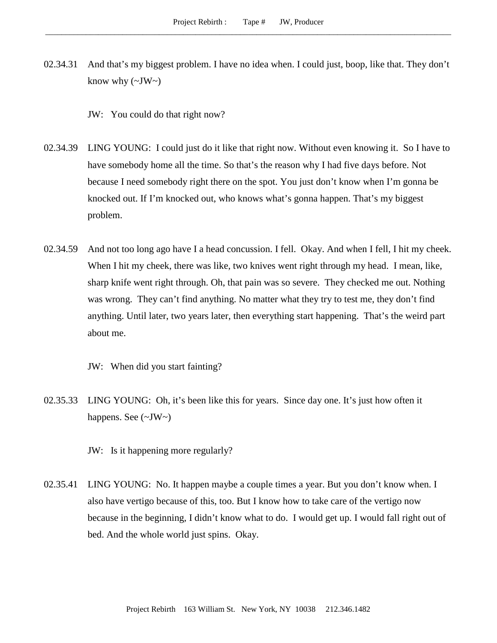02.34.31 And that's my biggest problem. I have no idea when. I could just, boop, like that. They don't know why  $(\sim JW \sim)$ 

JW: You could do that right now?

- 02.34.39 LING YOUNG: I could just do it like that right now. Without even knowing it. So I have to have somebody home all the time. So that's the reason why I had five days before. Not because I need somebody right there on the spot. You just don't know when I'm gonna be knocked out. If I'm knocked out, who knows what's gonna happen. That's my biggest problem.
- 02.34.59 And not too long ago have I a head concussion. I fell. Okay. And when I fell, I hit my cheek. When I hit my cheek, there was like, two knives went right through my head. I mean, like, sharp knife went right through. Oh, that pain was so severe. They checked me out. Nothing was wrong. They can't find anything. No matter what they try to test me, they don't find anything. Until later, two years later, then everything start happening. That's the weird part about me.

JW: When did you start fainting?

02.35.33 LING YOUNG: Oh, it's been like this for years. Since day one. It's just how often it happens. See (~JW~)

JW: Is it happening more regularly?

02.35.41 LING YOUNG: No. It happen maybe a couple times a year. But you don't know when. I also have vertigo because of this, too. But I know how to take care of the vertigo now because in the beginning, I didn't know what to do. I would get up. I would fall right out of bed. And the whole world just spins. Okay.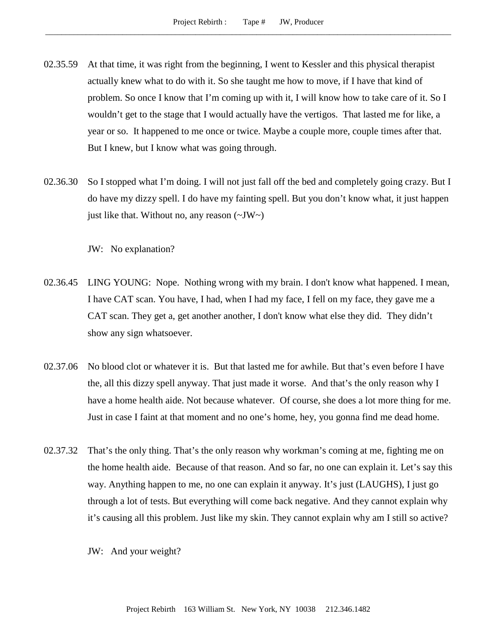- 02.35.59 At that time, it was right from the beginning, I went to Kessler and this physical therapist actually knew what to do with it. So she taught me how to move, if I have that kind of problem. So once I know that I'm coming up with it, I will know how to take care of it. So I wouldn't get to the stage that I would actually have the vertigos. That lasted me for like, a year or so. It happened to me once or twice. Maybe a couple more, couple times after that. But I knew, but I know what was going through.
- 02.36.30 So I stopped what I'm doing. I will not just fall off the bed and completely going crazy. But I do have my dizzy spell. I do have my fainting spell. But you don't know what, it just happen just like that. Without no, any reason  $(\sim JW)$

JW: No explanation?

- 02.36.45 LING YOUNG: Nope. Nothing wrong with my brain. I don't know what happened. I mean, I have CAT scan. You have, I had, when I had my face, I fell on my face, they gave me a CAT scan. They get a, get another another, I don't know what else they did. They didn't show any sign whatsoever.
- 02.37.06 No blood clot or whatever it is. But that lasted me for awhile. But that's even before I have the, all this dizzy spell anyway. That just made it worse. And that's the only reason why I have a home health aide. Not because whatever. Of course, she does a lot more thing for me. Just in case I faint at that moment and no one's home, hey, you gonna find me dead home.
- 02.37.32 That's the only thing. That's the only reason why workman's coming at me, fighting me on the home health aide. Because of that reason. And so far, no one can explain it. Let's say this way. Anything happen to me, no one can explain it anyway. It's just (LAUGHS), I just go through a lot of tests. But everything will come back negative. And they cannot explain why it's causing all this problem. Just like my skin. They cannot explain why am I still so active?
	- JW: And your weight?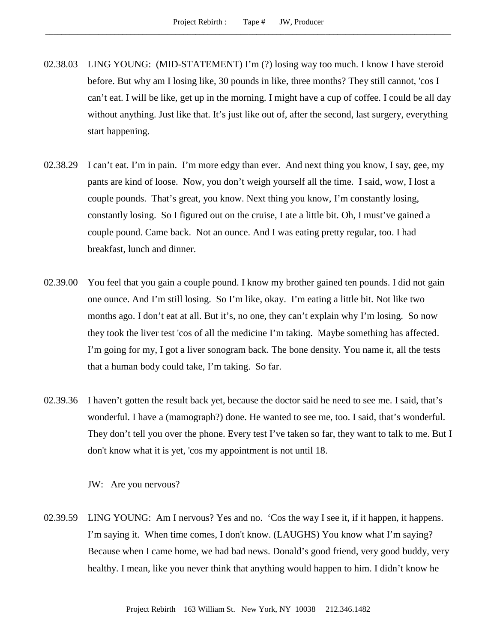- 02.38.03 LING YOUNG: (MID-STATEMENT) I'm (?) losing way too much. I know I have steroid before. But why am I losing like, 30 pounds in like, three months? They still cannot, 'cos I can't eat. I will be like, get up in the morning. I might have a cup of coffee. I could be all day without anything. Just like that. It's just like out of, after the second, last surgery, everything start happening.
- 02.38.29 I can't eat. I'm in pain. I'm more edgy than ever. And next thing you know, I say, gee, my pants are kind of loose. Now, you don't weigh yourself all the time. I said, wow, I lost a couple pounds. That's great, you know. Next thing you know, I'm constantly losing, constantly losing. So I figured out on the cruise, I ate a little bit. Oh, I must've gained a couple pound. Came back. Not an ounce. And I was eating pretty regular, too. I had breakfast, lunch and dinner.
- 02.39.00 You feel that you gain a couple pound. I know my brother gained ten pounds. I did not gain one ounce. And I'm still losing. So I'm like, okay. I'm eating a little bit. Not like two months ago. I don't eat at all. But it's, no one, they can't explain why I'm losing. So now they took the liver test 'cos of all the medicine I'm taking. Maybe something has affected. I'm going for my, I got a liver sonogram back. The bone density. You name it, all the tests that a human body could take, I'm taking. So far.
- 02.39.36 I haven't gotten the result back yet, because the doctor said he need to see me. I said, that's wonderful. I have a (mamograph?) done. He wanted to see me, too. I said, that's wonderful. They don't tell you over the phone. Every test I've taken so far, they want to talk to me. But I don't know what it is yet, 'cos my appointment is not until 18.

JW: Are you nervous?

02.39.59 LING YOUNG: Am I nervous? Yes and no. 'Cos the way I see it, if it happen, it happens. I'm saying it. When time comes, I don't know. (LAUGHS) You know what I'm saying? Because when I came home, we had bad news. Donald's good friend, very good buddy, very healthy. I mean, like you never think that anything would happen to him. I didn't know he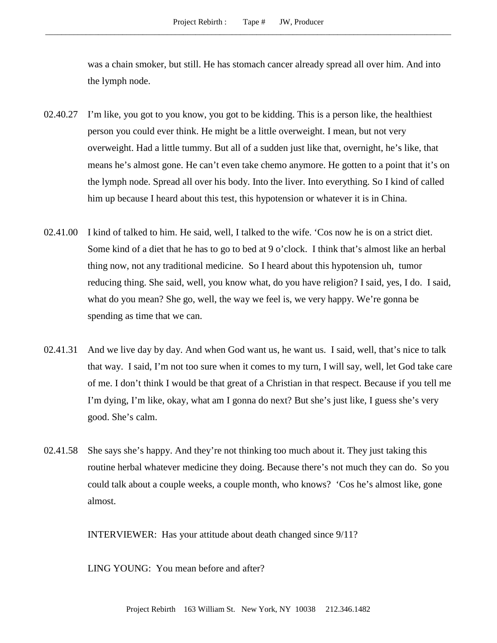was a chain smoker, but still. He has stomach cancer already spread all over him. And into the lymph node.

- 02.40.27 I'm like, you got to you know, you got to be kidding. This is a person like, the healthiest person you could ever think. He might be a little overweight. I mean, but not very overweight. Had a little tummy. But all of a sudden just like that, overnight, he's like, that means he's almost gone. He can't even take chemo anymore. He gotten to a point that it's on the lymph node. Spread all over his body. Into the liver. Into everything. So I kind of called him up because I heard about this test, this hypotension or whatever it is in China.
- 02.41.00 I kind of talked to him. He said, well, I talked to the wife. 'Cos now he is on a strict diet. Some kind of a diet that he has to go to bed at 9 o'clock. I think that's almost like an herbal thing now, not any traditional medicine. So I heard about this hypotension uh, tumor reducing thing. She said, well, you know what, do you have religion? I said, yes, I do. I said, what do you mean? She go, well, the way we feel is, we very happy. We're gonna be spending as time that we can.
- 02.41.31 And we live day by day. And when God want us, he want us. I said, well, that's nice to talk that way. I said, I'm not too sure when it comes to my turn, I will say, well, let God take care of me. I don't think I would be that great of a Christian in that respect. Because if you tell me I'm dying, I'm like, okay, what am I gonna do next? But she's just like, I guess she's very good. She's calm.
- 02.41.58 She says she's happy. And they're not thinking too much about it. They just taking this routine herbal whatever medicine they doing. Because there's not much they can do. So you could talk about a couple weeks, a couple month, who knows? 'Cos he's almost like, gone almost.

INTERVIEWER: Has your attitude about death changed since 9/11?

LING YOUNG: You mean before and after?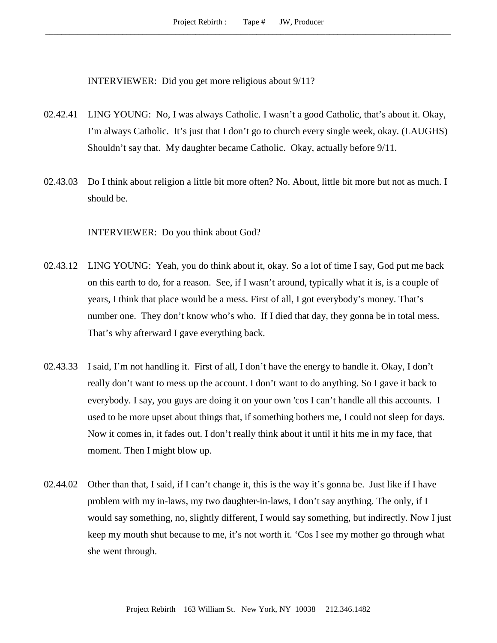INTERVIEWER: Did you get more religious about 9/11?

- 02.42.41 LING YOUNG: No, I was always Catholic. I wasn't a good Catholic, that's about it. Okay, I'm always Catholic. It's just that I don't go to church every single week, okay. (LAUGHS) Shouldn't say that. My daughter became Catholic. Okay, actually before 9/11.
- 02.43.03 Do I think about religion a little bit more often? No. About, little bit more but not as much. I should be.

INTERVIEWER: Do you think about God?

- 02.43.12 LING YOUNG: Yeah, you do think about it, okay. So a lot of time I say, God put me back on this earth to do, for a reason. See, if I wasn't around, typically what it is, is a couple of years, I think that place would be a mess. First of all, I got everybody's money. That's number one. They don't know who's who. If I died that day, they gonna be in total mess. That's why afterward I gave everything back.
- 02.43.33 I said, I'm not handling it. First of all, I don't have the energy to handle it. Okay, I don't really don't want to mess up the account. I don't want to do anything. So I gave it back to everybody. I say, you guys are doing it on your own 'cos I can't handle all this accounts. I used to be more upset about things that, if something bothers me, I could not sleep for days. Now it comes in, it fades out. I don't really think about it until it hits me in my face, that moment. Then I might blow up.
- 02.44.02 Other than that, I said, if I can't change it, this is the way it's gonna be. Just like if I have problem with my in-laws, my two daughter-in-laws, I don't say anything. The only, if I would say something, no, slightly different, I would say something, but indirectly. Now I just keep my mouth shut because to me, it's not worth it. 'Cos I see my mother go through what she went through.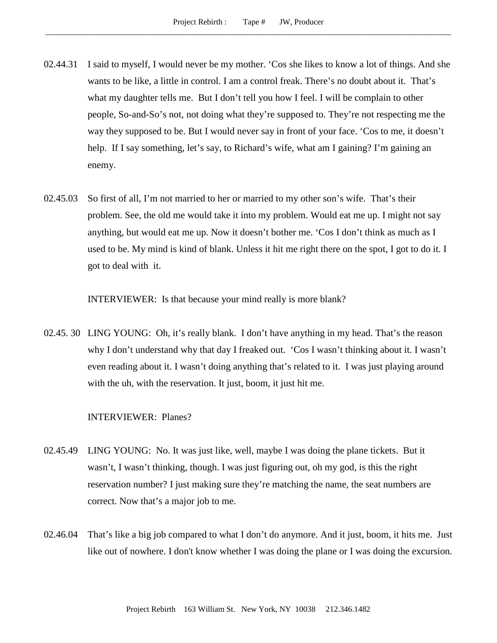- 02.44.31 I said to myself, I would never be my mother. 'Cos she likes to know a lot of things. And she wants to be like, a little in control. I am a control freak. There's no doubt about it. That's what my daughter tells me. But I don't tell you how I feel. I will be complain to other people, So-and-So's not, not doing what they're supposed to. They're not respecting me the way they supposed to be. But I would never say in front of your face. 'Cos to me, it doesn't help. If I say something, let's say, to Richard's wife, what am I gaining? I'm gaining an enemy.
- 02.45.03 So first of all, I'm not married to her or married to my other son's wife. That's their problem. See, the old me would take it into my problem. Would eat me up. I might not say anything, but would eat me up. Now it doesn't bother me. 'Cos I don't think as much as I used to be. My mind is kind of blank. Unless it hit me right there on the spot, I got to do it. I got to deal with it.

INTERVIEWER: Is that because your mind really is more blank?

02.45. 30 LING YOUNG: Oh, it's really blank. I don't have anything in my head. That's the reason why I don't understand why that day I freaked out. 'Cos I wasn't thinking about it. I wasn't even reading about it. I wasn't doing anything that's related to it. I was just playing around with the uh, with the reservation. It just, boom, it just hit me.

## INTERVIEWER: Planes?

- 02.45.49 LING YOUNG: No. It was just like, well, maybe I was doing the plane tickets. But it wasn't, I wasn't thinking, though. I was just figuring out, oh my god, is this the right reservation number? I just making sure they're matching the name, the seat numbers are correct. Now that's a major job to me.
- 02.46.04 That's like a big job compared to what I don't do anymore. And it just, boom, it hits me. Just like out of nowhere. I don't know whether I was doing the plane or I was doing the excursion.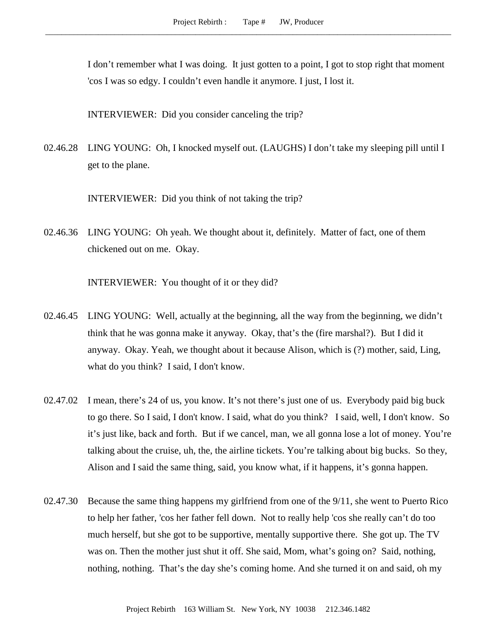I don't remember what I was doing. It just gotten to a point, I got to stop right that moment 'cos I was so edgy. I couldn't even handle it anymore. I just, I lost it.

INTERVIEWER: Did you consider canceling the trip?

02.46.28 LING YOUNG: Oh, I knocked myself out. (LAUGHS) I don't take my sleeping pill until I get to the plane.

INTERVIEWER: Did you think of not taking the trip?

02.46.36 LING YOUNG: Oh yeah. We thought about it, definitely. Matter of fact, one of them chickened out on me. Okay.

INTERVIEWER: You thought of it or they did?

- 02.46.45 LING YOUNG: Well, actually at the beginning, all the way from the beginning, we didn't think that he was gonna make it anyway. Okay, that's the (fire marshal?). But I did it anyway. Okay. Yeah, we thought about it because Alison, which is (?) mother, said, Ling, what do you think? I said, I don't know.
- 02.47.02 I mean, there's 24 of us, you know. It's not there's just one of us. Everybody paid big buck to go there. So I said, I don't know. I said, what do you think? I said, well, I don't know. So it's just like, back and forth. But if we cancel, man, we all gonna lose a lot of money. You're talking about the cruise, uh, the, the airline tickets. You're talking about big bucks. So they, Alison and I said the same thing, said, you know what, if it happens, it's gonna happen.
- 02.47.30 Because the same thing happens my girlfriend from one of the 9/11, she went to Puerto Rico to help her father, 'cos her father fell down. Not to really help 'cos she really can't do too much herself, but she got to be supportive, mentally supportive there. She got up. The TV was on. Then the mother just shut it off. She said, Mom, what's going on? Said, nothing, nothing, nothing. That's the day she's coming home. And she turned it on and said, oh my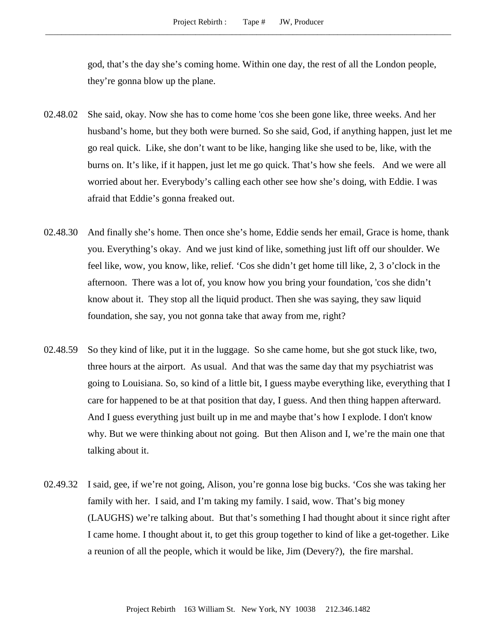god, that's the day she's coming home. Within one day, the rest of all the London people, they're gonna blow up the plane.

- 02.48.02 She said, okay. Now she has to come home 'cos she been gone like, three weeks. And her husband's home, but they both were burned. So she said, God, if anything happen, just let me go real quick. Like, she don't want to be like, hanging like she used to be, like, with the burns on. It's like, if it happen, just let me go quick. That's how she feels. And we were all worried about her. Everybody's calling each other see how she's doing, with Eddie. I was afraid that Eddie's gonna freaked out.
- 02.48.30 And finally she's home. Then once she's home, Eddie sends her email, Grace is home, thank you. Everything's okay. And we just kind of like, something just lift off our shoulder. We feel like, wow, you know, like, relief. 'Cos she didn't get home till like, 2, 3 o'clock in the afternoon. There was a lot of, you know how you bring your foundation, 'cos she didn't know about it. They stop all the liquid product. Then she was saying, they saw liquid foundation, she say, you not gonna take that away from me, right?
- 02.48.59 So they kind of like, put it in the luggage. So she came home, but she got stuck like, two, three hours at the airport. As usual. And that was the same day that my psychiatrist was going to Louisiana. So, so kind of a little bit, I guess maybe everything like, everything that I care for happened to be at that position that day, I guess. And then thing happen afterward. And I guess everything just built up in me and maybe that's how I explode. I don't know why. But we were thinking about not going. But then Alison and I, we're the main one that talking about it.
- 02.49.32 I said, gee, if we're not going, Alison, you're gonna lose big bucks. 'Cos she was taking her family with her. I said, and I'm taking my family. I said, wow. That's big money (LAUGHS) we're talking about. But that's something I had thought about it since right after I came home. I thought about it, to get this group together to kind of like a get-together. Like a reunion of all the people, which it would be like, Jim (Devery?), the fire marshal.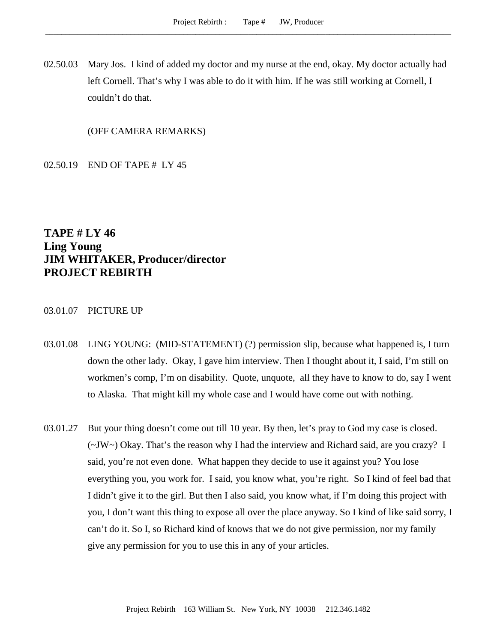02.50.03 Mary Jos. I kind of added my doctor and my nurse at the end, okay. My doctor actually had left Cornell. That's why I was able to do it with him. If he was still working at Cornell, I couldn't do that.

(OFF CAMERA REMARKS)

02.50.19 END OF TAPE # LY 45

**TAPE # LY 46 Ling Young JIM WHITAKER, Producer/director PROJECT REBIRTH**

## 03.01.07 PICTURE UP

- 03.01.08 LING YOUNG: (MID-STATEMENT) (?) permission slip, because what happened is, I turn down the other lady. Okay, I gave him interview. Then I thought about it, I said, I'm still on workmen's comp, I'm on disability. Quote, unquote, all they have to know to do, say I went to Alaska. That might kill my whole case and I would have come out with nothing.
- 03.01.27 But your thing doesn't come out till 10 year. By then, let's pray to God my case is closed. (~JW~) Okay. That's the reason why I had the interview and Richard said, are you crazy? I said, you're not even done. What happen they decide to use it against you? You lose everything you, you work for. I said, you know what, you're right. So I kind of feel bad that I didn't give it to the girl. But then I also said, you know what, if I'm doing this project with you, I don't want this thing to expose all over the place anyway. So I kind of like said sorry, I can't do it. So I, so Richard kind of knows that we do not give permission, nor my family give any permission for you to use this in any of your articles.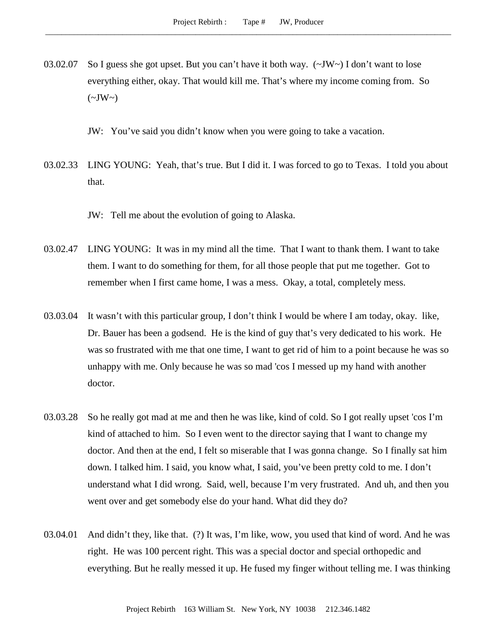03.02.07 So I guess she got upset. But you can't have it both way. (~JW~) I don't want to lose everything either, okay. That would kill me. That's where my income coming from. So  $(\sim JW \sim)$ 

JW: You've said you didn't know when you were going to take a vacation.

- 03.02.33 LING YOUNG: Yeah, that's true. But I did it. I was forced to go to Texas. I told you about that.
	- JW: Tell me about the evolution of going to Alaska.
- 03.02.47 LING YOUNG: It was in my mind all the time. That I want to thank them. I want to take them. I want to do something for them, for all those people that put me together. Got to remember when I first came home, I was a mess. Okay, a total, completely mess.
- 03.03.04 It wasn't with this particular group, I don't think I would be where I am today, okay. like, Dr. Bauer has been a godsend. He is the kind of guy that's very dedicated to his work. He was so frustrated with me that one time, I want to get rid of him to a point because he was so unhappy with me. Only because he was so mad 'cos I messed up my hand with another doctor.
- 03.03.28 So he really got mad at me and then he was like, kind of cold. So I got really upset 'cos I'm kind of attached to him. So I even went to the director saying that I want to change my doctor. And then at the end, I felt so miserable that I was gonna change. So I finally sat him down. I talked him. I said, you know what, I said, you've been pretty cold to me. I don't understand what I did wrong. Said, well, because I'm very frustrated. And uh, and then you went over and get somebody else do your hand. What did they do?
- 03.04.01 And didn't they, like that. (?) It was, I'm like, wow, you used that kind of word. And he was right. He was 100 percent right. This was a special doctor and special orthopedic and everything. But he really messed it up. He fused my finger without telling me. I was thinking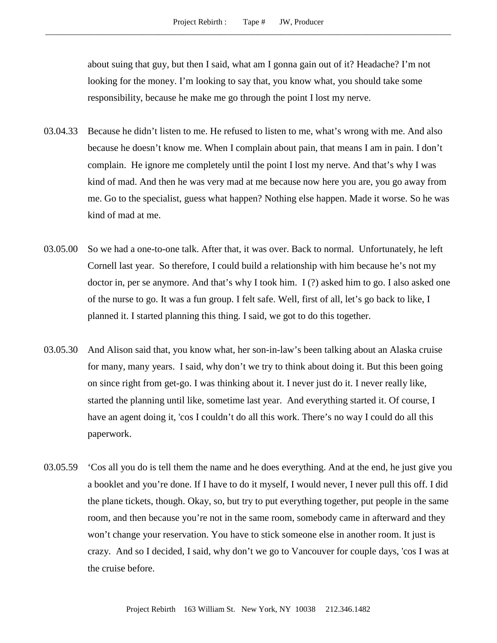about suing that guy, but then I said, what am I gonna gain out of it? Headache? I'm not looking for the money. I'm looking to say that, you know what, you should take some responsibility, because he make me go through the point I lost my nerve.

- 03.04.33 Because he didn't listen to me. He refused to listen to me, what's wrong with me. And also because he doesn't know me. When I complain about pain, that means I am in pain. I don't complain. He ignore me completely until the point I lost my nerve. And that's why I was kind of mad. And then he was very mad at me because now here you are, you go away from me. Go to the specialist, guess what happen? Nothing else happen. Made it worse. So he was kind of mad at me.
- 03.05.00 So we had a one-to-one talk. After that, it was over. Back to normal. Unfortunately, he left Cornell last year. So therefore, I could build a relationship with him because he's not my doctor in, per se anymore. And that's why I took him. I (?) asked him to go. I also asked one of the nurse to go. It was a fun group. I felt safe. Well, first of all, let's go back to like, I planned it. I started planning this thing. I said, we got to do this together.
- 03.05.30 And Alison said that, you know what, her son-in-law's been talking about an Alaska cruise for many, many years. I said, why don't we try to think about doing it. But this been going on since right from get-go. I was thinking about it. I never just do it. I never really like, started the planning until like, sometime last year. And everything started it. Of course, I have an agent doing it, 'cos I couldn't do all this work. There's no way I could do all this paperwork.
- 03.05.59 'Cos all you do is tell them the name and he does everything. And at the end, he just give you a booklet and you're done. If I have to do it myself, I would never, I never pull this off. I did the plane tickets, though. Okay, so, but try to put everything together, put people in the same room, and then because you're not in the same room, somebody came in afterward and they won't change your reservation. You have to stick someone else in another room. It just is crazy. And so I decided, I said, why don't we go to Vancouver for couple days, 'cos I was at the cruise before.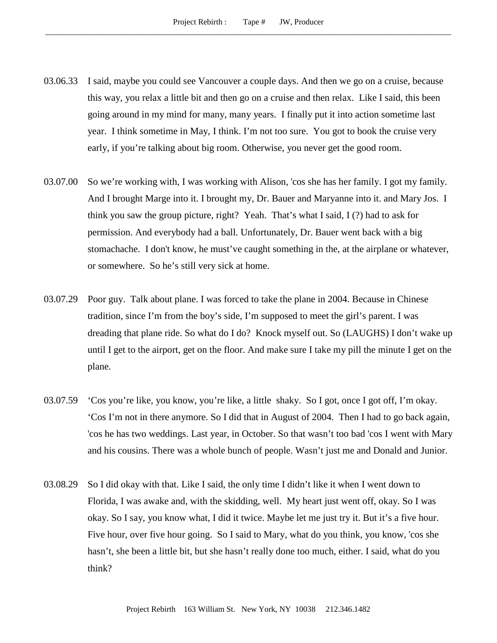- 03.06.33 I said, maybe you could see Vancouver a couple days. And then we go on a cruise, because this way, you relax a little bit and then go on a cruise and then relax. Like I said, this been going around in my mind for many, many years. I finally put it into action sometime last year. I think sometime in May, I think. I'm not too sure. You got to book the cruise very early, if you're talking about big room. Otherwise, you never get the good room.
- 03.07.00 So we're working with, I was working with Alison, 'cos she has her family. I got my family. And I brought Marge into it. I brought my, Dr. Bauer and Maryanne into it. and Mary Jos. I think you saw the group picture, right? Yeah. That's what I said, I (?) had to ask for permission. And everybody had a ball. Unfortunately, Dr. Bauer went back with a big stomachache. I don't know, he must've caught something in the, at the airplane or whatever, or somewhere. So he's still very sick at home.
- 03.07.29 Poor guy. Talk about plane. I was forced to take the plane in 2004. Because in Chinese tradition, since I'm from the boy's side, I'm supposed to meet the girl's parent. I was dreading that plane ride. So what do I do? Knock myself out. So (LAUGHS) I don't wake up until I get to the airport, get on the floor. And make sure I take my pill the minute I get on the plane.
- 03.07.59 'Cos you're like, you know, you're like, a little shaky. So I got, once I got off, I'm okay. 'Cos I'm not in there anymore. So I did that in August of 2004. Then I had to go back again, 'cos he has two weddings. Last year, in October. So that wasn't too bad 'cos I went with Mary and his cousins. There was a whole bunch of people. Wasn't just me and Donald and Junior.
- 03.08.29 So I did okay with that. Like I said, the only time I didn't like it when I went down to Florida, I was awake and, with the skidding, well. My heart just went off, okay. So I was okay. So I say, you know what, I did it twice. Maybe let me just try it. But it's a five hour. Five hour, over five hour going. So I said to Mary, what do you think, you know, 'cos she hasn't, she been a little bit, but she hasn't really done too much, either. I said, what do you think?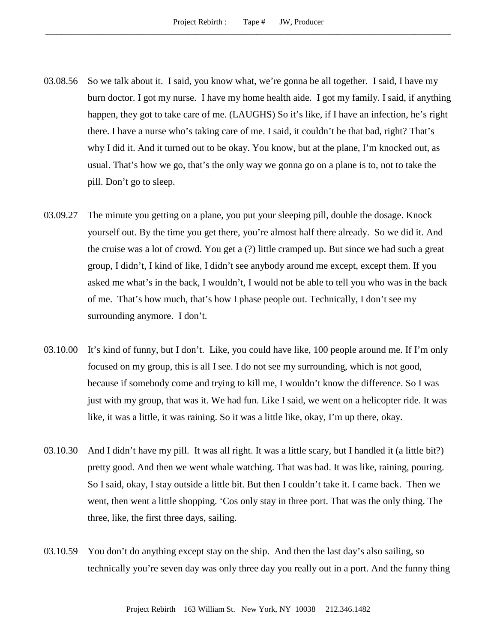- 03.08.56 So we talk about it. I said, you know what, we're gonna be all together. I said, I have my burn doctor. I got my nurse. I have my home health aide. I got my family. I said, if anything happen, they got to take care of me. (LAUGHS) So it's like, if I have an infection, he's right there. I have a nurse who's taking care of me. I said, it couldn't be that bad, right? That's why I did it. And it turned out to be okay. You know, but at the plane, I'm knocked out, as usual. That's how we go, that's the only way we gonna go on a plane is to, not to take the pill. Don't go to sleep.
- 03.09.27 The minute you getting on a plane, you put your sleeping pill, double the dosage. Knock yourself out. By the time you get there, you're almost half there already. So we did it. And the cruise was a lot of crowd. You get a (?) little cramped up. But since we had such a great group, I didn't, I kind of like, I didn't see anybody around me except, except them. If you asked me what's in the back, I wouldn't, I would not be able to tell you who was in the back of me. That's how much, that's how I phase people out. Technically, I don't see my surrounding anymore. I don't.
- 03.10.00 It's kind of funny, but I don't. Like, you could have like, 100 people around me. If I'm only focused on my group, this is all I see. I do not see my surrounding, which is not good, because if somebody come and trying to kill me, I wouldn't know the difference. So I was just with my group, that was it. We had fun. Like I said, we went on a helicopter ride. It was like, it was a little, it was raining. So it was a little like, okay, I'm up there, okay.
- 03.10.30 And I didn't have my pill. It was all right. It was a little scary, but I handled it (a little bit?) pretty good. And then we went whale watching. That was bad. It was like, raining, pouring. So I said, okay, I stay outside a little bit. But then I couldn't take it. I came back. Then we went, then went a little shopping. 'Cos only stay in three port. That was the only thing. The three, like, the first three days, sailing.
- 03.10.59 You don't do anything except stay on the ship. And then the last day's also sailing, so technically you're seven day was only three day you really out in a port. And the funny thing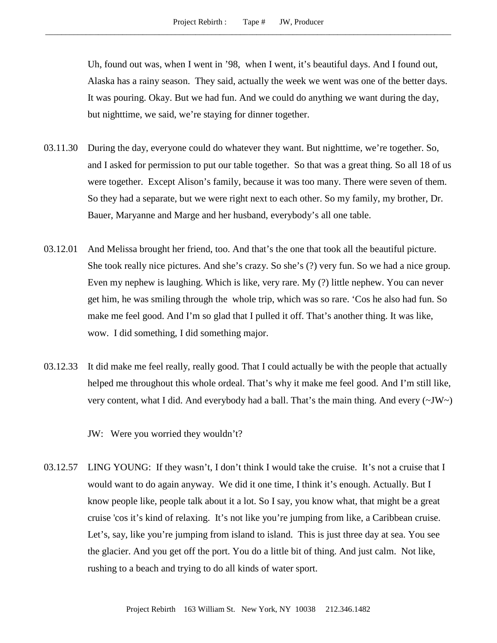Uh, found out was, when I went in '98, when I went, it's beautiful days. And I found out, Alaska has a rainy season. They said, actually the week we went was one of the better days. It was pouring. Okay. But we had fun. And we could do anything we want during the day, but nighttime, we said, we're staying for dinner together.

- 03.11.30 During the day, everyone could do whatever they want. But nighttime, we're together. So, and I asked for permission to put our table together. So that was a great thing. So all 18 of us were together. Except Alison's family, because it was too many. There were seven of them. So they had a separate, but we were right next to each other. So my family, my brother, Dr. Bauer, Maryanne and Marge and her husband, everybody's all one table.
- 03.12.01 And Melissa brought her friend, too. And that's the one that took all the beautiful picture. She took really nice pictures. And she's crazy. So she's (?) very fun. So we had a nice group. Even my nephew is laughing. Which is like, very rare. My (?) little nephew. You can never get him, he was smiling through the whole trip, which was so rare. 'Cos he also had fun. So make me feel good. And I'm so glad that I pulled it off. That's another thing. It was like, wow. I did something, I did something major.
- 03.12.33 It did make me feel really, really good. That I could actually be with the people that actually helped me throughout this whole ordeal. That's why it make me feel good. And I'm still like, very content, what I did. And everybody had a ball. That's the main thing. And every  $(\sim JW)$

JW: Were you worried they wouldn't?

03.12.57 LING YOUNG: If they wasn't, I don't think I would take the cruise. It's not a cruise that I would want to do again anyway. We did it one time, I think it's enough. Actually. But I know people like, people talk about it a lot. So I say, you know what, that might be a great cruise 'cos it's kind of relaxing. It's not like you're jumping from like, a Caribbean cruise. Let's, say, like you're jumping from island to island. This is just three day at sea. You see the glacier. And you get off the port. You do a little bit of thing. And just calm. Not like, rushing to a beach and trying to do all kinds of water sport.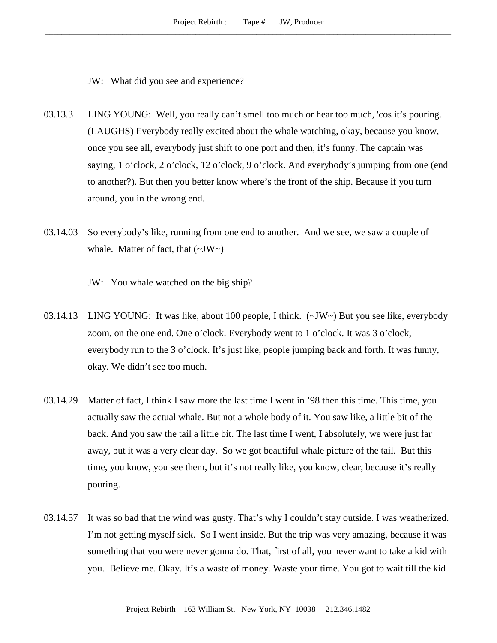JW: What did you see and experience?

- 03.13.3 LING YOUNG: Well, you really can't smell too much or hear too much, 'cos it's pouring. (LAUGHS) Everybody really excited about the whale watching, okay, because you know, once you see all, everybody just shift to one port and then, it's funny. The captain was saying, 1 o'clock, 2 o'clock, 12 o'clock, 9 o'clock. And everybody's jumping from one (end to another?). But then you better know where's the front of the ship. Because if you turn around, you in the wrong end.
- 03.14.03 So everybody's like, running from one end to another. And we see, we saw a couple of whale. Matter of fact, that  $(\sim JW \sim)$ 
	- JW: You whale watched on the big ship?
- 03.14.13 LING YOUNG: It was like, about 100 people, I think.  $(\sim JW \sim)$  But you see like, everybody zoom, on the one end. One o'clock. Everybody went to 1 o'clock. It was 3 o'clock, everybody run to the 3 o'clock. It's just like, people jumping back and forth. It was funny, okay. We didn't see too much.
- 03.14.29 Matter of fact, I think I saw more the last time I went in '98 then this time. This time, you actually saw the actual whale. But not a whole body of it. You saw like, a little bit of the back. And you saw the tail a little bit. The last time I went, I absolutely, we were just far away, but it was a very clear day. So we got beautiful whale picture of the tail. But this time, you know, you see them, but it's not really like, you know, clear, because it's really pouring.
- 03.14.57 It was so bad that the wind was gusty. That's why I couldn't stay outside. I was weatherized. I'm not getting myself sick. So I went inside. But the trip was very amazing, because it was something that you were never gonna do. That, first of all, you never want to take a kid with you. Believe me. Okay. It's a waste of money. Waste your time. You got to wait till the kid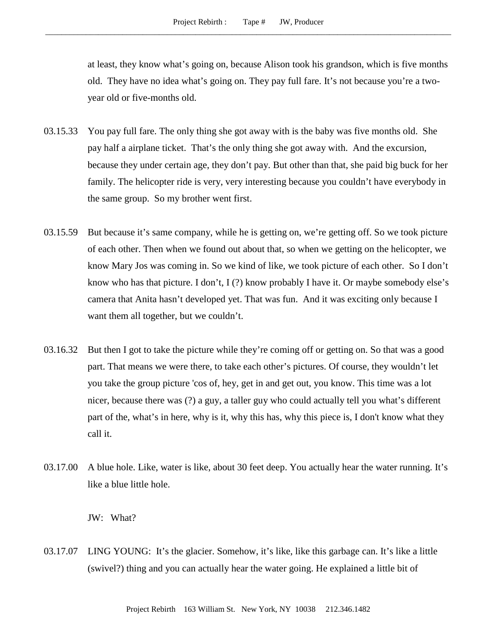at least, they know what's going on, because Alison took his grandson, which is five months old. They have no idea what's going on. They pay full fare. It's not because you're a twoyear old or five-months old.

- 03.15.33 You pay full fare. The only thing she got away with is the baby was five months old. She pay half a airplane ticket. That's the only thing she got away with. And the excursion, because they under certain age, they don't pay. But other than that, she paid big buck for her family. The helicopter ride is very, very interesting because you couldn't have everybody in the same group. So my brother went first.
- 03.15.59 But because it's same company, while he is getting on, we're getting off. So we took picture of each other. Then when we found out about that, so when we getting on the helicopter, we know Mary Jos was coming in. So we kind of like, we took picture of each other. So I don't know who has that picture. I don't, I (?) know probably I have it. Or maybe somebody else's camera that Anita hasn't developed yet. That was fun. And it was exciting only because I want them all together, but we couldn't.
- 03.16.32 But then I got to take the picture while they're coming off or getting on. So that was a good part. That means we were there, to take each other's pictures. Of course, they wouldn't let you take the group picture 'cos of, hey, get in and get out, you know. This time was a lot nicer, because there was (?) a guy, a taller guy who could actually tell you what's different part of the, what's in here, why is it, why this has, why this piece is, I don't know what they call it.
- 03.17.00 A blue hole. Like, water is like, about 30 feet deep. You actually hear the water running. It's like a blue little hole.

JW: What?

03.17.07 LING YOUNG: It's the glacier. Somehow, it's like, like this garbage can. It's like a little (swivel?) thing and you can actually hear the water going. He explained a little bit of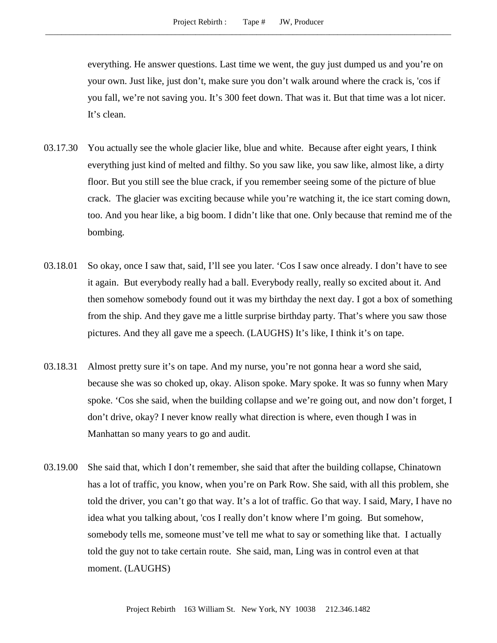everything. He answer questions. Last time we went, the guy just dumped us and you're on your own. Just like, just don't, make sure you don't walk around where the crack is, 'cos if you fall, we're not saving you. It's 300 feet down. That was it. But that time was a lot nicer. It's clean.

- 03.17.30 You actually see the whole glacier like, blue and white. Because after eight years, I think everything just kind of melted and filthy. So you saw like, you saw like, almost like, a dirty floor. But you still see the blue crack, if you remember seeing some of the picture of blue crack. The glacier was exciting because while you're watching it, the ice start coming down, too. And you hear like, a big boom. I didn't like that one. Only because that remind me of the bombing.
- 03.18.01 So okay, once I saw that, said, I'll see you later. 'Cos I saw once already. I don't have to see it again. But everybody really had a ball. Everybody really, really so excited about it. And then somehow somebody found out it was my birthday the next day. I got a box of something from the ship. And they gave me a little surprise birthday party. That's where you saw those pictures. And they all gave me a speech. (LAUGHS) It's like, I think it's on tape.
- 03.18.31 Almost pretty sure it's on tape. And my nurse, you're not gonna hear a word she said, because she was so choked up, okay. Alison spoke. Mary spoke. It was so funny when Mary spoke. 'Cos she said, when the building collapse and we're going out, and now don't forget, I don't drive, okay? I never know really what direction is where, even though I was in Manhattan so many years to go and audit.
- 03.19.00 She said that, which I don't remember, she said that after the building collapse, Chinatown has a lot of traffic, you know, when you're on Park Row. She said, with all this problem, she told the driver, you can't go that way. It's a lot of traffic. Go that way. I said, Mary, I have no idea what you talking about, 'cos I really don't know where I'm going. But somehow, somebody tells me, someone must've tell me what to say or something like that. I actually told the guy not to take certain route. She said, man, Ling was in control even at that moment. (LAUGHS)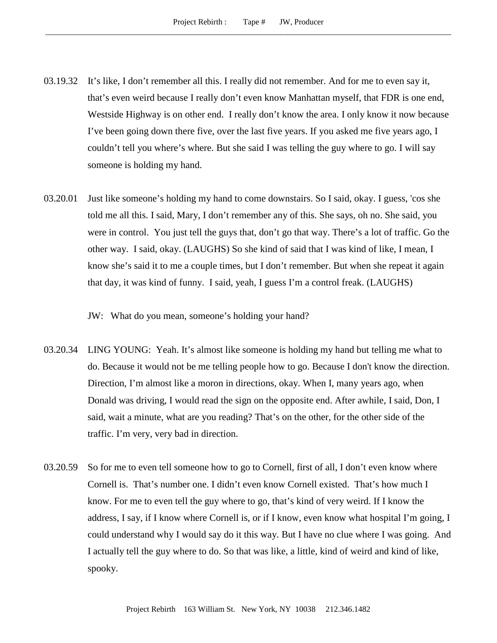- 03.19.32 It's like, I don't remember all this. I really did not remember. And for me to even say it, that's even weird because I really don't even know Manhattan myself, that FDR is one end, Westside Highway is on other end. I really don't know the area. I only know it now because I've been going down there five, over the last five years. If you asked me five years ago, I couldn't tell you where's where. But she said I was telling the guy where to go. I will say someone is holding my hand.
- 03.20.01 Just like someone's holding my hand to come downstairs. So I said, okay. I guess, 'cos she told me all this. I said, Mary, I don't remember any of this. She says, oh no. She said, you were in control. You just tell the guys that, don't go that way. There's a lot of traffic. Go the other way. I said, okay. (LAUGHS) So she kind of said that I was kind of like, I mean, I know she's said it to me a couple times, but I don't remember. But when she repeat it again that day, it was kind of funny. I said, yeah, I guess I'm a control freak. (LAUGHS)

JW: What do you mean, someone's holding your hand?

- 03.20.34 LING YOUNG: Yeah. It's almost like someone is holding my hand but telling me what to do. Because it would not be me telling people how to go. Because I don't know the direction. Direction, I'm almost like a moron in directions, okay. When I, many years ago, when Donald was driving, I would read the sign on the opposite end. After awhile, I said, Don, I said, wait a minute, what are you reading? That's on the other, for the other side of the traffic. I'm very, very bad in direction.
- 03.20.59 So for me to even tell someone how to go to Cornell, first of all, I don't even know where Cornell is. That's number one. I didn't even know Cornell existed. That's how much I know. For me to even tell the guy where to go, that's kind of very weird. If I know the address, I say, if I know where Cornell is, or if I know, even know what hospital I'm going, I could understand why I would say do it this way. But I have no clue where I was going. And I actually tell the guy where to do. So that was like, a little, kind of weird and kind of like, spooky.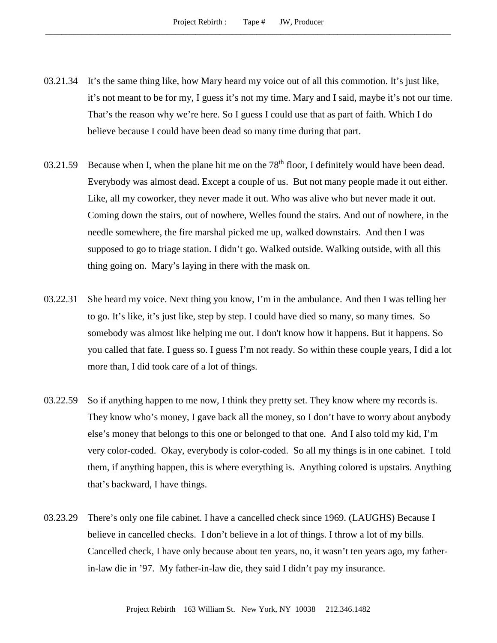- 03.21.34 It's the same thing like, how Mary heard my voice out of all this commotion. It's just like, it's not meant to be for my, I guess it's not my time. Mary and I said, maybe it's not our time. That's the reason why we're here. So I guess I could use that as part of faith. Which I do believe because I could have been dead so many time during that part.
- 03.21.59 Because when I, when the plane hit me on the  $78<sup>th</sup>$  floor, I definitely would have been dead. Everybody was almost dead. Except a couple of us. But not many people made it out either. Like, all my coworker, they never made it out. Who was alive who but never made it out. Coming down the stairs, out of nowhere, Welles found the stairs. And out of nowhere, in the needle somewhere, the fire marshal picked me up, walked downstairs. And then I was supposed to go to triage station. I didn't go. Walked outside. Walking outside, with all this thing going on. Mary's laying in there with the mask on.
- 03.22.31 She heard my voice. Next thing you know, I'm in the ambulance. And then I was telling her to go. It's like, it's just like, step by step. I could have died so many, so many times. So somebody was almost like helping me out. I don't know how it happens. But it happens. So you called that fate. I guess so. I guess I'm not ready. So within these couple years, I did a lot more than, I did took care of a lot of things.
- 03.22.59 So if anything happen to me now, I think they pretty set. They know where my records is. They know who's money, I gave back all the money, so I don't have to worry about anybody else's money that belongs to this one or belonged to that one. And I also told my kid, I'm very color-coded. Okay, everybody is color-coded. So all my things is in one cabinet. I told them, if anything happen, this is where everything is. Anything colored is upstairs. Anything that's backward, I have things.
- 03.23.29 There's only one file cabinet. I have a cancelled check since 1969. (LAUGHS) Because I believe in cancelled checks. I don't believe in a lot of things. I throw a lot of my bills. Cancelled check, I have only because about ten years, no, it wasn't ten years ago, my fatherin-law die in '97. My father-in-law die, they said I didn't pay my insurance.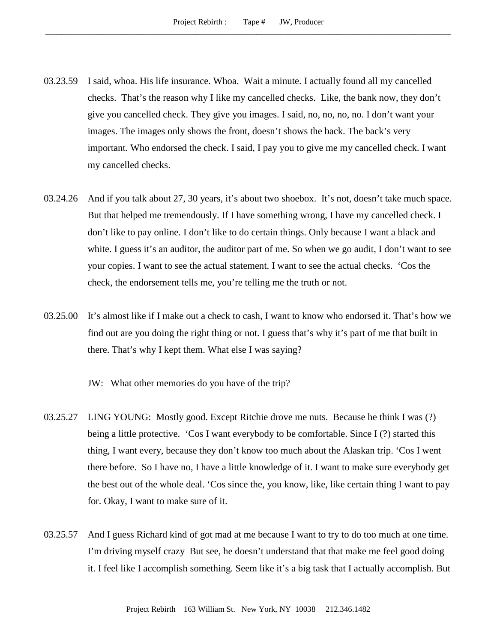- 03.23.59 I said, whoa. His life insurance. Whoa. Wait a minute. I actually found all my cancelled checks. That's the reason why I like my cancelled checks. Like, the bank now, they don't give you cancelled check. They give you images. I said, no, no, no, no. I don't want your images. The images only shows the front, doesn't shows the back. The back's very important. Who endorsed the check. I said, I pay you to give me my cancelled check. I want my cancelled checks.
- 03.24.26 And if you talk about 27, 30 years, it's about two shoebox. It's not, doesn't take much space. But that helped me tremendously. If I have something wrong, I have my cancelled check. I don't like to pay online. I don't like to do certain things. Only because I want a black and white. I guess it's an auditor, the auditor part of me. So when we go audit, I don't want to see your copies. I want to see the actual statement. I want to see the actual checks. 'Cos the check, the endorsement tells me, you're telling me the truth or not.
- 03.25.00 It's almost like if I make out a check to cash, I want to know who endorsed it. That's how we find out are you doing the right thing or not. I guess that's why it's part of me that built in there. That's why I kept them. What else I was saying?

JW: What other memories do you have of the trip?

- 03.25.27 LING YOUNG: Mostly good. Except Ritchie drove me nuts. Because he think I was (?) being a little protective. 'Cos I want everybody to be comfortable. Since I (?) started this thing, I want every, because they don't know too much about the Alaskan trip. 'Cos I went there before. So I have no, I have a little knowledge of it. I want to make sure everybody get the best out of the whole deal. 'Cos since the, you know, like, like certain thing I want to pay for. Okay, I want to make sure of it.
- 03.25.57 And I guess Richard kind of got mad at me because I want to try to do too much at one time. I'm driving myself crazy But see, he doesn't understand that that make me feel good doing it. I feel like I accomplish something. Seem like it's a big task that I actually accomplish. But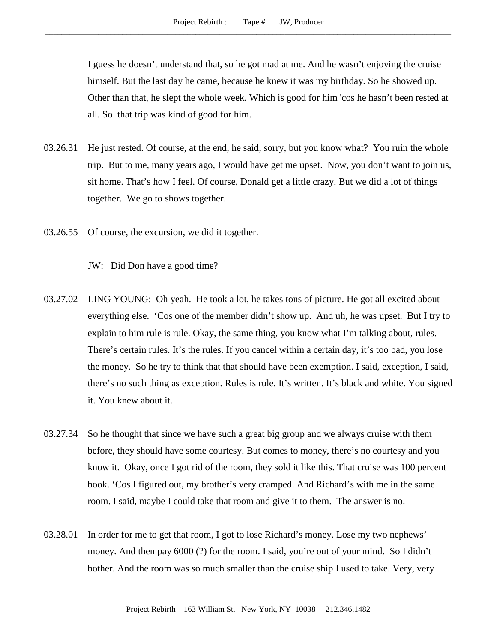I guess he doesn't understand that, so he got mad at me. And he wasn't enjoying the cruise himself. But the last day he came, because he knew it was my birthday. So he showed up. Other than that, he slept the whole week. Which is good for him 'cos he hasn't been rested at all. So that trip was kind of good for him.

- 03.26.31 He just rested. Of course, at the end, he said, sorry, but you know what? You ruin the whole trip. But to me, many years ago, I would have get me upset. Now, you don't want to join us, sit home. That's how I feel. Of course, Donald get a little crazy. But we did a lot of things together. We go to shows together.
- 03.26.55 Of course, the excursion, we did it together.

JW: Did Don have a good time?

- 03.27.02 LING YOUNG: Oh yeah. He took a lot, he takes tons of picture. He got all excited about everything else. 'Cos one of the member didn't show up. And uh, he was upset. But I try to explain to him rule is rule. Okay, the same thing, you know what I'm talking about, rules. There's certain rules. It's the rules. If you cancel within a certain day, it's too bad, you lose the money. So he try to think that that should have been exemption. I said, exception, I said, there's no such thing as exception. Rules is rule. It's written. It's black and white. You signed it. You knew about it.
- 03.27.34 So he thought that since we have such a great big group and we always cruise with them before, they should have some courtesy. But comes to money, there's no courtesy and you know it. Okay, once I got rid of the room, they sold it like this. That cruise was 100 percent book. 'Cos I figured out, my brother's very cramped. And Richard's with me in the same room. I said, maybe I could take that room and give it to them. The answer is no.
- 03.28.01 In order for me to get that room, I got to lose Richard's money. Lose my two nephews' money. And then pay 6000 (?) for the room. I said, you're out of your mind. So I didn't bother. And the room was so much smaller than the cruise ship I used to take. Very, very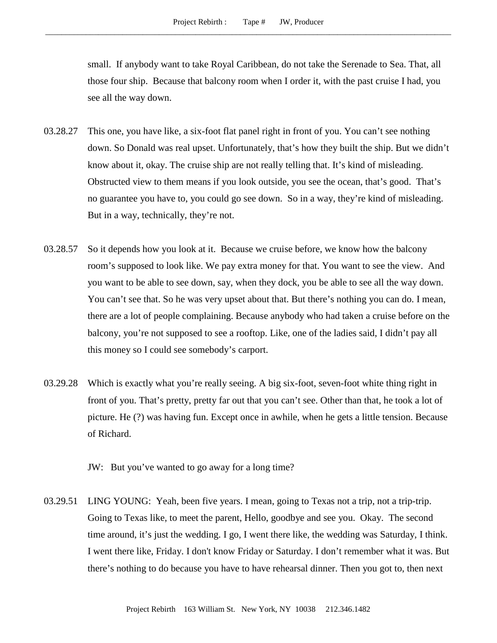small. If anybody want to take Royal Caribbean, do not take the Serenade to Sea. That, all those four ship. Because that balcony room when I order it, with the past cruise I had, you see all the way down.

- 03.28.27 This one, you have like, a six-foot flat panel right in front of you. You can't see nothing down. So Donald was real upset. Unfortunately, that's how they built the ship. But we didn't know about it, okay. The cruise ship are not really telling that. It's kind of misleading. Obstructed view to them means if you look outside, you see the ocean, that's good. That's no guarantee you have to, you could go see down. So in a way, they're kind of misleading. But in a way, technically, they're not.
- 03.28.57 So it depends how you look at it. Because we cruise before, we know how the balcony room's supposed to look like. We pay extra money for that. You want to see the view. And you want to be able to see down, say, when they dock, you be able to see all the way down. You can't see that. So he was very upset about that. But there's nothing you can do. I mean, there are a lot of people complaining. Because anybody who had taken a cruise before on the balcony, you're not supposed to see a rooftop. Like, one of the ladies said, I didn't pay all this money so I could see somebody's carport.
- 03.29.28 Which is exactly what you're really seeing. A big six-foot, seven-foot white thing right in front of you. That's pretty, pretty far out that you can't see. Other than that, he took a lot of picture. He (?) was having fun. Except once in awhile, when he gets a little tension. Because of Richard.

JW: But you've wanted to go away for a long time?

03.29.51 LING YOUNG: Yeah, been five years. I mean, going to Texas not a trip, not a trip-trip. Going to Texas like, to meet the parent, Hello, goodbye and see you. Okay. The second time around, it's just the wedding. I go, I went there like, the wedding was Saturday, I think. I went there like, Friday. I don't know Friday or Saturday. I don't remember what it was. But there's nothing to do because you have to have rehearsal dinner. Then you got to, then next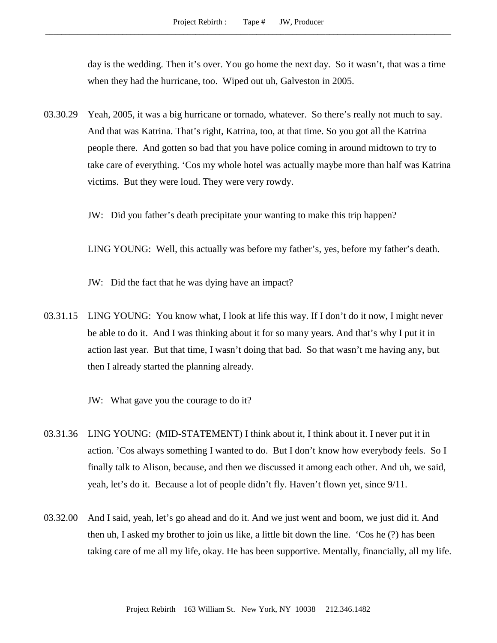day is the wedding. Then it's over. You go home the next day. So it wasn't, that was a time when they had the hurricane, too. Wiped out uh, Galveston in 2005.

03.30.29 Yeah, 2005, it was a big hurricane or tornado, whatever. So there's really not much to say. And that was Katrina. That's right, Katrina, too, at that time. So you got all the Katrina people there. And gotten so bad that you have police coming in around midtown to try to take care of everything. 'Cos my whole hotel was actually maybe more than half was Katrina victims. But they were loud. They were very rowdy.

JW: Did you father's death precipitate your wanting to make this trip happen?

LING YOUNG: Well, this actually was before my father's, yes, before my father's death.

JW: Did the fact that he was dying have an impact?

03.31.15 LING YOUNG: You know what, I look at life this way. If I don't do it now, I might never be able to do it. And I was thinking about it for so many years. And that's why I put it in action last year. But that time, I wasn't doing that bad. So that wasn't me having any, but then I already started the planning already.

- 03.31.36 LING YOUNG: (MID-STATEMENT) I think about it, I think about it. I never put it in action. 'Cos always something I wanted to do. But I don't know how everybody feels. So I finally talk to Alison, because, and then we discussed it among each other. And uh, we said, yeah, let's do it. Because a lot of people didn't fly. Haven't flown yet, since 9/11.
- 03.32.00 And I said, yeah, let's go ahead and do it. And we just went and boom, we just did it. And then uh, I asked my brother to join us like, a little bit down the line. 'Cos he (?) has been taking care of me all my life, okay. He has been supportive. Mentally, financially, all my life.

JW: What gave you the courage to do it?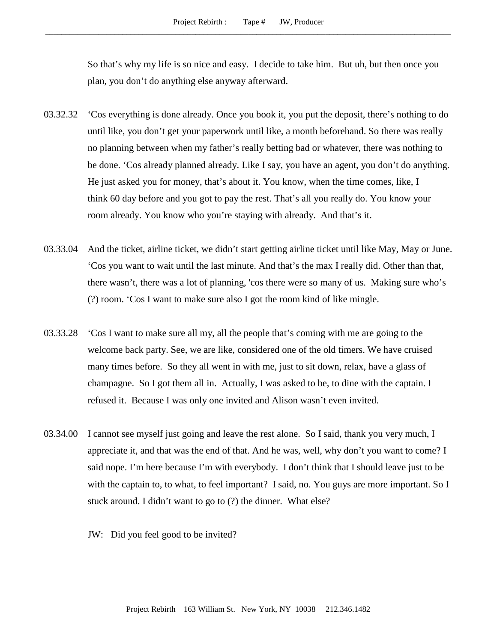So that's why my life is so nice and easy. I decide to take him. But uh, but then once you plan, you don't do anything else anyway afterward.

- 03.32.32 'Cos everything is done already. Once you book it, you put the deposit, there's nothing to do until like, you don't get your paperwork until like, a month beforehand. So there was really no planning between when my father's really betting bad or whatever, there was nothing to be done. 'Cos already planned already. Like I say, you have an agent, you don't do anything. He just asked you for money, that's about it. You know, when the time comes, like, I think 60 day before and you got to pay the rest. That's all you really do. You know your room already. You know who you're staying with already. And that's it.
- 03.33.04 And the ticket, airline ticket, we didn't start getting airline ticket until like May, May or June. 'Cos you want to wait until the last minute. And that's the max I really did. Other than that, there wasn't, there was a lot of planning, 'cos there were so many of us. Making sure who's (?) room. 'Cos I want to make sure also I got the room kind of like mingle.
- 03.33.28 'Cos I want to make sure all my, all the people that's coming with me are going to the welcome back party. See, we are like, considered one of the old timers. We have cruised many times before. So they all went in with me, just to sit down, relax, have a glass of champagne. So I got them all in. Actually, I was asked to be, to dine with the captain. I refused it. Because I was only one invited and Alison wasn't even invited.
- 03.34.00 I cannot see myself just going and leave the rest alone. So I said, thank you very much, I appreciate it, and that was the end of that. And he was, well, why don't you want to come? I said nope. I'm here because I'm with everybody. I don't think that I should leave just to be with the captain to, to what, to feel important? I said, no. You guys are more important. So I stuck around. I didn't want to go to (?) the dinner. What else?
	- JW: Did you feel good to be invited?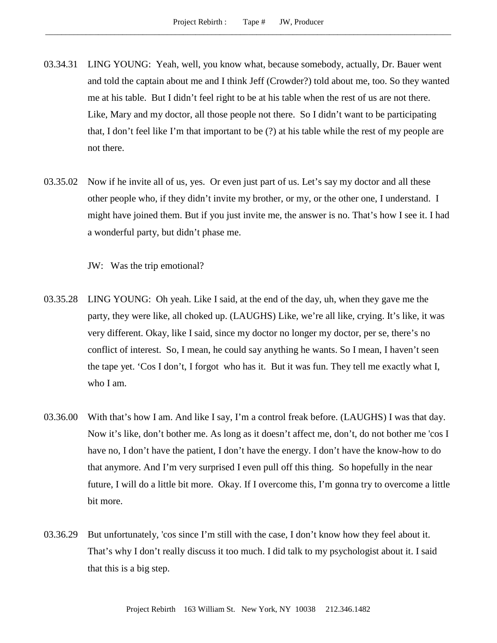- 03.34.31 LING YOUNG: Yeah, well, you know what, because somebody, actually, Dr. Bauer went and told the captain about me and I think Jeff (Crowder?) told about me, too. So they wanted me at his table. But I didn't feel right to be at his table when the rest of us are not there. Like, Mary and my doctor, all those people not there. So I didn't want to be participating that, I don't feel like I'm that important to be (?) at his table while the rest of my people are not there.
- 03.35.02 Now if he invite all of us, yes. Or even just part of us. Let's say my doctor and all these other people who, if they didn't invite my brother, or my, or the other one, I understand. I might have joined them. But if you just invite me, the answer is no. That's how I see it. I had a wonderful party, but didn't phase me.

JW: Was the trip emotional?

- 03.35.28 LING YOUNG: Oh yeah. Like I said, at the end of the day, uh, when they gave me the party, they were like, all choked up. (LAUGHS) Like, we're all like, crying. It's like, it was very different. Okay, like I said, since my doctor no longer my doctor, per se, there's no conflict of interest. So, I mean, he could say anything he wants. So I mean, I haven't seen the tape yet. 'Cos I don't, I forgot who has it. But it was fun. They tell me exactly what I, who I am.
- 03.36.00 With that's how I am. And like I say, I'm a control freak before. (LAUGHS) I was that day. Now it's like, don't bother me. As long as it doesn't affect me, don't, do not bother me 'cos I have no, I don't have the patient, I don't have the energy. I don't have the know-how to do that anymore. And I'm very surprised I even pull off this thing. So hopefully in the near future, I will do a little bit more. Okay. If I overcome this, I'm gonna try to overcome a little bit more.
- 03.36.29 But unfortunately, 'cos since I'm still with the case, I don't know how they feel about it. That's why I don't really discuss it too much. I did talk to my psychologist about it. I said that this is a big step.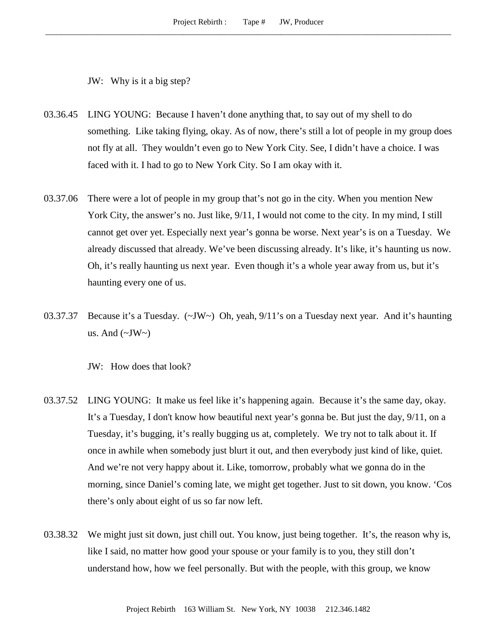JW: Why is it a big step?

- 03.36.45 LING YOUNG: Because I haven't done anything that, to say out of my shell to do something. Like taking flying, okay. As of now, there's still a lot of people in my group does not fly at all. They wouldn't even go to New York City. See, I didn't have a choice. I was faced with it. I had to go to New York City. So I am okay with it.
- 03.37.06 There were a lot of people in my group that's not go in the city. When you mention New York City, the answer's no. Just like, 9/11, I would not come to the city. In my mind, I still cannot get over yet. Especially next year's gonna be worse. Next year's is on a Tuesday. We already discussed that already. We've been discussing already. It's like, it's haunting us now. Oh, it's really haunting us next year. Even though it's a whole year away from us, but it's haunting every one of us.
- 03.37.37 Because it's a Tuesday.  $(\sim JW \sim)$  Oh, yeah,  $9/11$ 's on a Tuesday next year. And it's haunting us. And  $(\sim JW)$

JW: How does that look?

- 03.37.52 LING YOUNG: It make us feel like it's happening again. Because it's the same day, okay. It's a Tuesday, I don't know how beautiful next year's gonna be. But just the day, 9/11, on a Tuesday, it's bugging, it's really bugging us at, completely. We try not to talk about it. If once in awhile when somebody just blurt it out, and then everybody just kind of like, quiet. And we're not very happy about it. Like, tomorrow, probably what we gonna do in the morning, since Daniel's coming late, we might get together. Just to sit down, you know. 'Cos there's only about eight of us so far now left.
- 03.38.32 We might just sit down, just chill out. You know, just being together. It's, the reason why is, like I said, no matter how good your spouse or your family is to you, they still don't understand how, how we feel personally. But with the people, with this group, we know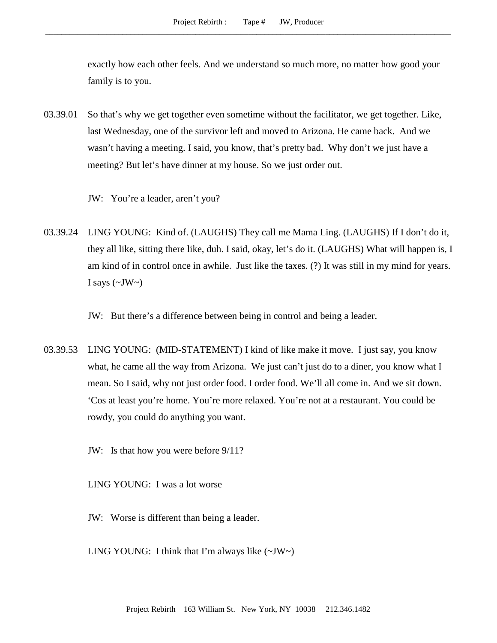exactly how each other feels. And we understand so much more, no matter how good your family is to you.

- 03.39.01 So that's why we get together even sometime without the facilitator, we get together. Like, last Wednesday, one of the survivor left and moved to Arizona. He came back. And we wasn't having a meeting. I said, you know, that's pretty bad. Why don't we just have a meeting? But let's have dinner at my house. So we just order out.
	- JW: You're a leader, aren't you?
- 03.39.24 LING YOUNG: Kind of. (LAUGHS) They call me Mama Ling. (LAUGHS) If I don't do it, they all like, sitting there like, duh. I said, okay, let's do it. (LAUGHS) What will happen is, I am kind of in control once in awhile. Just like the taxes. (?) It was still in my mind for years. I says  $(\sim JW \sim)$ 
	- JW: But there's a difference between being in control and being a leader.
- 03.39.53 LING YOUNG: (MID-STATEMENT) I kind of like make it move. I just say, you know what, he came all the way from Arizona. We just can't just do to a diner, you know what I mean. So I said, why not just order food. I order food. We'll all come in. And we sit down. 'Cos at least you're home. You're more relaxed. You're not at a restaurant. You could be rowdy, you could do anything you want.
	- JW: Is that how you were before 9/11?

LING YOUNG: I was a lot worse

- JW: Worse is different than being a leader.
- LING YOUNG: I think that I'm always like  $(\sim JW \sim)$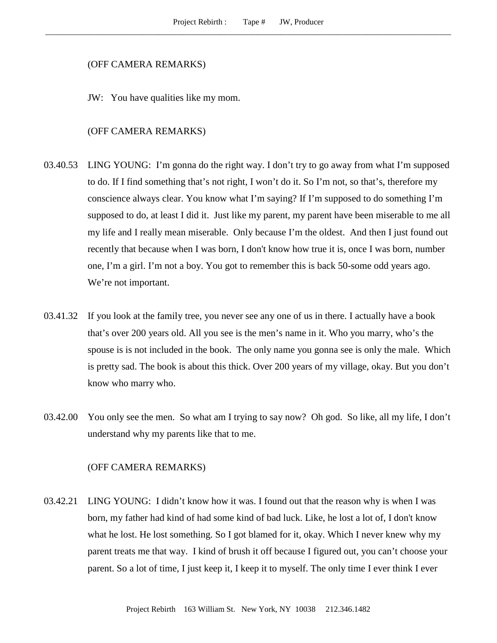#### (OFF CAMERA REMARKS)

JW: You have qualities like my mom.

### (OFF CAMERA REMARKS)

- 03.40.53 LING YOUNG: I'm gonna do the right way. I don't try to go away from what I'm supposed to do. If I find something that's not right, I won't do it. So I'm not, so that's, therefore my conscience always clear. You know what I'm saying? If I'm supposed to do something I'm supposed to do, at least I did it. Just like my parent, my parent have been miserable to me all my life and I really mean miserable. Only because I'm the oldest. And then I just found out recently that because when I was born, I don't know how true it is, once I was born, number one, I'm a girl. I'm not a boy. You got to remember this is back 50-some odd years ago. We're not important.
- 03.41.32 If you look at the family tree, you never see any one of us in there. I actually have a book that's over 200 years old. All you see is the men's name in it. Who you marry, who's the spouse is is not included in the book. The only name you gonna see is only the male. Which is pretty sad. The book is about this thick. Over 200 years of my village, okay. But you don't know who marry who.
- 03.42.00 You only see the men. So what am I trying to say now? Oh god. So like, all my life, I don't understand why my parents like that to me.

#### (OFF CAMERA REMARKS)

03.42.21 LING YOUNG: I didn't know how it was. I found out that the reason why is when I was born, my father had kind of had some kind of bad luck. Like, he lost a lot of, I don't know what he lost. He lost something. So I got blamed for it, okay. Which I never knew why my parent treats me that way. I kind of brush it off because I figured out, you can't choose your parent. So a lot of time, I just keep it, I keep it to myself. The only time I ever think I ever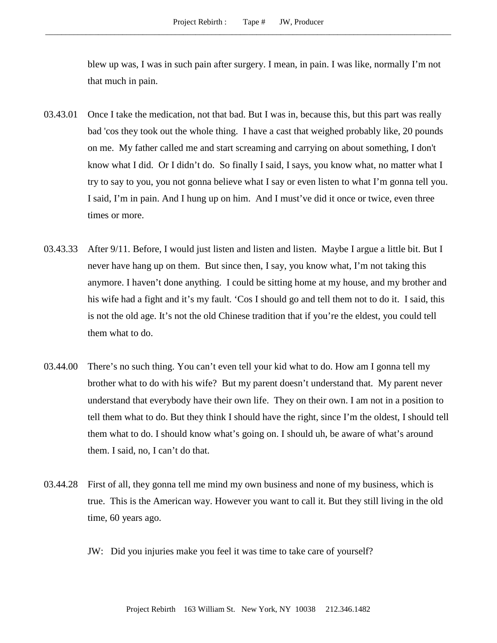blew up was, I was in such pain after surgery. I mean, in pain. I was like, normally I'm not that much in pain.

- 03.43.01 Once I take the medication, not that bad. But I was in, because this, but this part was really bad 'cos they took out the whole thing. I have a cast that weighed probably like, 20 pounds on me. My father called me and start screaming and carrying on about something, I don't know what I did. Or I didn't do. So finally I said, I says, you know what, no matter what I try to say to you, you not gonna believe what I say or even listen to what I'm gonna tell you. I said, I'm in pain. And I hung up on him. And I must've did it once or twice, even three times or more.
- 03.43.33 After 9/11. Before, I would just listen and listen and listen. Maybe I argue a little bit. But I never have hang up on them. But since then, I say, you know what, I'm not taking this anymore. I haven't done anything. I could be sitting home at my house, and my brother and his wife had a fight and it's my fault. 'Cos I should go and tell them not to do it. I said, this is not the old age. It's not the old Chinese tradition that if you're the eldest, you could tell them what to do.
- 03.44.00 There's no such thing. You can't even tell your kid what to do. How am I gonna tell my brother what to do with his wife? But my parent doesn't understand that. My parent never understand that everybody have their own life. They on their own. I am not in a position to tell them what to do. But they think I should have the right, since I'm the oldest, I should tell them what to do. I should know what's going on. I should uh, be aware of what's around them. I said, no, I can't do that.
- 03.44.28 First of all, they gonna tell me mind my own business and none of my business, which is true. This is the American way. However you want to call it. But they still living in the old time, 60 years ago.
	- JW: Did you injuries make you feel it was time to take care of yourself?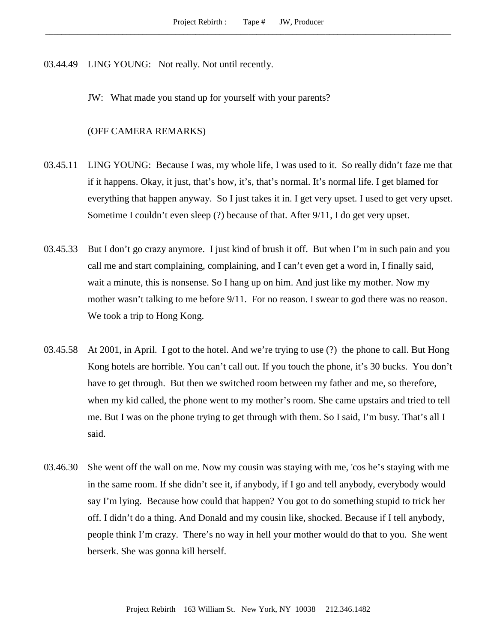03.44.49 LING YOUNG: Not really. Not until recently.

JW: What made you stand up for yourself with your parents?

(OFF CAMERA REMARKS)

- 03.45.11 LING YOUNG: Because I was, my whole life, I was used to it. So really didn't faze me that if it happens. Okay, it just, that's how, it's, that's normal. It's normal life. I get blamed for everything that happen anyway. So I just takes it in. I get very upset. I used to get very upset. Sometime I couldn't even sleep (?) because of that. After 9/11, I do get very upset.
- 03.45.33 But I don't go crazy anymore. I just kind of brush it off. But when I'm in such pain and you call me and start complaining, complaining, and I can't even get a word in, I finally said, wait a minute, this is nonsense. So I hang up on him. And just like my mother. Now my mother wasn't talking to me before 9/11. For no reason. I swear to god there was no reason. We took a trip to Hong Kong.
- 03.45.58 At 2001, in April. I got to the hotel. And we're trying to use (?) the phone to call. But Hong Kong hotels are horrible. You can't call out. If you touch the phone, it's 30 bucks. You don't have to get through. But then we switched room between my father and me, so therefore, when my kid called, the phone went to my mother's room. She came upstairs and tried to tell me. But I was on the phone trying to get through with them. So I said, I'm busy. That's all I said.
- 03.46.30 She went off the wall on me. Now my cousin was staying with me, 'cos he's staying with me in the same room. If she didn't see it, if anybody, if I go and tell anybody, everybody would say I'm lying. Because how could that happen? You got to do something stupid to trick her off. I didn't do a thing. And Donald and my cousin like, shocked. Because if I tell anybody, people think I'm crazy. There's no way in hell your mother would do that to you. She went berserk. She was gonna kill herself.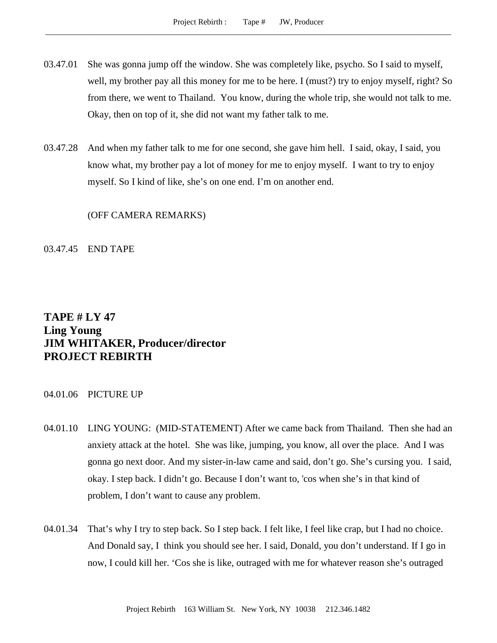- 03.47.01 She was gonna jump off the window. She was completely like, psycho. So I said to myself, well, my brother pay all this money for me to be here. I (must?) try to enjoy myself, right? So from there, we went to Thailand. You know, during the whole trip, she would not talk to me. Okay, then on top of it, she did not want my father talk to me.
- 03.47.28 And when my father talk to me for one second, she gave him hell. I said, okay, I said, you know what, my brother pay a lot of money for me to enjoy myself. I want to try to enjoy myself. So I kind of like, she's on one end. I'm on another end.

(OFF CAMERA REMARKS)

03.47.45 END TAPE

# **TAPE # LY 47 Ling Young JIM WHITAKER, Producer/director PROJECT REBIRTH**

## 04.01.06 PICTURE UP

- 04.01.10 LING YOUNG: (MID-STATEMENT) After we came back from Thailand. Then she had an anxiety attack at the hotel. She was like, jumping, you know, all over the place. And I was gonna go next door. And my sister-in-law came and said, don't go. She's cursing you. I said, okay. I step back. I didn't go. Because I don't want to, 'cos when she's in that kind of problem, I don't want to cause any problem.
- 04.01.34 That's why I try to step back. So I step back. I felt like, I feel like crap, but I had no choice. And Donald say, I think you should see her. I said, Donald, you don't understand. If I go in now, I could kill her. 'Cos she is like, outraged with me for whatever reason she's outraged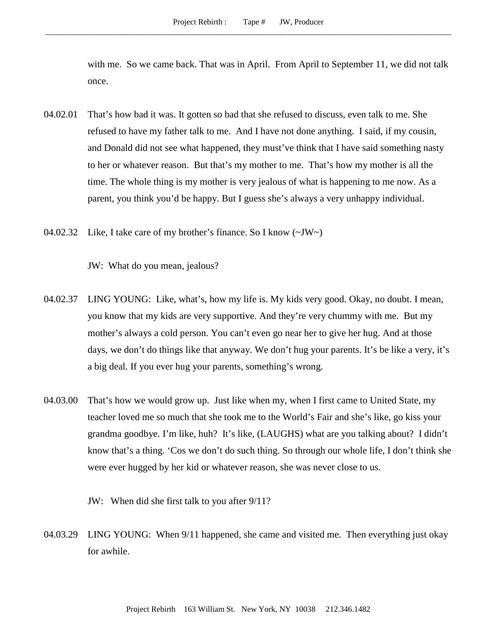with me. So we came back. That was in April. From April to September 11, we did not talk once.

- 04.02.01 That's how bad it was. It gotten so bad that she refused to discuss, even talk to me. She refused to have my father talk to me. And I have not done anything. I said, if my cousin, and Donald did not see what happened, they must've think that I have said something nasty to her or whatever reason. But that's my mother to me. That's how my mother is all the time. The whole thing is my mother is very jealous of what is happening to me now. As a parent, you think you'd be happy. But I guess she's always a very unhappy individual.
- 04.02.32 Like, I take care of my brother's finance. So I know (~JW~)

JW: What do you mean, jealous?

- 04.02.37 LING YOUNG: Like, what's, how my life is. My kids very good. Okay, no doubt. I mean, you know that my kids are very supportive. And they're very chummy with me. But my mother's always a cold person. You can't even go near her to give her hug. And at those days, we don't do things like that anyway. We don't hug your parents. It's be like a very, it's a big deal. If you ever hug your parents, something's wrong.
- 04.03.00 That's how we would grow up. Just like when my, when I first came to United State, my teacher loved me so much that she took me to the World's Fair and she's like, go kiss your grandma goodbye. I'm like, huh? It's like, (LAUGHS) what are you talking about? I didn't know that's a thing. 'Cos we don't do such thing. So through our whole life, I don't think she were ever hugged by her kid or whatever reason, she was never close to us.

JW: When did she first talk to you after 9/11?

04.03.29 LING YOUNG: When 9/11 happened, she came and visited me. Then everything just okay for awhile.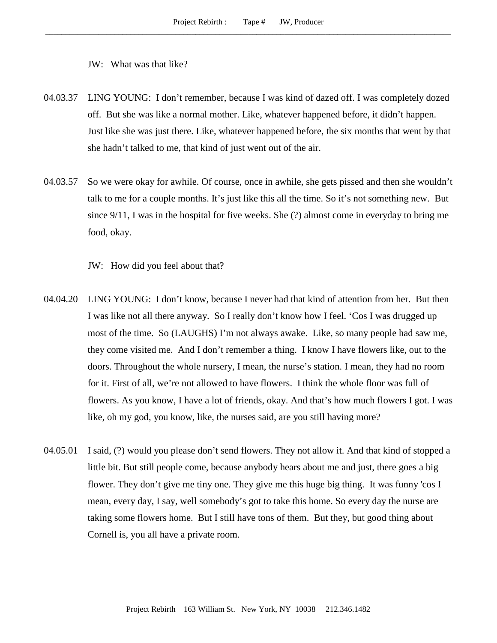#### JW: What was that like?

- 04.03.37 LING YOUNG: I don't remember, because I was kind of dazed off. I was completely dozed off. But she was like a normal mother. Like, whatever happened before, it didn't happen. Just like she was just there. Like, whatever happened before, the six months that went by that she hadn't talked to me, that kind of just went out of the air.
- 04.03.57 So we were okay for awhile. Of course, once in awhile, she gets pissed and then she wouldn't talk to me for a couple months. It's just like this all the time. So it's not something new. But since 9/11, I was in the hospital for five weeks. She (?) almost come in everyday to bring me food, okay.

JW: How did you feel about that?

- 04.04.20 LING YOUNG: I don't know, because I never had that kind of attention from her. But then I was like not all there anyway. So I really don't know how I feel. 'Cos I was drugged up most of the time. So (LAUGHS) I'm not always awake. Like, so many people had saw me, they come visited me. And I don't remember a thing. I know I have flowers like, out to the doors. Throughout the whole nursery, I mean, the nurse's station. I mean, they had no room for it. First of all, we're not allowed to have flowers. I think the whole floor was full of flowers. As you know, I have a lot of friends, okay. And that's how much flowers I got. I was like, oh my god, you know, like, the nurses said, are you still having more?
- 04.05.01 I said, (?) would you please don't send flowers. They not allow it. And that kind of stopped a little bit. But still people come, because anybody hears about me and just, there goes a big flower. They don't give me tiny one. They give me this huge big thing. It was funny 'cos I mean, every day, I say, well somebody's got to take this home. So every day the nurse are taking some flowers home. But I still have tons of them. But they, but good thing about Cornell is, you all have a private room.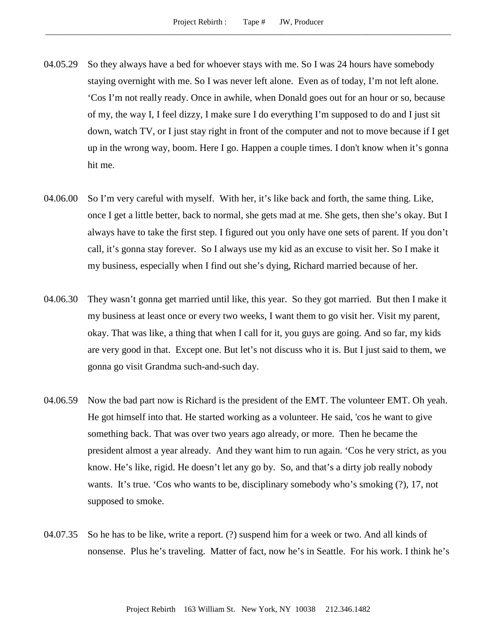- 04.05.29 So they always have a bed for whoever stays with me. So I was 24 hours have somebody staying overnight with me. So I was never left alone. Even as of today, I'm not left alone. 'Cos I'm not really ready. Once in awhile, when Donald goes out for an hour or so, because of my, the way I, I feel dizzy, I make sure I do everything I'm supposed to do and I just sit down, watch TV, or I just stay right in front of the computer and not to move because if I get up in the wrong way, boom. Here I go. Happen a couple times. I don't know when it's gonna hit me.
- 04.06.00 So I'm very careful with myself. With her, it's like back and forth, the same thing. Like, once I get a little better, back to normal, she gets mad at me. She gets, then she's okay. But I always have to take the first step. I figured out you only have one sets of parent. If you don't call, it's gonna stay forever. So I always use my kid as an excuse to visit her. So I make it my business, especially when I find out she's dying, Richard married because of her.
- 04.06.30 They wasn't gonna get married until like, this year. So they got married. But then I make it my business at least once or every two weeks, I want them to go visit her. Visit my parent, okay. That was like, a thing that when I call for it, you guys are going. And so far, my kids are very good in that. Except one. But let's not discuss who it is. But I just said to them, we gonna go visit Grandma such-and-such day.
- 04.06.59 Now the bad part now is Richard is the president of the EMT. The volunteer EMT. Oh yeah. He got himself into that. He started working as a volunteer. He said, 'cos he want to give something back. That was over two years ago already, or more. Then he became the president almost a year already. And they want him to run again. 'Cos he very strict, as you know. He's like, rigid. He doesn't let any go by. So, and that's a dirty job really nobody wants. It's true. 'Cos who wants to be, disciplinary somebody who's smoking (?), 17, not supposed to smoke.
- 04.07.35 So he has to be like, write a report. (?) suspend him for a week or two. And all kinds of nonsense. Plus he's traveling. Matter of fact, now he's in Seattle. For his work. I think he's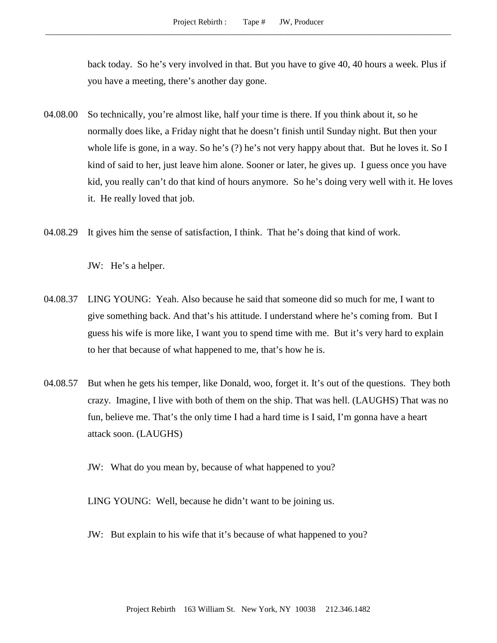back today. So he's very involved in that. But you have to give 40, 40 hours a week. Plus if you have a meeting, there's another day gone.

- 04.08.00 So technically, you're almost like, half your time is there. If you think about it, so he normally does like, a Friday night that he doesn't finish until Sunday night. But then your whole life is gone, in a way. So he's (?) he's not very happy about that. But he loves it. So I kind of said to her, just leave him alone. Sooner or later, he gives up. I guess once you have kid, you really can't do that kind of hours anymore. So he's doing very well with it. He loves it. He really loved that job.
- 04.08.29 It gives him the sense of satisfaction, I think. That he's doing that kind of work.

JW: He's a helper.

- 04.08.37 LING YOUNG: Yeah. Also because he said that someone did so much for me, I want to give something back. And that's his attitude. I understand where he's coming from. But I guess his wife is more like, I want you to spend time with me. But it's very hard to explain to her that because of what happened to me, that's how he is.
- 04.08.57 But when he gets his temper, like Donald, woo, forget it. It's out of the questions. They both crazy. Imagine, I live with both of them on the ship. That was hell. (LAUGHS) That was no fun, believe me. That's the only time I had a hard time is I said, I'm gonna have a heart attack soon. (LAUGHS)
	- JW: What do you mean by, because of what happened to you?

LING YOUNG: Well, because he didn't want to be joining us.

JW: But explain to his wife that it's because of what happened to you?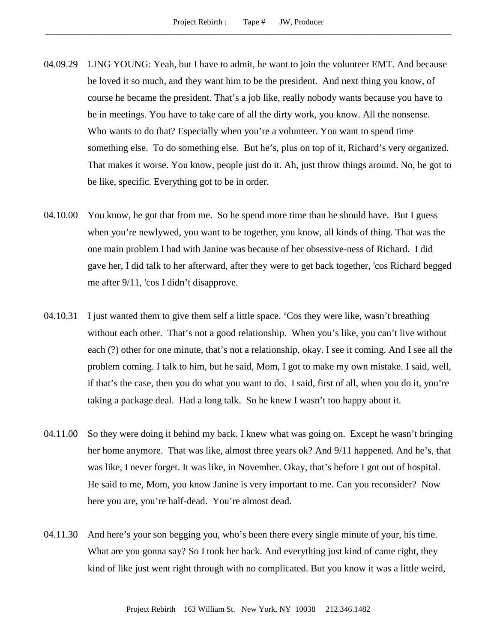- 04.09.29 LING YOUNG: Yeah, but I have to admit, he want to join the volunteer EMT. And because he loved it so much, and they want him to be the president. And next thing you know, of course he became the president. That's a job like, really nobody wants because you have to be in meetings. You have to take care of all the dirty work, you know. All the nonsense. Who wants to do that? Especially when you're a volunteer. You want to spend time something else. To do something else. But he's, plus on top of it, Richard's very organized. That makes it worse. You know, people just do it. Ah, just throw things around. No, he got to be like, specific. Everything got to be in order.
- 04.10.00 You know, he got that from me. So he spend more time than he should have. But I guess when you're newlywed, you want to be together, you know, all kinds of thing. That was the one main problem I had with Janine was because of her obsessive-ness of Richard. I did gave her, I did talk to her afterward, after they were to get back together, 'cos Richard begged me after 9/11, 'cos I didn't disapprove.
- 04.10.31 I just wanted them to give them self a little space. 'Cos they were like, wasn't breathing without each other. That's not a good relationship. When you's like, you can't live without each (?) other for one minute, that's not a relationship, okay. I see it coming. And I see all the problem coming. I talk to him, but he said, Mom, I got to make my own mistake. I said, well, if that's the case, then you do what you want to do. I said, first of all, when you do it, you're taking a package deal. Had a long talk. So he knew I wasn't too happy about it.
- 04.11.00 So they were doing it behind my back. I knew what was going on. Except he wasn't bringing her home anymore. That was like, almost three years ok? And 9/11 happened. And he's, that was like, I never forget. It was like, in November. Okay, that's before I got out of hospital. He said to me, Mom, you know Janine is very important to me. Can you reconsider? Now here you are, you're half-dead. You're almost dead.
- 04.11.30 And here's your son begging you, who's been there every single minute of your, his time. What are you gonna say? So I took her back. And everything just kind of came right, they kind of like just went right through with no complicated. But you know it was a little weird,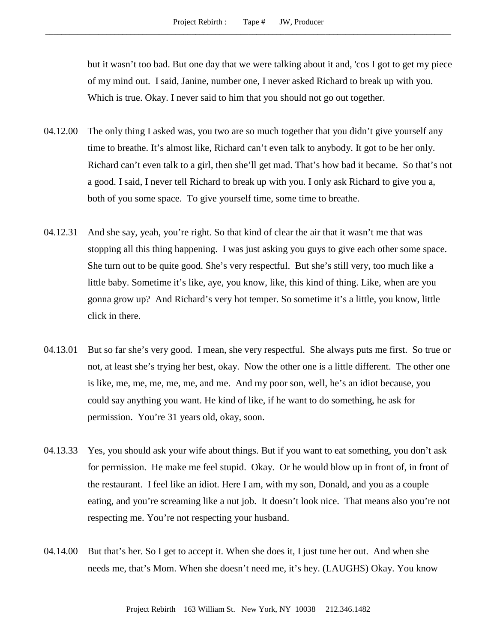but it wasn't too bad. But one day that we were talking about it and, 'cos I got to get my piece of my mind out. I said, Janine, number one, I never asked Richard to break up with you. Which is true. Okay. I never said to him that you should not go out together.

- 04.12.00 The only thing I asked was, you two are so much together that you didn't give yourself any time to breathe. It's almost like, Richard can't even talk to anybody. It got to be her only. Richard can't even talk to a girl, then she'll get mad. That's how bad it became. So that's not a good. I said, I never tell Richard to break up with you. I only ask Richard to give you a, both of you some space. To give yourself time, some time to breathe.
- 04.12.31 And she say, yeah, you're right. So that kind of clear the air that it wasn't me that was stopping all this thing happening. I was just asking you guys to give each other some space. She turn out to be quite good. She's very respectful. But she's still very, too much like a little baby. Sometime it's like, aye, you know, like, this kind of thing. Like, when are you gonna grow up? And Richard's very hot temper. So sometime it's a little, you know, little click in there.
- 04.13.01 But so far she's very good. I mean, she very respectful. She always puts me first. So true or not, at least she's trying her best, okay. Now the other one is a little different. The other one is like, me, me, me, me, me, and me. And my poor son, well, he's an idiot because, you could say anything you want. He kind of like, if he want to do something, he ask for permission. You're 31 years old, okay, soon.
- 04.13.33 Yes, you should ask your wife about things. But if you want to eat something, you don't ask for permission. He make me feel stupid. Okay. Or he would blow up in front of, in front of the restaurant. I feel like an idiot. Here I am, with my son, Donald, and you as a couple eating, and you're screaming like a nut job. It doesn't look nice. That means also you're not respecting me. You're not respecting your husband.
- 04.14.00 But that's her. So I get to accept it. When she does it, I just tune her out. And when she needs me, that's Mom. When she doesn't need me, it's hey. (LAUGHS) Okay. You know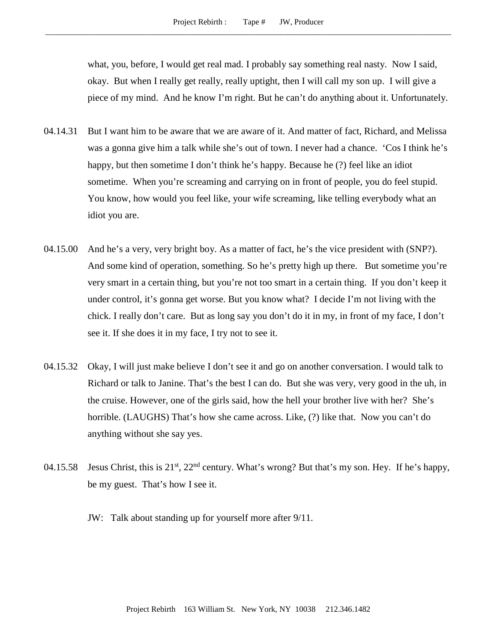what, you, before, I would get real mad. I probably say something real nasty. Now I said, okay. But when I really get really, really uptight, then I will call my son up. I will give a piece of my mind. And he know I'm right. But he can't do anything about it. Unfortunately.

- 04.14.31 But I want him to be aware that we are aware of it. And matter of fact, Richard, and Melissa was a gonna give him a talk while she's out of town. I never had a chance. 'Cos I think he's happy, but then sometime I don't think he's happy. Because he (?) feel like an idiot sometime. When you're screaming and carrying on in front of people, you do feel stupid. You know, how would you feel like, your wife screaming, like telling everybody what an idiot you are.
- 04.15.00 And he's a very, very bright boy. As a matter of fact, he's the vice president with (SNP?). And some kind of operation, something. So he's pretty high up there. But sometime you're very smart in a certain thing, but you're not too smart in a certain thing. If you don't keep it under control, it's gonna get worse. But you know what? I decide I'm not living with the chick. I really don't care. But as long say you don't do it in my, in front of my face, I don't see it. If she does it in my face, I try not to see it.
- 04.15.32 Okay, I will just make believe I don't see it and go on another conversation. I would talk to Richard or talk to Janine. That's the best I can do. But she was very, very good in the uh, in the cruise. However, one of the girls said, how the hell your brother live with her? She's horrible. (LAUGHS) That's how she came across. Like, (?) like that. Now you can't do anything without she say yes.
- 04.15.58 Jesus Christ, this is 21<sup>st</sup>, 22<sup>nd</sup> century. What's wrong? But that's my son. Hey. If he's happy, be my guest. That's how I see it.
	- JW: Talk about standing up for yourself more after 9/11.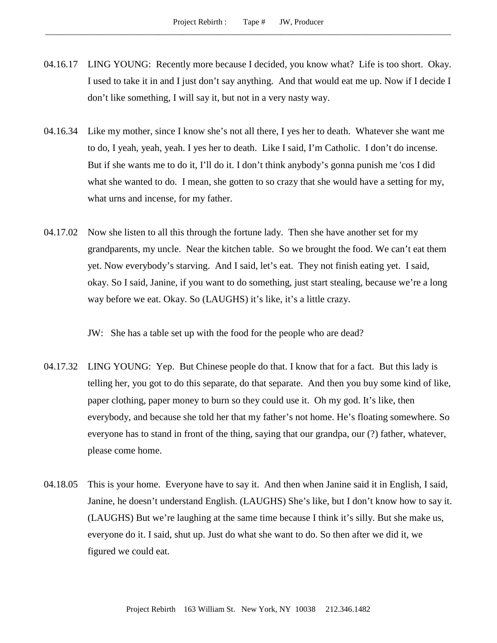- 04.16.17 LING YOUNG: Recently more because I decided, you know what? Life is too short. Okay. I used to take it in and I just don't say anything. And that would eat me up. Now if I decide I don't like something, I will say it, but not in a very nasty way.
- 04.16.34 Like my mother, since I know she's not all there, I yes her to death. Whatever she want me to do, I yeah, yeah, yeah. I yes her to death. Like I said, I'm Catholic. I don't do incense. But if she wants me to do it, I'll do it. I don't think anybody's gonna punish me 'cos I did what she wanted to do. I mean, she gotten to so crazy that she would have a setting for my, what urns and incense, for my father.
- 04.17.02 Now she listen to all this through the fortune lady. Then she have another set for my grandparents, my uncle. Near the kitchen table. So we brought the food. We can't eat them yet. Now everybody's starving. And I said, let's eat. They not finish eating yet. I said, okay. So I said, Janine, if you want to do something, just start stealing, because we're a long way before we eat. Okay. So (LAUGHS) it's like, it's a little crazy.

JW: She has a table set up with the food for the people who are dead?

- 04.17.32 LING YOUNG: Yep. But Chinese people do that. I know that for a fact. But this lady is telling her, you got to do this separate, do that separate. And then you buy some kind of like, paper clothing, paper money to burn so they could use it. Oh my god. It's like, then everybody, and because she told her that my father's not home. He's floating somewhere. So everyone has to stand in front of the thing, saying that our grandpa, our (?) father, whatever, please come home.
- 04.18.05 This is your home. Everyone have to say it. And then when Janine said it in English, I said, Janine, he doesn't understand English. (LAUGHS) She's like, but I don't know how to say it. (LAUGHS) But we're laughing at the same time because I think it's silly. But she make us, everyone do it. I said, shut up. Just do what she want to do. So then after we did it, we figured we could eat.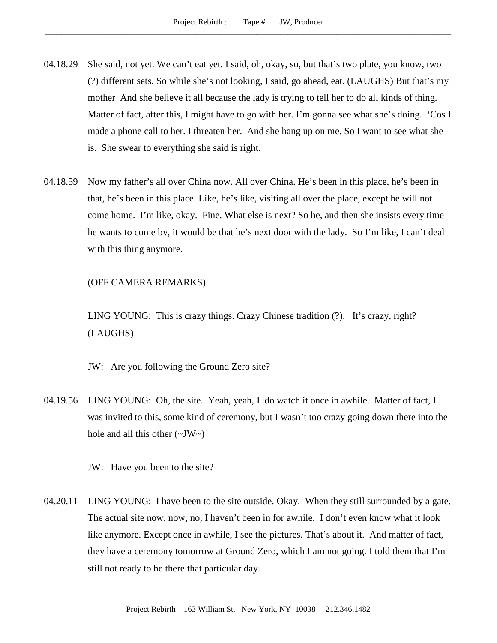- 04.18.29 She said, not yet. We can't eat yet. I said, oh, okay, so, but that's two plate, you know, two (?) different sets. So while she's not looking, I said, go ahead, eat. (LAUGHS) But that's my mother And she believe it all because the lady is trying to tell her to do all kinds of thing. Matter of fact, after this, I might have to go with her. I'm gonna see what she's doing. 'Cos I made a phone call to her. I threaten her. And she hang up on me. So I want to see what she is. She swear to everything she said is right.
- 04.18.59 Now my father's all over China now. All over China. He's been in this place, he's been in that, he's been in this place. Like, he's like, visiting all over the place, except he will not come home. I'm like, okay. Fine. What else is next? So he, and then she insists every time he wants to come by, it would be that he's next door with the lady. So I'm like, I can't deal with this thing anymore.

# (OFF CAMERA REMARKS)

LING YOUNG: This is crazy things. Crazy Chinese tradition (?). It's crazy, right? (LAUGHS)

JW: Are you following the Ground Zero site?

04.19.56 LING YOUNG: Oh, the site. Yeah, yeah, I do watch it once in awhile. Matter of fact, I was invited to this, some kind of ceremony, but I wasn't too crazy going down there into the hole and all this other  $(\sim JW \sim)$ 

JW: Have you been to the site?

04.20.11 LING YOUNG: I have been to the site outside. Okay. When they still surrounded by a gate. The actual site now, now, no, I haven't been in for awhile. I don't even know what it look like anymore. Except once in awhile, I see the pictures. That's about it. And matter of fact, they have a ceremony tomorrow at Ground Zero, which I am not going. I told them that I'm still not ready to be there that particular day.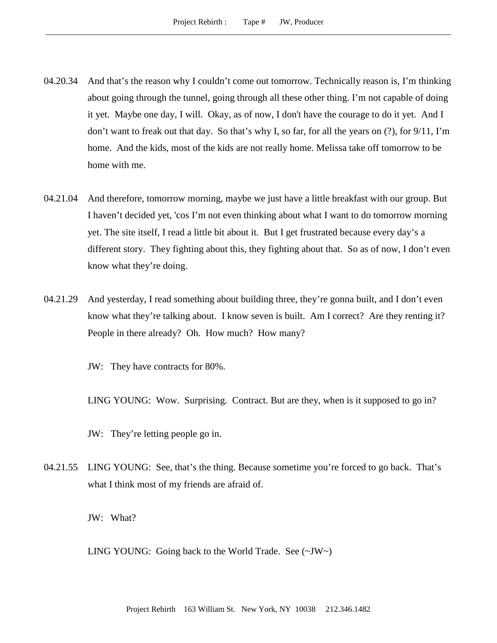- 04.20.34 And that's the reason why I couldn't come out tomorrow. Technically reason is, I'm thinking about going through the tunnel, going through all these other thing. I'm not capable of doing it yet. Maybe one day, I will. Okay, as of now, I don't have the courage to do it yet. And I don't want to freak out that day. So that's why I, so far, for all the years on (?), for 9/11, I'm home. And the kids, most of the kids are not really home. Melissa take off tomorrow to be home with me.
- 04.21.04 And therefore, tomorrow morning, maybe we just have a little breakfast with our group. But I haven't decided yet, 'cos I'm not even thinking about what I want to do tomorrow morning yet. The site itself, I read a little bit about it. But I get frustrated because every day's a different story. They fighting about this, they fighting about that. So as of now, I don't even know what they're doing.
- 04.21.29 And yesterday, I read something about building three, they're gonna built, and I don't even know what they're talking about. I know seven is built. Am I correct? Are they renting it? People in there already? Oh. How much? How many?
	- JW: They have contracts for 80%.

LING YOUNG: Wow. Surprising. Contract. But are they, when is it supposed to go in?

JW: They're letting people go in.

04.21.55 LING YOUNG: See, that's the thing. Because sometime you're forced to go back. That's what I think most of my friends are afraid of.

JW: What?

LING YOUNG: Going back to the World Trade. See (~JW~)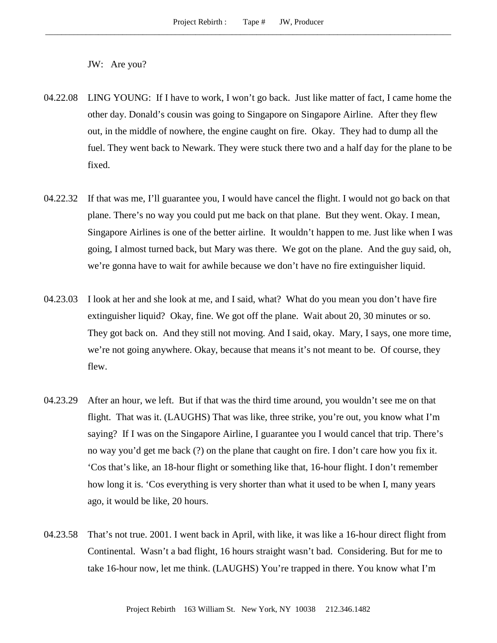JW: Are you?

- 04.22.08 LING YOUNG: If I have to work, I won't go back. Just like matter of fact, I came home the other day. Donald's cousin was going to Singapore on Singapore Airline. After they flew out, in the middle of nowhere, the engine caught on fire. Okay. They had to dump all the fuel. They went back to Newark. They were stuck there two and a half day for the plane to be fixed.
- 04.22.32 If that was me, I'll guarantee you, I would have cancel the flight. I would not go back on that plane. There's no way you could put me back on that plane. But they went. Okay. I mean, Singapore Airlines is one of the better airline. It wouldn't happen to me. Just like when I was going, I almost turned back, but Mary was there. We got on the plane. And the guy said, oh, we're gonna have to wait for awhile because we don't have no fire extinguisher liquid.
- 04.23.03 I look at her and she look at me, and I said, what? What do you mean you don't have fire extinguisher liquid? Okay, fine. We got off the plane. Wait about 20, 30 minutes or so. They got back on. And they still not moving. And I said, okay. Mary, I says, one more time, we're not going anywhere. Okay, because that means it's not meant to be. Of course, they flew.
- 04.23.29 After an hour, we left. But if that was the third time around, you wouldn't see me on that flight. That was it. (LAUGHS) That was like, three strike, you're out, you know what I'm saying? If I was on the Singapore Airline, I guarantee you I would cancel that trip. There's no way you'd get me back (?) on the plane that caught on fire. I don't care how you fix it. 'Cos that's like, an 18-hour flight or something like that, 16-hour flight. I don't remember how long it is. 'Cos everything is very shorter than what it used to be when I, many years ago, it would be like, 20 hours.
- 04.23.58 That's not true. 2001. I went back in April, with like, it was like a 16-hour direct flight from Continental. Wasn't a bad flight, 16 hours straight wasn't bad. Considering. But for me to take 16-hour now, let me think. (LAUGHS) You're trapped in there. You know what I'm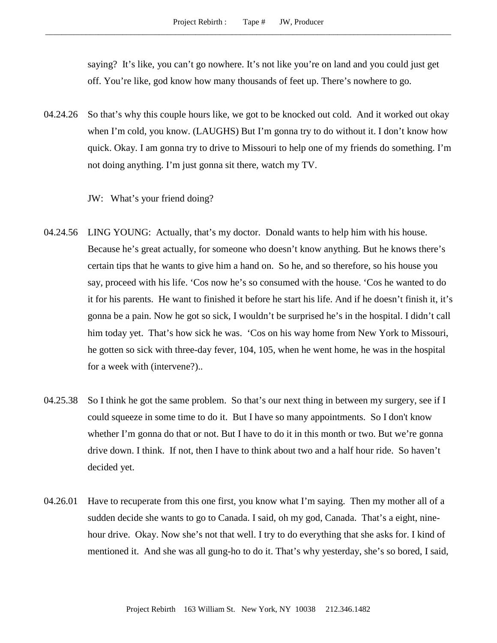saying? It's like, you can't go nowhere. It's not like you're on land and you could just get off. You're like, god know how many thousands of feet up. There's nowhere to go.

04.24.26 So that's why this couple hours like, we got to be knocked out cold. And it worked out okay when I'm cold, you know. (LAUGHS) But I'm gonna try to do without it. I don't know how quick. Okay. I am gonna try to drive to Missouri to help one of my friends do something. I'm not doing anything. I'm just gonna sit there, watch my TV.

JW: What's your friend doing?

- 04.24.56 LING YOUNG: Actually, that's my doctor. Donald wants to help him with his house. Because he's great actually, for someone who doesn't know anything. But he knows there's certain tips that he wants to give him a hand on. So he, and so therefore, so his house you say, proceed with his life. 'Cos now he's so consumed with the house. 'Cos he wanted to do it for his parents. He want to finished it before he start his life. And if he doesn't finish it, it's gonna be a pain. Now he got so sick, I wouldn't be surprised he's in the hospital. I didn't call him today yet. That's how sick he was. 'Cos on his way home from New York to Missouri, he gotten so sick with three-day fever, 104, 105, when he went home, he was in the hospital for a week with (intervene?)..
- 04.25.38 So I think he got the same problem. So that's our next thing in between my surgery, see if I could squeeze in some time to do it. But I have so many appointments. So I don't know whether I'm gonna do that or not. But I have to do it in this month or two. But we're gonna drive down. I think. If not, then I have to think about two and a half hour ride. So haven't decided yet.
- 04.26.01 Have to recuperate from this one first, you know what I'm saying. Then my mother all of a sudden decide she wants to go to Canada. I said, oh my god, Canada. That's a eight, ninehour drive. Okay. Now she's not that well. I try to do everything that she asks for. I kind of mentioned it. And she was all gung-ho to do it. That's why yesterday, she's so bored, I said,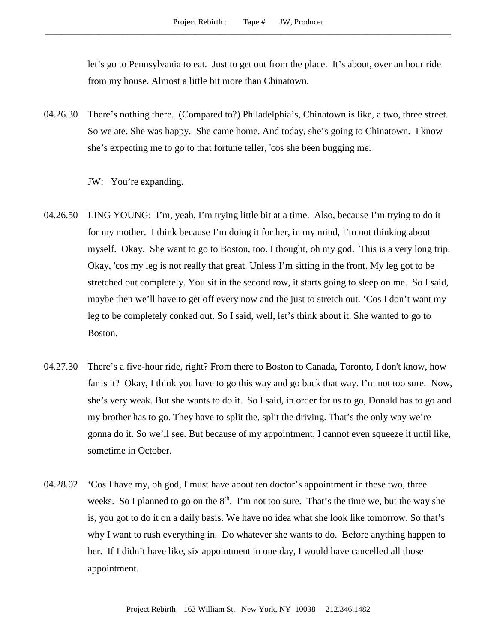let's go to Pennsylvania to eat. Just to get out from the place. It's about, over an hour ride from my house. Almost a little bit more than Chinatown.

04.26.30 There's nothing there. (Compared to?) Philadelphia's, Chinatown is like, a two, three street. So we ate. She was happy. She came home. And today, she's going to Chinatown. I know she's expecting me to go to that fortune teller, 'cos she been bugging me.

JW: You're expanding.

- 04.26.50 LING YOUNG: I'm, yeah, I'm trying little bit at a time. Also, because I'm trying to do it for my mother. I think because I'm doing it for her, in my mind, I'm not thinking about myself. Okay. She want to go to Boston, too. I thought, oh my god. This is a very long trip. Okay, 'cos my leg is not really that great. Unless I'm sitting in the front. My leg got to be stretched out completely. You sit in the second row, it starts going to sleep on me. So I said, maybe then we'll have to get off every now and the just to stretch out. 'Cos I don't want my leg to be completely conked out. So I said, well, let's think about it. She wanted to go to Boston.
- 04.27.30 There's a five-hour ride, right? From there to Boston to Canada, Toronto, I don't know, how far is it? Okay, I think you have to go this way and go back that way. I'm not too sure. Now, she's very weak. But she wants to do it. So I said, in order for us to go, Donald has to go and my brother has to go. They have to split the, split the driving. That's the only way we're gonna do it. So we'll see. But because of my appointment, I cannot even squeeze it until like, sometime in October.
- 04.28.02 'Cos I have my, oh god, I must have about ten doctor's appointment in these two, three weeks. So I planned to go on the  $8<sup>th</sup>$ . I'm not too sure. That's the time we, but the way she is, you got to do it on a daily basis. We have no idea what she look like tomorrow. So that's why I want to rush everything in. Do whatever she wants to do. Before anything happen to her. If I didn't have like, six appointment in one day, I would have cancelled all those appointment.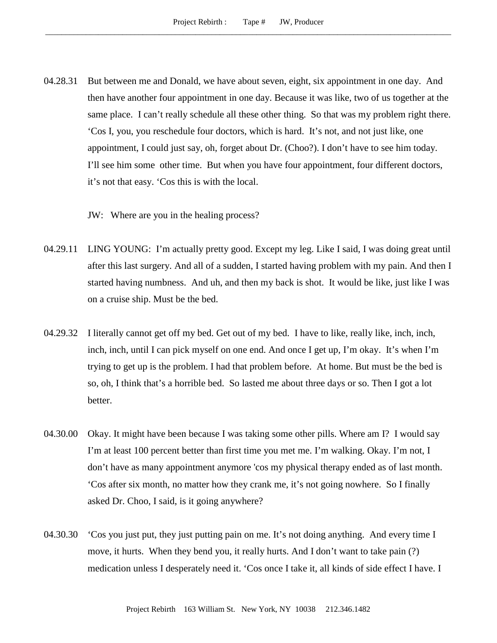04.28.31 But between me and Donald, we have about seven, eight, six appointment in one day. And then have another four appointment in one day. Because it was like, two of us together at the same place. I can't really schedule all these other thing. So that was my problem right there. 'Cos I, you, you reschedule four doctors, which is hard. It's not, and not just like, one appointment, I could just say, oh, forget about Dr. (Choo?). I don't have to see him today. I'll see him some other time. But when you have four appointment, four different doctors, it's not that easy. 'Cos this is with the local.

JW: Where are you in the healing process?

- 04.29.11 LING YOUNG: I'm actually pretty good. Except my leg. Like I said, I was doing great until after this last surgery. And all of a sudden, I started having problem with my pain. And then I started having numbness. And uh, and then my back is shot. It would be like, just like I was on a cruise ship. Must be the bed.
- 04.29.32 I literally cannot get off my bed. Get out of my bed. I have to like, really like, inch, inch, inch, inch, until I can pick myself on one end. And once I get up, I'm okay. It's when I'm trying to get up is the problem. I had that problem before. At home. But must be the bed is so, oh, I think that's a horrible bed. So lasted me about three days or so. Then I got a lot better.
- 04.30.00 Okay. It might have been because I was taking some other pills. Where am I? I would say I'm at least 100 percent better than first time you met me. I'm walking. Okay. I'm not, I don't have as many appointment anymore 'cos my physical therapy ended as of last month. 'Cos after six month, no matter how they crank me, it's not going nowhere. So I finally asked Dr. Choo, I said, is it going anywhere?
- 04.30.30 'Cos you just put, they just putting pain on me. It's not doing anything. And every time I move, it hurts. When they bend you, it really hurts. And I don't want to take pain (?) medication unless I desperately need it. 'Cos once I take it, all kinds of side effect I have. I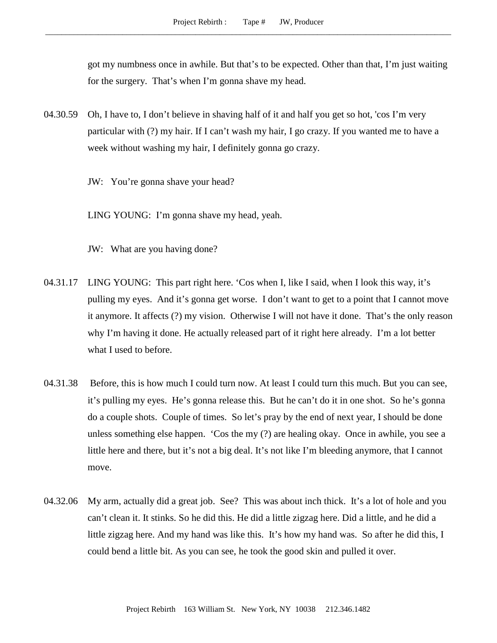got my numbness once in awhile. But that's to be expected. Other than that, I'm just waiting for the surgery. That's when I'm gonna shave my head.

- 04.30.59 Oh, I have to, I don't believe in shaving half of it and half you get so hot, 'cos I'm very particular with (?) my hair. If I can't wash my hair, I go crazy. If you wanted me to have a week without washing my hair, I definitely gonna go crazy.
	- JW: You're gonna shave your head?

LING YOUNG: I'm gonna shave my head, yeah.

- JW: What are you having done?
- 04.31.17 LING YOUNG: This part right here. 'Cos when I, like I said, when I look this way, it's pulling my eyes. And it's gonna get worse. I don't want to get to a point that I cannot move it anymore. It affects (?) my vision. Otherwise I will not have it done. That's the only reason why I'm having it done. He actually released part of it right here already. I'm a lot better what I used to before.
- 04.31.38 Before, this is how much I could turn now. At least I could turn this much. But you can see, it's pulling my eyes. He's gonna release this. But he can't do it in one shot. So he's gonna do a couple shots. Couple of times. So let's pray by the end of next year, I should be done unless something else happen. 'Cos the my (?) are healing okay. Once in awhile, you see a little here and there, but it's not a big deal. It's not like I'm bleeding anymore, that I cannot move.
- 04.32.06 My arm, actually did a great job. See? This was about inch thick. It's a lot of hole and you can't clean it. It stinks. So he did this. He did a little zigzag here. Did a little, and he did a little zigzag here. And my hand was like this. It's how my hand was. So after he did this, I could bend a little bit. As you can see, he took the good skin and pulled it over.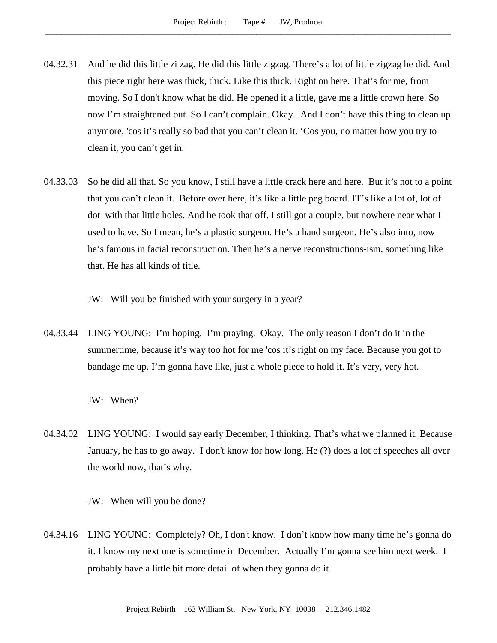- 04.32.31 And he did this little zi zag. He did this little zigzag. There's a lot of little zigzag he did. And this piece right here was thick, thick. Like this thick. Right on here. That's for me, from moving. So I don't know what he did. He opened it a little, gave me a little crown here. So now I'm straightened out. So I can't complain. Okay. And I don't have this thing to clean up anymore, 'cos it's really so bad that you can't clean it. 'Cos you, no matter how you try to clean it, you can't get in.
- 04.33.03 So he did all that. So you know, I still have a little crack here and here. But it's not to a point that you can't clean it. Before over here, it's like a little peg board. IT's like a lot of, lot of dot with that little holes. And he took that off. I still got a couple, but nowhere near what I used to have. So I mean, he's a plastic surgeon. He's a hand surgeon. He's also into, now he's famous in facial reconstruction. Then he's a nerve reconstructions-ism, something like that. He has all kinds of title.

JW: Will you be finished with your surgery in a year?

04.33.44 LING YOUNG: I'm hoping. I'm praying. Okay. The only reason I don't do it in the summertime, because it's way too hot for me 'cos it's right on my face. Because you got to bandage me up. I'm gonna have like, just a whole piece to hold it. It's very, very hot.

JW: When?

04.34.02 LING YOUNG: I would say early December, I thinking. That's what we planned it. Because January, he has to go away. I don't know for how long. He (?) does a lot of speeches all over the world now, that's why.

JW: When will you be done?

04.34.16 LING YOUNG: Completely? Oh, I don't know. I don't know how many time he's gonna do it. I know my next one is sometime in December. Actually I'm gonna see him next week. I probably have a little bit more detail of when they gonna do it.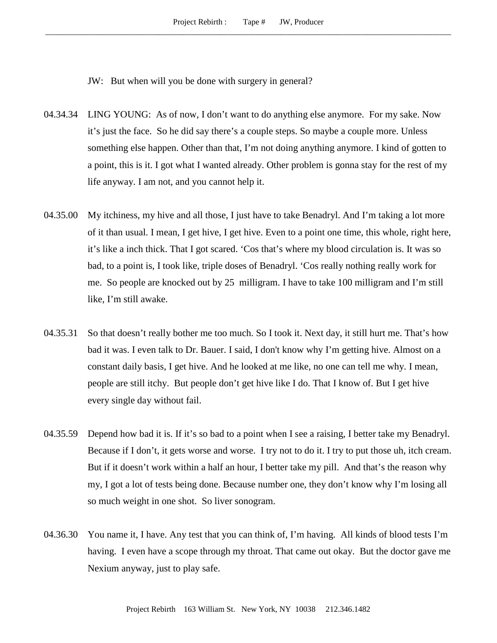JW: But when will you be done with surgery in general?

- 04.34.34 LING YOUNG: As of now, I don't want to do anything else anymore. For my sake. Now it's just the face. So he did say there's a couple steps. So maybe a couple more. Unless something else happen. Other than that, I'm not doing anything anymore. I kind of gotten to a point, this is it. I got what I wanted already. Other problem is gonna stay for the rest of my life anyway. I am not, and you cannot help it.
- 04.35.00 My itchiness, my hive and all those, I just have to take Benadryl. And I'm taking a lot more of it than usual. I mean, I get hive, I get hive. Even to a point one time, this whole, right here, it's like a inch thick. That I got scared. 'Cos that's where my blood circulation is. It was so bad, to a point is, I took like, triple doses of Benadryl. 'Cos really nothing really work for me. So people are knocked out by 25 milligram. I have to take 100 milligram and I'm still like, I'm still awake.
- 04.35.31 So that doesn't really bother me too much. So I took it. Next day, it still hurt me. That's how bad it was. I even talk to Dr. Bauer. I said, I don't know why I'm getting hive. Almost on a constant daily basis, I get hive. And he looked at me like, no one can tell me why. I mean, people are still itchy. But people don't get hive like I do. That I know of. But I get hive every single day without fail.
- 04.35.59 Depend how bad it is. If it's so bad to a point when I see a raising, I better take my Benadryl. Because if I don't, it gets worse and worse. I try not to do it. I try to put those uh, itch cream. But if it doesn't work within a half an hour, I better take my pill. And that's the reason why my, I got a lot of tests being done. Because number one, they don't know why I'm losing all so much weight in one shot. So liver sonogram.
- 04.36.30 You name it, I have. Any test that you can think of, I'm having. All kinds of blood tests I'm having. I even have a scope through my throat. That came out okay. But the doctor gave me Nexium anyway, just to play safe.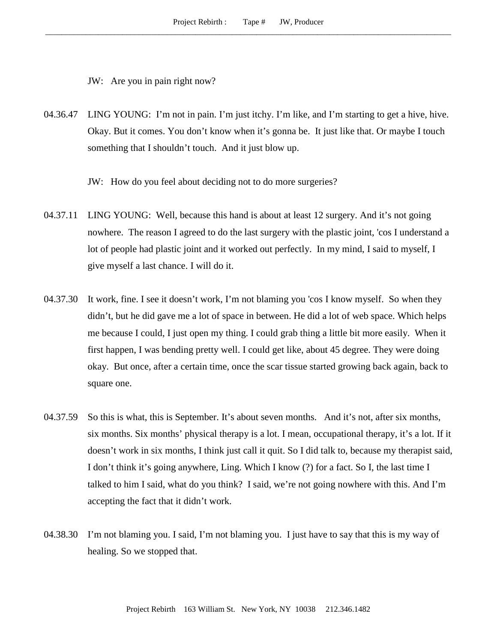JW: Are you in pain right now?

04.36.47 LING YOUNG: I'm not in pain. I'm just itchy. I'm like, and I'm starting to get a hive, hive. Okay. But it comes. You don't know when it's gonna be. It just like that. Or maybe I touch something that I shouldn't touch. And it just blow up.

JW: How do you feel about deciding not to do more surgeries?

- 04.37.11 LING YOUNG: Well, because this hand is about at least 12 surgery. And it's not going nowhere. The reason I agreed to do the last surgery with the plastic joint, 'cos I understand a lot of people had plastic joint and it worked out perfectly. In my mind, I said to myself, I give myself a last chance. I will do it.
- 04.37.30 It work, fine. I see it doesn't work, I'm not blaming you 'cos I know myself. So when they didn't, but he did gave me a lot of space in between. He did a lot of web space. Which helps me because I could, I just open my thing. I could grab thing a little bit more easily. When it first happen, I was bending pretty well. I could get like, about 45 degree. They were doing okay. But once, after a certain time, once the scar tissue started growing back again, back to square one.
- 04.37.59 So this is what, this is September. It's about seven months. And it's not, after six months, six months. Six months' physical therapy is a lot. I mean, occupational therapy, it's a lot. If it doesn't work in six months, I think just call it quit. So I did talk to, because my therapist said, I don't think it's going anywhere, Ling. Which I know (?) for a fact. So I, the last time I talked to him I said, what do you think? I said, we're not going nowhere with this. And I'm accepting the fact that it didn't work.
- 04.38.30 I'm not blaming you. I said, I'm not blaming you. I just have to say that this is my way of healing. So we stopped that.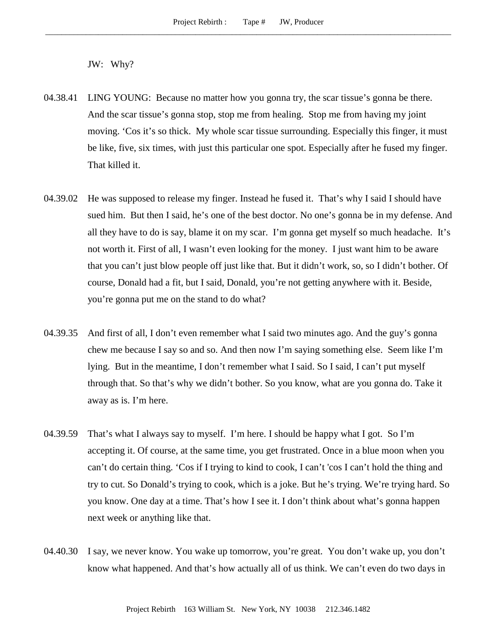JW: Why?

- 04.38.41 LING YOUNG: Because no matter how you gonna try, the scar tissue's gonna be there. And the scar tissue's gonna stop, stop me from healing. Stop me from having my joint moving. 'Cos it's so thick. My whole scar tissue surrounding. Especially this finger, it must be like, five, six times, with just this particular one spot. Especially after he fused my finger. That killed it.
- 04.39.02 He was supposed to release my finger. Instead he fused it. That's why I said I should have sued him. But then I said, he's one of the best doctor. No one's gonna be in my defense. And all they have to do is say, blame it on my scar. I'm gonna get myself so much headache. It's not worth it. First of all, I wasn't even looking for the money. I just want him to be aware that you can't just blow people off just like that. But it didn't work, so, so I didn't bother. Of course, Donald had a fit, but I said, Donald, you're not getting anywhere with it. Beside, you're gonna put me on the stand to do what?
- 04.39.35 And first of all, I don't even remember what I said two minutes ago. And the guy's gonna chew me because I say so and so. And then now I'm saying something else. Seem like I'm lying. But in the meantime, I don't remember what I said. So I said, I can't put myself through that. So that's why we didn't bother. So you know, what are you gonna do. Take it away as is. I'm here.
- 04.39.59 That's what I always say to myself. I'm here. I should be happy what I got. So I'm accepting it. Of course, at the same time, you get frustrated. Once in a blue moon when you can't do certain thing. 'Cos if I trying to kind to cook, I can't 'cos I can't hold the thing and try to cut. So Donald's trying to cook, which is a joke. But he's trying. We're trying hard. So you know. One day at a time. That's how I see it. I don't think about what's gonna happen next week or anything like that.
- 04.40.30 I say, we never know. You wake up tomorrow, you're great. You don't wake up, you don't know what happened. And that's how actually all of us think. We can't even do two days in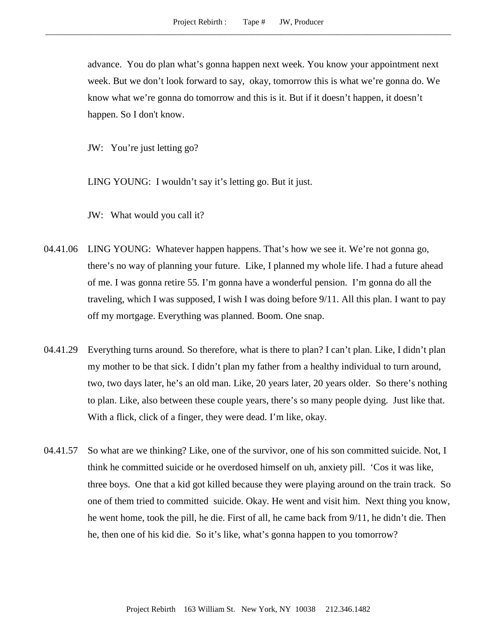advance. You do plan what's gonna happen next week. You know your appointment next week. But we don't look forward to say, okay, tomorrow this is what we're gonna do. We know what we're gonna do tomorrow and this is it. But if it doesn't happen, it doesn't happen. So I don't know.

JW: You're just letting go?

LING YOUNG: I wouldn't say it's letting go. But it just.

JW: What would you call it?

- 04.41.06 LING YOUNG: Whatever happen happens. That's how we see it. We're not gonna go, there's no way of planning your future. Like, I planned my whole life. I had a future ahead of me. I was gonna retire 55. I'm gonna have a wonderful pension. I'm gonna do all the traveling, which I was supposed, I wish I was doing before 9/11. All this plan. I want to pay off my mortgage. Everything was planned. Boom. One snap.
- 04.41.29 Everything turns around. So therefore, what is there to plan? I can't plan. Like, I didn't plan my mother to be that sick. I didn't plan my father from a healthy individual to turn around, two, two days later, he's an old man. Like, 20 years later, 20 years older. So there's nothing to plan. Like, also between these couple years, there's so many people dying. Just like that. With a flick, click of a finger, they were dead. I'm like, okay.
- 04.41.57 So what are we thinking? Like, one of the survivor, one of his son committed suicide. Not, I think he committed suicide or he overdosed himself on uh, anxiety pill. 'Cos it was like, three boys. One that a kid got killed because they were playing around on the train track. So one of them tried to committed suicide. Okay. He went and visit him. Next thing you know, he went home, took the pill, he die. First of all, he came back from 9/11, he didn't die. Then he, then one of his kid die. So it's like, what's gonna happen to you tomorrow?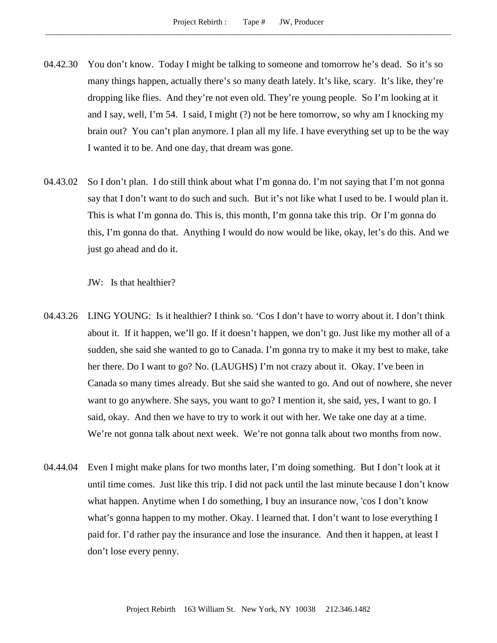- 04.42.30 You don't know. Today I might be talking to someone and tomorrow he's dead. So it's so many things happen, actually there's so many death lately. It's like, scary. It's like, they're dropping like flies. And they're not even old. They're young people. So I'm looking at it and I say, well, I'm 54. I said, I might (?) not be here tomorrow, so why am I knocking my brain out? You can't plan anymore. I plan all my life. I have everything set up to be the way I wanted it to be. And one day, that dream was gone.
- 04.43.02 So I don't plan. I do still think about what I'm gonna do. I'm not saying that I'm not gonna say that I don't want to do such and such. But it's not like what I used to be. I would plan it. This is what I'm gonna do. This is, this month, I'm gonna take this trip. Or I'm gonna do this, I'm gonna do that. Anything I would do now would be like, okay, let's do this. And we just go ahead and do it.

JW: Is that healthier?

- 04.43.26 LING YOUNG: Is it healthier? I think so. 'Cos I don't have to worry about it. I don't think about it. If it happen, we'll go. If it doesn't happen, we don't go. Just like my mother all of a sudden, she said she wanted to go to Canada. I'm gonna try to make it my best to make, take her there. Do I want to go? No. (LAUGHS) I'm not crazy about it. Okay. I've been in Canada so many times already. But she said she wanted to go. And out of nowhere, she never want to go anywhere. She says, you want to go? I mention it, she said, yes, I want to go. I said, okay. And then we have to try to work it out with her. We take one day at a time. We're not gonna talk about next week. We're not gonna talk about two months from now.
- 04.44.04 Even I might make plans for two months later, I'm doing something. But I don't look at it until time comes. Just like this trip. I did not pack until the last minute because I don't know what happen. Anytime when I do something, I buy an insurance now, 'cos I don't know what's gonna happen to my mother. Okay. I learned that. I don't want to lose everything I paid for. I'd rather pay the insurance and lose the insurance. And then it happen, at least I don't lose every penny.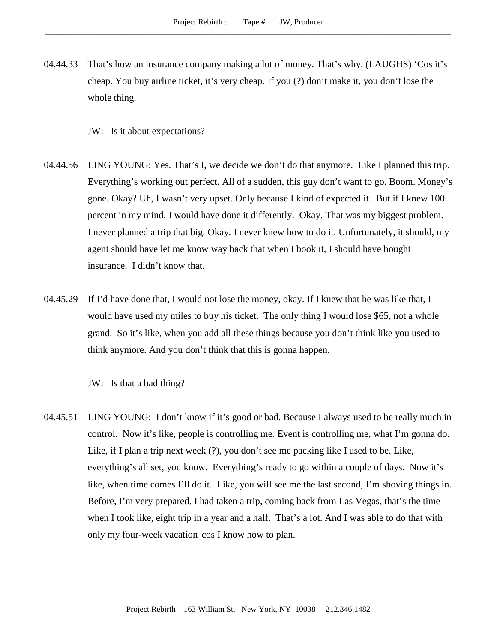- 04.44.33 That's how an insurance company making a lot of money. That's why. (LAUGHS) 'Cos it's cheap. You buy airline ticket, it's very cheap. If you (?) don't make it, you don't lose the whole thing.
	- JW: Is it about expectations?
- 04.44.56 LING YOUNG: Yes. That's I, we decide we don't do that anymore. Like I planned this trip. Everything's working out perfect. All of a sudden, this guy don't want to go. Boom. Money's gone. Okay? Uh, I wasn't very upset. Only because I kind of expected it. But if I knew 100 percent in my mind, I would have done it differently. Okay. That was my biggest problem. I never planned a trip that big. Okay. I never knew how to do it. Unfortunately, it should, my agent should have let me know way back that when I book it, I should have bought insurance. I didn't know that.
- 04.45.29 If I'd have done that, I would not lose the money, okay. If I knew that he was like that, I would have used my miles to buy his ticket. The only thing I would lose \$65, not a whole grand. So it's like, when you add all these things because you don't think like you used to think anymore. And you don't think that this is gonna happen.

JW: Is that a bad thing?

04.45.51 LING YOUNG: I don't know if it's good or bad. Because I always used to be really much in control. Now it's like, people is controlling me. Event is controlling me, what I'm gonna do. Like, if I plan a trip next week (?), you don't see me packing like I used to be. Like, everything's all set, you know. Everything's ready to go within a couple of days. Now it's like, when time comes I'll do it. Like, you will see me the last second, I'm shoving things in. Before, I'm very prepared. I had taken a trip, coming back from Las Vegas, that's the time when I took like, eight trip in a year and a half. That's a lot. And I was able to do that with only my four-week vacation 'cos I know how to plan.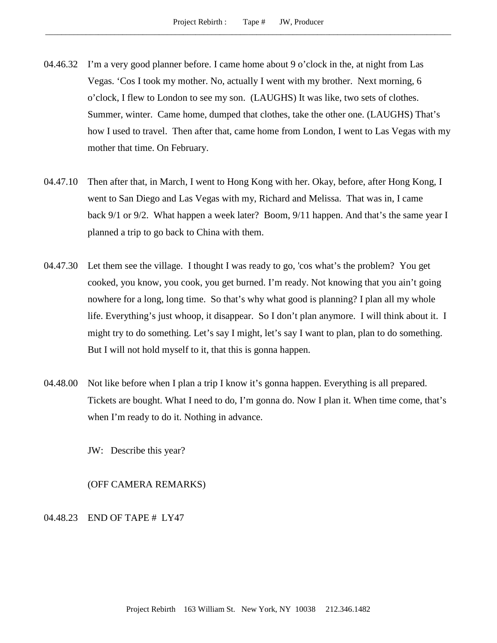- 04.46.32 I'm a very good planner before. I came home about 9 o'clock in the, at night from Las Vegas. 'Cos I took my mother. No, actually I went with my brother. Next morning, 6 o'clock, I flew to London to see my son. (LAUGHS) It was like, two sets of clothes. Summer, winter. Came home, dumped that clothes, take the other one. (LAUGHS) That's how I used to travel. Then after that, came home from London, I went to Las Vegas with my mother that time. On February.
- 04.47.10 Then after that, in March, I went to Hong Kong with her. Okay, before, after Hong Kong, I went to San Diego and Las Vegas with my, Richard and Melissa. That was in, I came back 9/1 or 9/2. What happen a week later? Boom, 9/11 happen. And that's the same year I planned a trip to go back to China with them.
- 04.47.30 Let them see the village. I thought I was ready to go, 'cos what's the problem? You get cooked, you know, you cook, you get burned. I'm ready. Not knowing that you ain't going nowhere for a long, long time. So that's why what good is planning? I plan all my whole life. Everything's just whoop, it disappear. So I don't plan anymore. I will think about it. I might try to do something. Let's say I might, let's say I want to plan, plan to do something. But I will not hold myself to it, that this is gonna happen.
- 04.48.00 Not like before when I plan a trip I know it's gonna happen. Everything is all prepared. Tickets are bought. What I need to do, I'm gonna do. Now I plan it. When time come, that's when I'm ready to do it. Nothing in advance.

JW: Describe this year?

(OFF CAMERA REMARKS)

04.48.23 END OF TAPE # LY47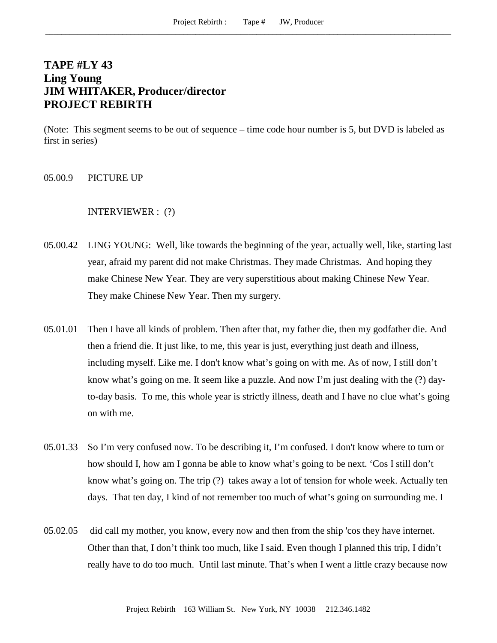# **TAPE #LY 43 Ling Young JIM WHITAKER, Producer/director PROJECT REBIRTH**

(Note: This segment seems to be out of sequence – time code hour number is 5, but DVD is labeled as first in series)

05.00.9 PICTURE UP

#### INTERVIEWER : (?)

- 05.00.42 LING YOUNG: Well, like towards the beginning of the year, actually well, like, starting last year, afraid my parent did not make Christmas. They made Christmas. And hoping they make Chinese New Year. They are very superstitious about making Chinese New Year. They make Chinese New Year. Then my surgery.
- 05.01.01 Then I have all kinds of problem. Then after that, my father die, then my godfather die. And then a friend die. It just like, to me, this year is just, everything just death and illness, including myself. Like me. I don't know what's going on with me. As of now, I still don't know what's going on me. It seem like a puzzle. And now I'm just dealing with the (?) dayto-day basis. To me, this whole year is strictly illness, death and I have no clue what's going on with me.
- 05.01.33 So I'm very confused now. To be describing it, I'm confused. I don't know where to turn or how should I, how am I gonna be able to know what's going to be next. 'Cos I still don't know what's going on. The trip (?) takes away a lot of tension for whole week. Actually ten days. That ten day, I kind of not remember too much of what's going on surrounding me. I
- 05.02.05 did call my mother, you know, every now and then from the ship 'cos they have internet. Other than that, I don't think too much, like I said. Even though I planned this trip, I didn't really have to do too much. Until last minute. That's when I went a little crazy because now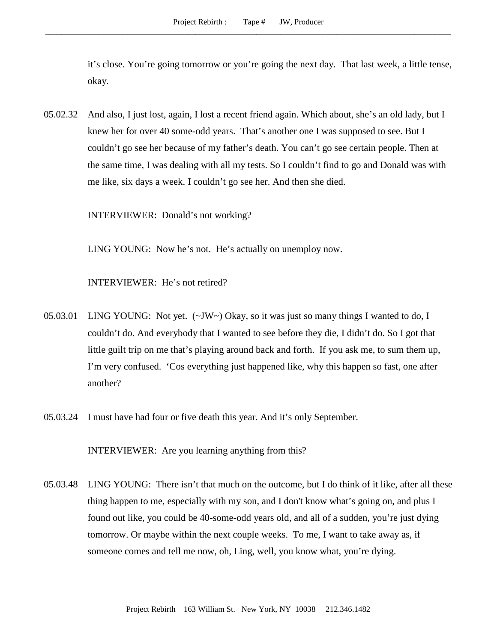it's close. You're going tomorrow or you're going the next day. That last week, a little tense, okay.

05.02.32 And also, I just lost, again, I lost a recent friend again. Which about, she's an old lady, but I knew her for over 40 some-odd years. That's another one I was supposed to see. But I couldn't go see her because of my father's death. You can't go see certain people. Then at the same time, I was dealing with all my tests. So I couldn't find to go and Donald was with me like, six days a week. I couldn't go see her. And then she died.

INTERVIEWER: Donald's not working?

LING YOUNG: Now he's not. He's actually on unemploy now.

INTERVIEWER: He's not retired?

- 05.03.01 LING YOUNG: Not yet. (~JW~) Okay, so it was just so many things I wanted to do, I couldn't do. And everybody that I wanted to see before they die, I didn't do. So I got that little guilt trip on me that's playing around back and forth. If you ask me, to sum them up, I'm very confused. 'Cos everything just happened like, why this happen so fast, one after another?
- 05.03.24 I must have had four or five death this year. And it's only September.

INTERVIEWER: Are you learning anything from this?

05.03.48 LING YOUNG: There isn't that much on the outcome, but I do think of it like, after all these thing happen to me, especially with my son, and I don't know what's going on, and plus I found out like, you could be 40-some-odd years old, and all of a sudden, you're just dying tomorrow. Or maybe within the next couple weeks. To me, I want to take away as, if someone comes and tell me now, oh, Ling, well, you know what, you're dying.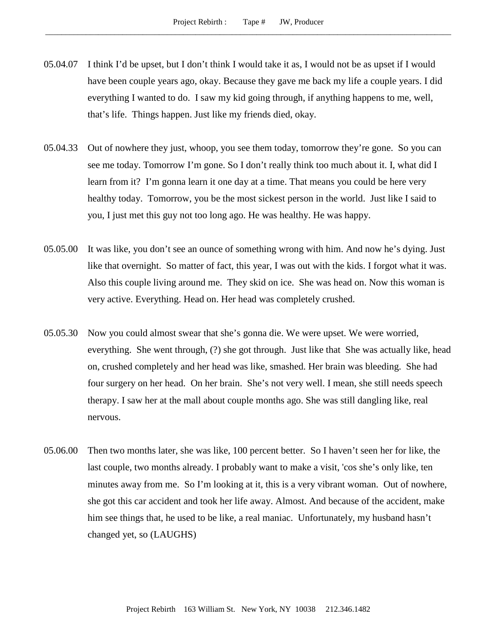- 05.04.07 I think I'd be upset, but I don't think I would take it as, I would not be as upset if I would have been couple years ago, okay. Because they gave me back my life a couple years. I did everything I wanted to do. I saw my kid going through, if anything happens to me, well, that's life. Things happen. Just like my friends died, okay.
- 05.04.33 Out of nowhere they just, whoop, you see them today, tomorrow they're gone. So you can see me today. Tomorrow I'm gone. So I don't really think too much about it. I, what did I learn from it? I'm gonna learn it one day at a time. That means you could be here very healthy today. Tomorrow, you be the most sickest person in the world. Just like I said to you, I just met this guy not too long ago. He was healthy. He was happy.
- 05.05.00 It was like, you don't see an ounce of something wrong with him. And now he's dying. Just like that overnight. So matter of fact, this year, I was out with the kids. I forgot what it was. Also this couple living around me. They skid on ice. She was head on. Now this woman is very active. Everything. Head on. Her head was completely crushed.
- 05.05.30 Now you could almost swear that she's gonna die. We were upset. We were worried, everything. She went through, (?) she got through. Just like that She was actually like, head on, crushed completely and her head was like, smashed. Her brain was bleeding. She had four surgery on her head. On her brain. She's not very well. I mean, she still needs speech therapy. I saw her at the mall about couple months ago. She was still dangling like, real nervous.
- 05.06.00 Then two months later, she was like, 100 percent better. So I haven't seen her for like, the last couple, two months already. I probably want to make a visit, 'cos she's only like, ten minutes away from me. So I'm looking at it, this is a very vibrant woman. Out of nowhere, she got this car accident and took her life away. Almost. And because of the accident, make him see things that, he used to be like, a real maniac. Unfortunately, my husband hasn't changed yet, so (LAUGHS)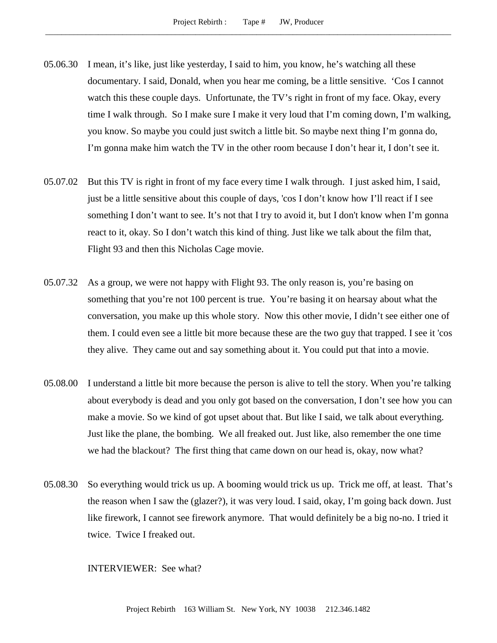- 05.06.30 I mean, it's like, just like yesterday, I said to him, you know, he's watching all these documentary. I said, Donald, when you hear me coming, be a little sensitive. 'Cos I cannot watch this these couple days. Unfortunate, the TV's right in front of my face. Okay, every time I walk through. So I make sure I make it very loud that I'm coming down, I'm walking, you know. So maybe you could just switch a little bit. So maybe next thing I'm gonna do, I'm gonna make him watch the TV in the other room because I don't hear it, I don't see it.
- 05.07.02 But this TV is right in front of my face every time I walk through. I just asked him, I said, just be a little sensitive about this couple of days, 'cos I don't know how I'll react if I see something I don't want to see. It's not that I try to avoid it, but I don't know when I'm gonna react to it, okay. So I don't watch this kind of thing. Just like we talk about the film that, Flight 93 and then this Nicholas Cage movie.
- 05.07.32 As a group, we were not happy with Flight 93. The only reason is, you're basing on something that you're not 100 percent is true. You're basing it on hearsay about what the conversation, you make up this whole story. Now this other movie, I didn't see either one of them. I could even see a little bit more because these are the two guy that trapped. I see it 'cos they alive. They came out and say something about it. You could put that into a movie.
- 05.08.00 I understand a little bit more because the person is alive to tell the story. When you're talking about everybody is dead and you only got based on the conversation, I don't see how you can make a movie. So we kind of got upset about that. But like I said, we talk about everything. Just like the plane, the bombing. We all freaked out. Just like, also remember the one time we had the blackout? The first thing that came down on our head is, okay, now what?
- 05.08.30 So everything would trick us up. A booming would trick us up. Trick me off, at least. That's the reason when I saw the (glazer?), it was very loud. I said, okay, I'm going back down. Just like firework, I cannot see firework anymore. That would definitely be a big no-no. I tried it twice. Twice I freaked out.

#### INTERVIEWER: See what?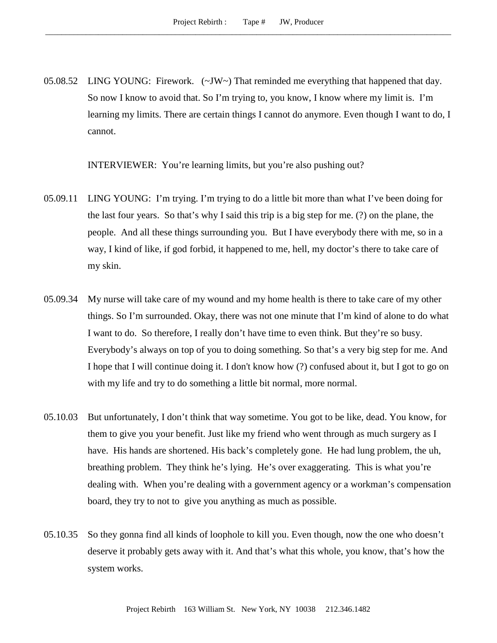05.08.52 LING YOUNG: Firework.  $(\sim JW)$  That reminded me everything that happened that day. So now I know to avoid that. So I'm trying to, you know, I know where my limit is. I'm learning my limits. There are certain things I cannot do anymore. Even though I want to do, I cannot.

INTERVIEWER: You're learning limits, but you're also pushing out?

- 05.09.11 LING YOUNG: I'm trying. I'm trying to do a little bit more than what I've been doing for the last four years. So that's why I said this trip is a big step for me. (?) on the plane, the people. And all these things surrounding you. But I have everybody there with me, so in a way, I kind of like, if god forbid, it happened to me, hell, my doctor's there to take care of my skin.
- 05.09.34 My nurse will take care of my wound and my home health is there to take care of my other things. So I'm surrounded. Okay, there was not one minute that I'm kind of alone to do what I want to do. So therefore, I really don't have time to even think. But they're so busy. Everybody's always on top of you to doing something. So that's a very big step for me. And I hope that I will continue doing it. I don't know how (?) confused about it, but I got to go on with my life and try to do something a little bit normal, more normal.
- 05.10.03 But unfortunately, I don't think that way sometime. You got to be like, dead. You know, for them to give you your benefit. Just like my friend who went through as much surgery as I have. His hands are shortened. His back's completely gone. He had lung problem, the uh, breathing problem. They think he's lying. He's over exaggerating. This is what you're dealing with. When you're dealing with a government agency or a workman's compensation board, they try to not to give you anything as much as possible.
- 05.10.35 So they gonna find all kinds of loophole to kill you. Even though, now the one who doesn't deserve it probably gets away with it. And that's what this whole, you know, that's how the system works.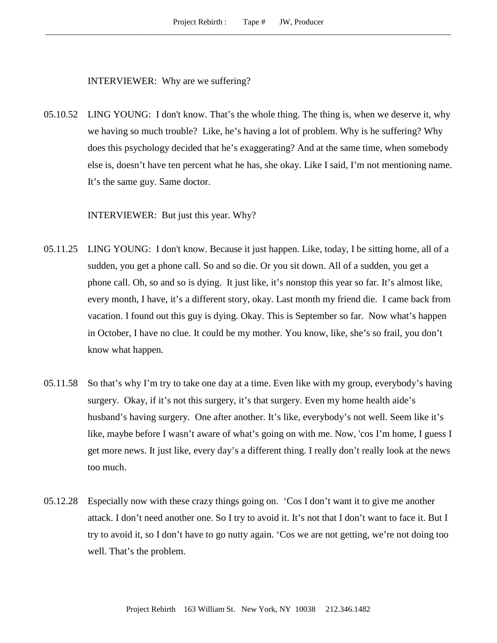INTERVIEWER: Why are we suffering?

05.10.52 LING YOUNG: I don't know. That's the whole thing. The thing is, when we deserve it, why we having so much trouble? Like, he's having a lot of problem. Why is he suffering? Why does this psychology decided that he's exaggerating? And at the same time, when somebody else is, doesn't have ten percent what he has, she okay. Like I said, I'm not mentioning name. It's the same guy. Same doctor.

INTERVIEWER: But just this year. Why?

- 05.11.25 LING YOUNG: I don't know. Because it just happen. Like, today, I be sitting home, all of a sudden, you get a phone call. So and so die. Or you sit down. All of a sudden, you get a phone call. Oh, so and so is dying. It just like, it's nonstop this year so far. It's almost like, every month, I have, it's a different story, okay. Last month my friend die. I came back from vacation. I found out this guy is dying. Okay. This is September so far. Now what's happen in October, I have no clue. It could be my mother. You know, like, she's so frail, you don't know what happen.
- 05.11.58 So that's why I'm try to take one day at a time. Even like with my group, everybody's having surgery. Okay, if it's not this surgery, it's that surgery. Even my home health aide's husband's having surgery. One after another. It's like, everybody's not well. Seem like it's like, maybe before I wasn't aware of what's going on with me. Now, 'cos I'm home, I guess I get more news. It just like, every day's a different thing. I really don't really look at the news too much.
- 05.12.28 Especially now with these crazy things going on. 'Cos I don't want it to give me another attack. I don't need another one. So I try to avoid it. It's not that I don't want to face it. But I try to avoid it, so I don't have to go nutty again. 'Cos we are not getting, we're not doing too well. That's the problem.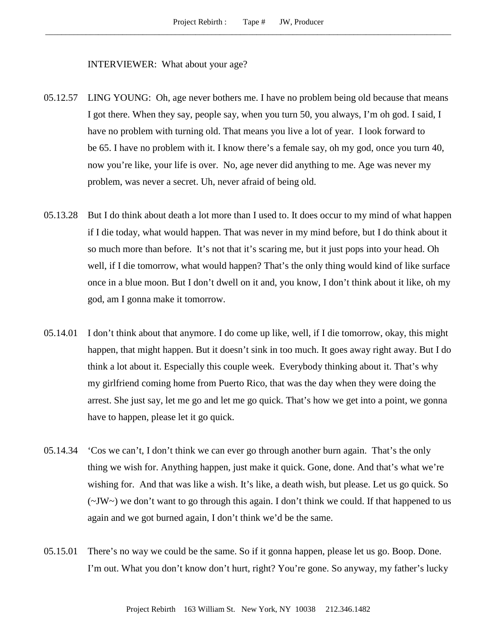## INTERVIEWER: What about your age?

- 05.12.57 LING YOUNG: Oh, age never bothers me. I have no problem being old because that means I got there. When they say, people say, when you turn 50, you always, I'm oh god. I said, I have no problem with turning old. That means you live a lot of year. I look forward to be 65. I have no problem with it. I know there's a female say, oh my god, once you turn 40, now you're like, your life is over. No, age never did anything to me. Age was never my problem, was never a secret. Uh, never afraid of being old.
- 05.13.28 But I do think about death a lot more than I used to. It does occur to my mind of what happen if I die today, what would happen. That was never in my mind before, but I do think about it so much more than before. It's not that it's scaring me, but it just pops into your head. Oh well, if I die tomorrow, what would happen? That's the only thing would kind of like surface once in a blue moon. But I don't dwell on it and, you know, I don't think about it like, oh my god, am I gonna make it tomorrow.
- 05.14.01 I don't think about that anymore. I do come up like, well, if I die tomorrow, okay, this might happen, that might happen. But it doesn't sink in too much. It goes away right away. But I do think a lot about it. Especially this couple week. Everybody thinking about it. That's why my girlfriend coming home from Puerto Rico, that was the day when they were doing the arrest. She just say, let me go and let me go quick. That's how we get into a point, we gonna have to happen, please let it go quick.
- 05.14.34 'Cos we can't, I don't think we can ever go through another burn again. That's the only thing we wish for. Anything happen, just make it quick. Gone, done. And that's what we're wishing for. And that was like a wish. It's like, a death wish, but please. Let us go quick. So  $(\sim JW \sim)$  we don't want to go through this again. I don't think we could. If that happened to us again and we got burned again, I don't think we'd be the same.
- 05.15.01 There's no way we could be the same. So if it gonna happen, please let us go. Boop. Done. I'm out. What you don't know don't hurt, right? You're gone. So anyway, my father's lucky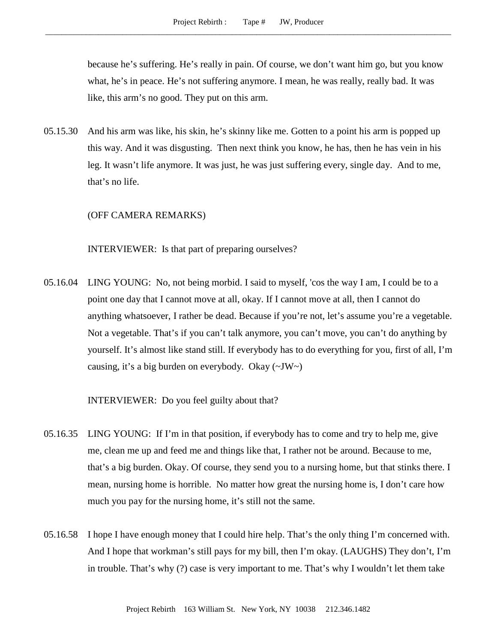because he's suffering. He's really in pain. Of course, we don't want him go, but you know what, he's in peace. He's not suffering anymore. I mean, he was really, really bad. It was like, this arm's no good. They put on this arm.

05.15.30 And his arm was like, his skin, he's skinny like me. Gotten to a point his arm is popped up this way. And it was disgusting. Then next think you know, he has, then he has vein in his leg. It wasn't life anymore. It was just, he was just suffering every, single day. And to me, that's no life.

# (OFF CAMERA REMARKS)

INTERVIEWER: Is that part of preparing ourselves?

05.16.04 LING YOUNG: No, not being morbid. I said to myself, 'cos the way I am, I could be to a point one day that I cannot move at all, okay. If I cannot move at all, then I cannot do anything whatsoever, I rather be dead. Because if you're not, let's assume you're a vegetable. Not a vegetable. That's if you can't talk anymore, you can't move, you can't do anything by yourself. It's almost like stand still. If everybody has to do everything for you, first of all, I'm causing, it's a big burden on everybody. Okay  $(\sim JW)$ 

INTERVIEWER: Do you feel guilty about that?

- 05.16.35 LING YOUNG: If I'm in that position, if everybody has to come and try to help me, give me, clean me up and feed me and things like that, I rather not be around. Because to me, that's a big burden. Okay. Of course, they send you to a nursing home, but that stinks there. I mean, nursing home is horrible. No matter how great the nursing home is, I don't care how much you pay for the nursing home, it's still not the same.
- 05.16.58 I hope I have enough money that I could hire help. That's the only thing I'm concerned with. And I hope that workman's still pays for my bill, then I'm okay. (LAUGHS) They don't, I'm in trouble. That's why (?) case is very important to me. That's why I wouldn't let them take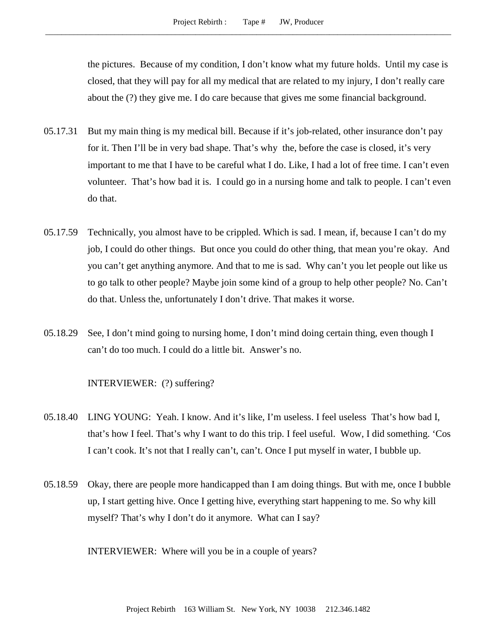the pictures. Because of my condition, I don't know what my future holds. Until my case is closed, that they will pay for all my medical that are related to my injury, I don't really care about the (?) they give me. I do care because that gives me some financial background.

- 05.17.31 But my main thing is my medical bill. Because if it's job-related, other insurance don't pay for it. Then I'll be in very bad shape. That's why the, before the case is closed, it's very important to me that I have to be careful what I do. Like, I had a lot of free time. I can't even volunteer. That's how bad it is. I could go in a nursing home and talk to people. I can't even do that.
- 05.17.59 Technically, you almost have to be crippled. Which is sad. I mean, if, because I can't do my job, I could do other things. But once you could do other thing, that mean you're okay. And you can't get anything anymore. And that to me is sad. Why can't you let people out like us to go talk to other people? Maybe join some kind of a group to help other people? No. Can't do that. Unless the, unfortunately I don't drive. That makes it worse.
- 05.18.29 See, I don't mind going to nursing home, I don't mind doing certain thing, even though I can't do too much. I could do a little bit. Answer's no.

## INTERVIEWER: (?) suffering?

- 05.18.40 LING YOUNG: Yeah. I know. And it's like, I'm useless. I feel useless That's how bad I, that's how I feel. That's why I want to do this trip. I feel useful. Wow, I did something. 'Cos I can't cook. It's not that I really can't, can't. Once I put myself in water, I bubble up.
- 05.18.59 Okay, there are people more handicapped than I am doing things. But with me, once I bubble up, I start getting hive. Once I getting hive, everything start happening to me. So why kill myself? That's why I don't do it anymore. What can I say?

INTERVIEWER: Where will you be in a couple of years?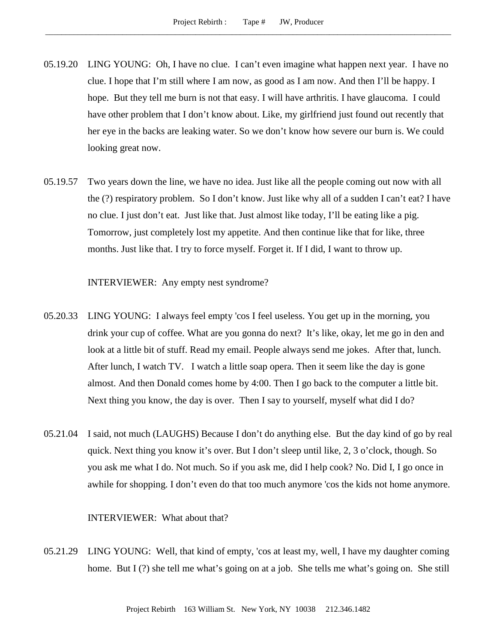- 05.19.20 LING YOUNG: Oh, I have no clue. I can't even imagine what happen next year. I have no clue. I hope that I'm still where I am now, as good as I am now. And then I'll be happy. I hope. But they tell me burn is not that easy. I will have arthritis. I have glaucoma. I could have other problem that I don't know about. Like, my girlfriend just found out recently that her eye in the backs are leaking water. So we don't know how severe our burn is. We could looking great now.
- 05.19.57 Two years down the line, we have no idea. Just like all the people coming out now with all the (?) respiratory problem. So I don't know. Just like why all of a sudden I can't eat? I have no clue. I just don't eat. Just like that. Just almost like today, I'll be eating like a pig. Tomorrow, just completely lost my appetite. And then continue like that for like, three months. Just like that. I try to force myself. Forget it. If I did, I want to throw up.

INTERVIEWER: Any empty nest syndrome?

- 05.20.33 LING YOUNG: I always feel empty 'cos I feel useless. You get up in the morning, you drink your cup of coffee. What are you gonna do next? It's like, okay, let me go in den and look at a little bit of stuff. Read my email. People always send me jokes. After that, lunch. After lunch, I watch TV. I watch a little soap opera. Then it seem like the day is gone almost. And then Donald comes home by 4:00. Then I go back to the computer a little bit. Next thing you know, the day is over. Then I say to yourself, myself what did I do?
- 05.21.04 I said, not much (LAUGHS) Because I don't do anything else. But the day kind of go by real quick. Next thing you know it's over. But I don't sleep until like, 2, 3 o'clock, though. So you ask me what I do. Not much. So if you ask me, did I help cook? No. Did I, I go once in awhile for shopping. I don't even do that too much anymore 'cos the kids not home anymore.

# INTERVIEWER: What about that?

05.21.29 LING YOUNG: Well, that kind of empty, 'cos at least my, well, I have my daughter coming home. But I (?) she tell me what's going on at a job. She tells me what's going on. She still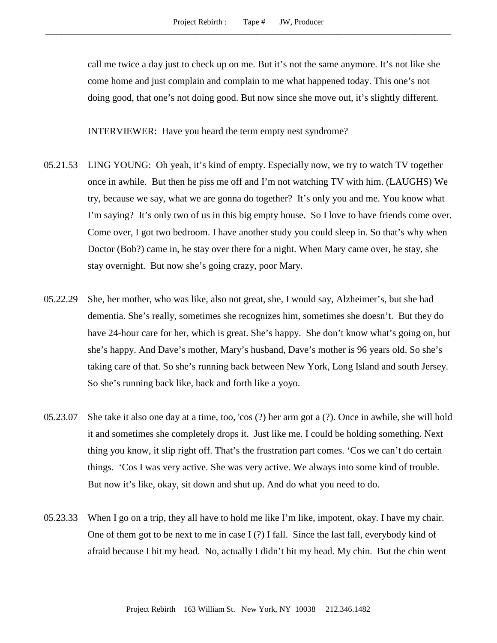call me twice a day just to check up on me. But it's not the same anymore. It's not like she come home and just complain and complain to me what happened today. This one's not doing good, that one's not doing good. But now since she move out, it's slightly different.

INTERVIEWER: Have you heard the term empty nest syndrome?

- 05.21.53 LING YOUNG: Oh yeah, it's kind of empty. Especially now, we try to watch TV together once in awhile. But then he piss me off and I'm not watching TV with him. (LAUGHS) We try, because we say, what we are gonna do together? It's only you and me. You know what I'm saying? It's only two of us in this big empty house. So I love to have friends come over. Come over, I got two bedroom. I have another study you could sleep in. So that's why when Doctor (Bob?) came in, he stay over there for a night. When Mary came over, he stay, she stay overnight. But now she's going crazy, poor Mary.
- 05.22.29 She, her mother, who was like, also not great, she, I would say, Alzheimer's, but she had dementia. She's really, sometimes she recognizes him, sometimes she doesn't. But they do have 24-hour care for her, which is great. She's happy. She don't know what's going on, but she's happy. And Dave's mother, Mary's husband, Dave's mother is 96 years old. So she's taking care of that. So she's running back between New York, Long Island and south Jersey. So she's running back like, back and forth like a yoyo.
- 05.23.07 She take it also one day at a time, too, 'cos (?) her arm got a (?). Once in awhile, she will hold it and sometimes she completely drops it. Just like me. I could be holding something. Next thing you know, it slip right off. That's the frustration part comes. 'Cos we can't do certain things. 'Cos I was very active. She was very active. We always into some kind of trouble. But now it's like, okay, sit down and shut up. And do what you need to do.
- 05.23.33 When I go on a trip, they all have to hold me like I'm like, impotent, okay. I have my chair. One of them got to be next to me in case I (?) I fall. Since the last fall, everybody kind of afraid because I hit my head. No, actually I didn't hit my head. My chin. But the chin went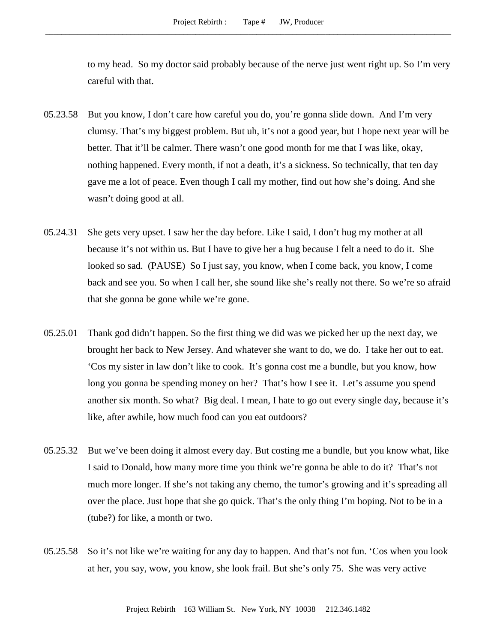to my head. So my doctor said probably because of the nerve just went right up. So I'm very careful with that.

- 05.23.58 But you know, I don't care how careful you do, you're gonna slide down. And I'm very clumsy. That's my biggest problem. But uh, it's not a good year, but I hope next year will be better. That it'll be calmer. There wasn't one good month for me that I was like, okay, nothing happened. Every month, if not a death, it's a sickness. So technically, that ten day gave me a lot of peace. Even though I call my mother, find out how she's doing. And she wasn't doing good at all.
- 05.24.31 She gets very upset. I saw her the day before. Like I said, I don't hug my mother at all because it's not within us. But I have to give her a hug because I felt a need to do it. She looked so sad. (PAUSE) So I just say, you know, when I come back, you know, I come back and see you. So when I call her, she sound like she's really not there. So we're so afraid that she gonna be gone while we're gone.
- 05.25.01 Thank god didn't happen. So the first thing we did was we picked her up the next day, we brought her back to New Jersey. And whatever she want to do, we do. I take her out to eat. 'Cos my sister in law don't like to cook. It's gonna cost me a bundle, but you know, how long you gonna be spending money on her? That's how I see it. Let's assume you spend another six month. So what? Big deal. I mean, I hate to go out every single day, because it's like, after awhile, how much food can you eat outdoors?
- 05.25.32 But we've been doing it almost every day. But costing me a bundle, but you know what, like I said to Donald, how many more time you think we're gonna be able to do it? That's not much more longer. If she's not taking any chemo, the tumor's growing and it's spreading all over the place. Just hope that she go quick. That's the only thing I'm hoping. Not to be in a (tube?) for like, a month or two.
- 05.25.58 So it's not like we're waiting for any day to happen. And that's not fun. 'Cos when you look at her, you say, wow, you know, she look frail. But she's only 75. She was very active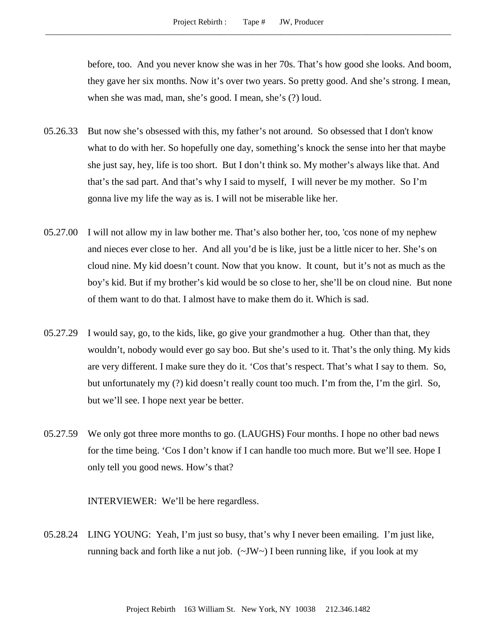before, too. And you never know she was in her 70s. That's how good she looks. And boom, they gave her six months. Now it's over two years. So pretty good. And she's strong. I mean, when she was mad, man, she's good. I mean, she's (?) loud.

- 05.26.33 But now she's obsessed with this, my father's not around. So obsessed that I don't know what to do with her. So hopefully one day, something's knock the sense into her that maybe she just say, hey, life is too short. But I don't think so. My mother's always like that. And that's the sad part. And that's why I said to myself, I will never be my mother. So I'm gonna live my life the way as is. I will not be miserable like her.
- 05.27.00 I will not allow my in law bother me. That's also bother her, too, 'cos none of my nephew and nieces ever close to her. And all you'd be is like, just be a little nicer to her. She's on cloud nine. My kid doesn't count. Now that you know. It count, but it's not as much as the boy's kid. But if my brother's kid would be so close to her, she'll be on cloud nine. But none of them want to do that. I almost have to make them do it. Which is sad.
- 05.27.29 I would say, go, to the kids, like, go give your grandmother a hug. Other than that, they wouldn't, nobody would ever go say boo. But she's used to it. That's the only thing. My kids are very different. I make sure they do it. 'Cos that's respect. That's what I say to them. So, but unfortunately my (?) kid doesn't really count too much. I'm from the, I'm the girl. So, but we'll see. I hope next year be better.
- 05.27.59 We only got three more months to go. (LAUGHS) Four months. I hope no other bad news for the time being. 'Cos I don't know if I can handle too much more. But we'll see. Hope I only tell you good news. How's that?

INTERVIEWER: We'll be here regardless.

05.28.24 LING YOUNG: Yeah, I'm just so busy, that's why I never been emailing. I'm just like, running back and forth like a nut job. (~JW~) I been running like, if you look at my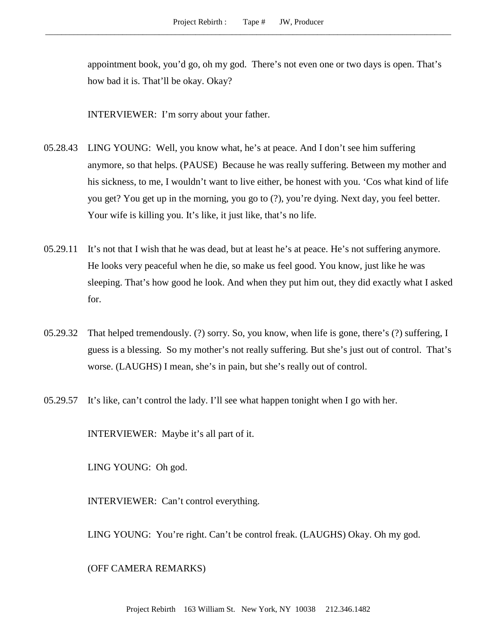appointment book, you'd go, oh my god. There's not even one or two days is open. That's how bad it is. That'll be okay. Okay?

INTERVIEWER: I'm sorry about your father.

- 05.28.43 LING YOUNG: Well, you know what, he's at peace. And I don't see him suffering anymore, so that helps. (PAUSE) Because he was really suffering. Between my mother and his sickness, to me, I wouldn't want to live either, be honest with you. 'Cos what kind of life you get? You get up in the morning, you go to (?), you're dying. Next day, you feel better. Your wife is killing you. It's like, it just like, that's no life.
- 05.29.11 It's not that I wish that he was dead, but at least he's at peace. He's not suffering anymore. He looks very peaceful when he die, so make us feel good. You know, just like he was sleeping. That's how good he look. And when they put him out, they did exactly what I asked for.
- 05.29.32 That helped tremendously. (?) sorry. So, you know, when life is gone, there's (?) suffering, I guess is a blessing. So my mother's not really suffering. But she's just out of control. That's worse. (LAUGHS) I mean, she's in pain, but she's really out of control.
- 05.29.57 It's like, can't control the lady. I'll see what happen tonight when I go with her.

INTERVIEWER: Maybe it's all part of it.

LING YOUNG: Oh god.

INTERVIEWER: Can't control everything.

LING YOUNG: You're right. Can't be control freak. (LAUGHS) Okay. Oh my god.

(OFF CAMERA REMARKS)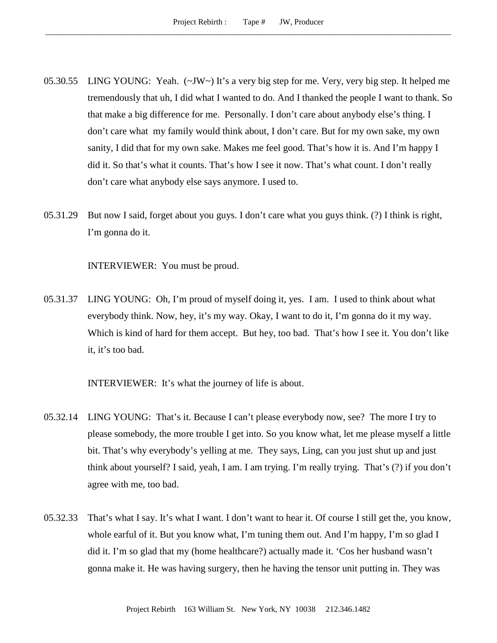- 05.30.55 LING YOUNG: Yeah. (~JW~) It's a very big step for me. Very, very big step. It helped me tremendously that uh, I did what I wanted to do. And I thanked the people I want to thank. So that make a big difference for me. Personally. I don't care about anybody else's thing. I don't care what my family would think about, I don't care. But for my own sake, my own sanity, I did that for my own sake. Makes me feel good. That's how it is. And I'm happy I did it. So that's what it counts. That's how I see it now. That's what count. I don't really don't care what anybody else says anymore. I used to.
- 05.31.29 But now I said, forget about you guys. I don't care what you guys think. (?) I think is right, I'm gonna do it.

INTERVIEWER: You must be proud.

05.31.37 LING YOUNG: Oh, I'm proud of myself doing it, yes. I am. I used to think about what everybody think. Now, hey, it's my way. Okay, I want to do it, I'm gonna do it my way. Which is kind of hard for them accept. But hey, too bad. That's how I see it. You don't like it, it's too bad.

INTERVIEWER: It's what the journey of life is about.

- 05.32.14 LING YOUNG: That's it. Because I can't please everybody now, see? The more I try to please somebody, the more trouble I get into. So you know what, let me please myself a little bit. That's why everybody's yelling at me. They says, Ling, can you just shut up and just think about yourself? I said, yeah, I am. I am trying. I'm really trying. That's (?) if you don't agree with me, too bad.
- 05.32.33 That's what I say. It's what I want. I don't want to hear it. Of course I still get the, you know, whole earful of it. But you know what, I'm tuning them out. And I'm happy, I'm so glad I did it. I'm so glad that my (home healthcare?) actually made it. 'Cos her husband wasn't gonna make it. He was having surgery, then he having the tensor unit putting in. They was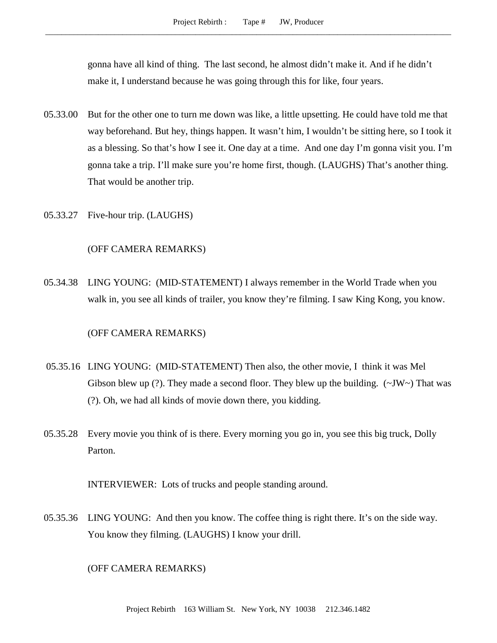gonna have all kind of thing. The last second, he almost didn't make it. And if he didn't make it, I understand because he was going through this for like, four years.

- 05.33.00 But for the other one to turn me down was like, a little upsetting. He could have told me that way beforehand. But hey, things happen. It wasn't him, I wouldn't be sitting here, so I took it as a blessing. So that's how I see it. One day at a time. And one day I'm gonna visit you. I'm gonna take a trip. I'll make sure you're home first, though. (LAUGHS) That's another thing. That would be another trip.
- 05.33.27 Five-hour trip. (LAUGHS)

#### (OFF CAMERA REMARKS)

05.34.38 LING YOUNG: (MID-STATEMENT) I always remember in the World Trade when you walk in, you see all kinds of trailer, you know they're filming. I saw King Kong, you know.

#### (OFF CAMERA REMARKS)

- 05.35.16 LING YOUNG: (MID-STATEMENT) Then also, the other movie, I think it was Mel Gibson blew up (?). They made a second floor. They blew up the building.  $(\sim JW \sim)$  That was (?). Oh, we had all kinds of movie down there, you kidding.
- 05.35.28 Every movie you think of is there. Every morning you go in, you see this big truck, Dolly Parton.

INTERVIEWER: Lots of trucks and people standing around.

05.35.36 LING YOUNG: And then you know. The coffee thing is right there. It's on the side way. You know they filming. (LAUGHS) I know your drill.

## (OFF CAMERA REMARKS)